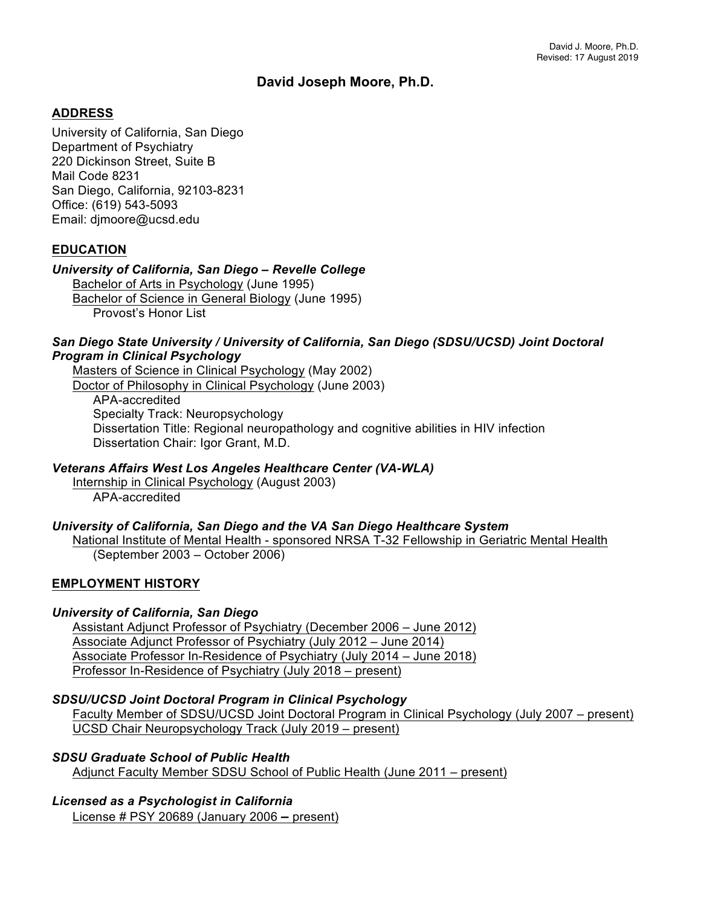## **David Joseph Moore, Ph.D.**

## **ADDRESS**

University of California, San Diego Department of Psychiatry 220 Dickinson Street, Suite B Mail Code 8231 San Diego, California, 92103-8231 Office: (619) 543-5093 Email: djmoore@ucsd.edu

## **EDUCATION**

### *University of California, San Diego – Revelle College*

Bachelor of Arts in Psychology (June 1995) Bachelor of Science in General Biology (June 1995) Provost's Honor List

### *San Diego State University / University of California, San Diego (SDSU/UCSD) Joint Doctoral Program in Clinical Psychology*

Masters of Science in Clinical Psychology (May 2002) Doctor of Philosophy in Clinical Psychology (June 2003) APA-accredited Specialty Track: Neuropsychology Dissertation Title: Regional neuropathology and cognitive abilities in HIV infection Dissertation Chair: Igor Grant, M.D.

### *Veterans Affairs West Los Angeles Healthcare Center (VA-WLA)*

Internship in Clinical Psychology (August 2003) APA-accredited

### *University of California, San Diego and the VA San Diego Healthcare System*

National Institute of Mental Health - sponsored NRSA T-32 Fellowship in Geriatric Mental Health (September 2003 – October 2006)

### **EMPLOYMENT HISTORY**

### *University of California, San Diego*

Assistant Adjunct Professor of Psychiatry (December 2006 – June 2012) Associate Adjunct Professor of Psychiatry (July 2012 – June 2014) Associate Professor In-Residence of Psychiatry (July 2014 – June 2018) Professor In-Residence of Psychiatry (July 2018 – present)

### *SDSU/UCSD Joint Doctoral Program in Clinical Psychology*

Faculty Member of SDSU/UCSD Joint Doctoral Program in Clinical Psychology (July 2007 – present) UCSD Chair Neuropsychology Track (July 2019 – present)

### *SDSU Graduate School of Public Health*

Adjunct Faculty Member SDSU School of Public Health (June 2011 – present)

### *Licensed as a Psychologist in California*

License # PSY 20689 (January 2006 **–** present)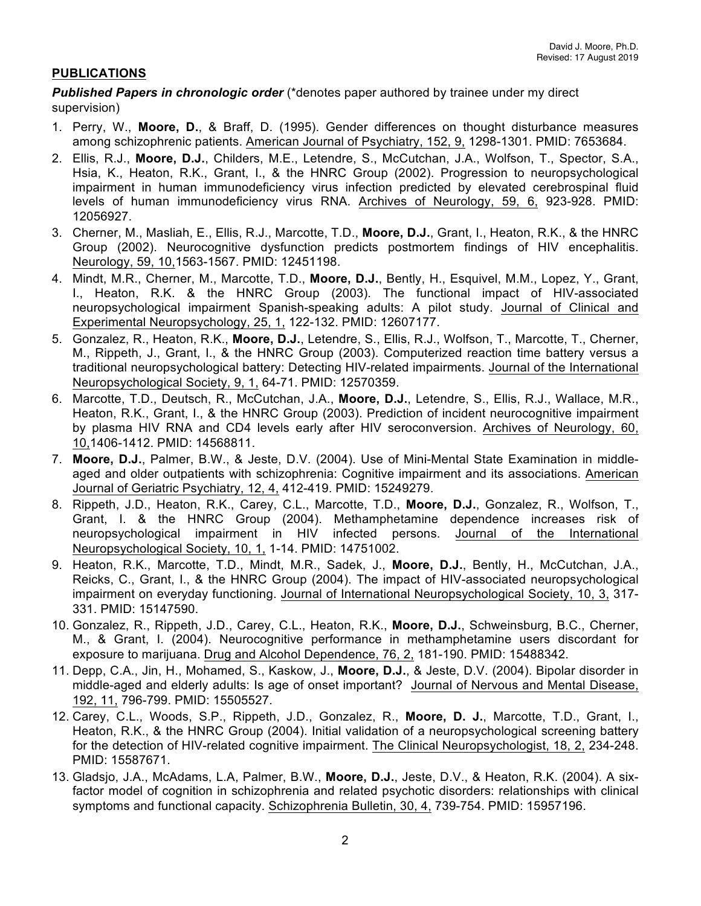## **PUBLICATIONS**

*Published Papers in chronologic order* (\*denotes paper authored by trainee under my direct supervision)

- 1. Perry, W., **Moore, D.**, & Braff, D. (1995). Gender differences on thought disturbance measures among schizophrenic patients. American Journal of Psychiatry, 152, 9, 1298-1301. PMID: 7653684.
- 2. Ellis, R.J., **Moore, D.J.**, Childers, M.E., Letendre, S., McCutchan, J.A., Wolfson, T., Spector, S.A., Hsia, K., Heaton, R.K., Grant, I., & the HNRC Group (2002). Progression to neuropsychological impairment in human immunodeficiency virus infection predicted by elevated cerebrospinal fluid levels of human immunodeficiency virus RNA. Archives of Neurology, 59, 6, 923-928. PMID: 12056927.
- 3. Cherner, M., Masliah, E., Ellis, R.J., Marcotte, T.D., **Moore, D.J.**, Grant, I., Heaton, R.K., & the HNRC Group (2002). Neurocognitive dysfunction predicts postmortem findings of HIV encephalitis. Neurology, 59, 10,1563-1567. PMID: 12451198.
- 4. Mindt, M.R., Cherner, M., Marcotte, T.D., **Moore, D.J.**, Bently, H., Esquivel, M.M., Lopez, Y., Grant, I., Heaton, R.K. & the HNRC Group (2003). The functional impact of HIV-associated neuropsychological impairment Spanish-speaking adults: A pilot study. Journal of Clinical and Experimental Neuropsychology, 25, 1, 122-132. PMID: 12607177.
- 5. Gonzalez, R., Heaton, R.K., **Moore, D.J.**, Letendre, S., Ellis, R.J., Wolfson, T., Marcotte, T., Cherner, M., Rippeth, J., Grant, I., & the HNRC Group (2003). Computerized reaction time battery versus a traditional neuropsychological battery: Detecting HIV-related impairments. Journal of the International Neuropsychological Society, 9, 1, 64-71. PMID: 12570359.
- 6. Marcotte, T.D., Deutsch, R., McCutchan, J.A., **Moore, D.J.**, Letendre, S., Ellis, R.J., Wallace, M.R., Heaton, R.K., Grant, I., & the HNRC Group (2003). Prediction of incident neurocognitive impairment by plasma HIV RNA and CD4 levels early after HIV seroconversion. Archives of Neurology, 60, 10,1406-1412. PMID: 14568811.
- 7. **Moore, D.J.**, Palmer, B.W., & Jeste, D.V. (2004). Use of Mini-Mental State Examination in middleaged and older outpatients with schizophrenia: Cognitive impairment and its associations. American Journal of Geriatric Psychiatry, 12, 4, 412-419. PMID: 15249279.
- 8. Rippeth, J.D., Heaton, R.K., Carey, C.L., Marcotte, T.D., **Moore, D.J.**, Gonzalez, R., Wolfson, T., Grant, I. & the HNRC Group (2004). Methamphetamine dependence increases risk of neuropsychological impairment in HIV infected persons. Journal of the International Neuropsychological Society, 10, 1, 1-14. PMID: 14751002.
- 9. Heaton, R.K., Marcotte, T.D., Mindt, M.R., Sadek, J., **Moore, D.J.**, Bently, H., McCutchan, J.A., Reicks, C., Grant, I., & the HNRC Group (2004). The impact of HIV-associated neuropsychological impairment on everyday functioning. Journal of International Neuropsychological Society, 10, 3, 317- 331. PMID: 15147590.
- 10. Gonzalez, R., Rippeth, J.D., Carey, C.L., Heaton, R.K., **Moore, D.J.**, Schweinsburg, B.C., Cherner, M., & Grant, I. (2004). Neurocognitive performance in methamphetamine users discordant for exposure to marijuana. Drug and Alcohol Dependence, 76, 2, 181-190. PMID: 15488342.
- 11. Depp, C.A., Jin, H., Mohamed, S., Kaskow, J., **Moore, D.J.**, & Jeste, D.V. (2004). Bipolar disorder in middle-aged and elderly adults: Is age of onset important? Journal of Nervous and Mental Disease, 192, 11, 796-799. PMID: 15505527.
- 12. Carey, C.L., Woods, S.P., Rippeth, J.D., Gonzalez, R., **Moore, D. J.**, Marcotte, T.D., Grant, I., Heaton, R.K., & the HNRC Group (2004). Initial validation of a neuropsychological screening battery for the detection of HIV-related cognitive impairment. The Clinical Neuropsychologist, 18, 2, 234-248. PMID: 15587671.
- 13. Gladsjo, J.A., McAdams, L.A, Palmer, B.W., **Moore, D.J.**, Jeste, D.V., & Heaton, R.K. (2004). A sixfactor model of cognition in schizophrenia and related psychotic disorders: relationships with clinical symptoms and functional capacity. Schizophrenia Bulletin, 30, 4, 739-754. PMID: 15957196.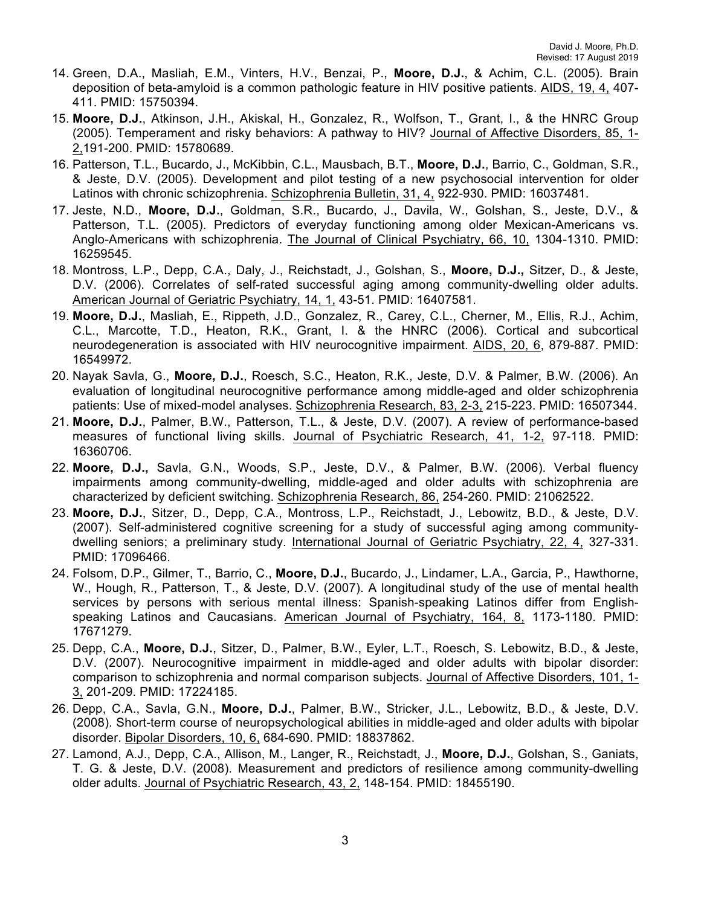- 14. Green, D.A., Masliah, E.M., Vinters, H.V., Benzai, P., **Moore, D.J.**, & Achim, C.L. (2005). Brain deposition of beta-amyloid is a common pathologic feature in HIV positive patients. AIDS, 19, 4, 407- 411. PMID: 15750394.
- 15. **Moore, D.J.**, Atkinson, J.H., Akiskal, H., Gonzalez, R., Wolfson, T., Grant, I., & the HNRC Group (2005). Temperament and risky behaviors: A pathway to HIV? Journal of Affective Disorders, 85, 1- 2,191-200. PMID: 15780689.
- 16. Patterson, T.L., Bucardo, J., McKibbin, C.L., Mausbach, B.T., **Moore, D.J.**, Barrio, C., Goldman, S.R., & Jeste, D.V. (2005). Development and pilot testing of a new psychosocial intervention for older Latinos with chronic schizophrenia. Schizophrenia Bulletin, 31, 4, 922-930. PMID: 16037481.
- 17. Jeste, N.D., **Moore, D.J.**, Goldman, S.R., Bucardo, J., Davila, W., Golshan, S., Jeste, D.V., & Patterson, T.L. (2005). Predictors of everyday functioning among older Mexican-Americans vs. Anglo-Americans with schizophrenia. The Journal of Clinical Psychiatry, 66, 10, 1304-1310. PMID: 16259545.
- 18. Montross, L.P., Depp, C.A., Daly, J., Reichstadt, J., Golshan, S., **Moore, D.J.,** Sitzer, D., & Jeste, D.V. (2006). Correlates of self-rated successful aging among community-dwelling older adults. American Journal of Geriatric Psychiatry, 14, 1, 43-51. PMID: 16407581.
- 19. **Moore, D.J.**, Masliah, E., Rippeth, J.D., Gonzalez, R., Carey, C.L., Cherner, M., Ellis, R.J., Achim, C.L., Marcotte, T.D., Heaton, R.K., Grant, I. & the HNRC (2006). Cortical and subcortical neurodegeneration is associated with HIV neurocognitive impairment. AIDS, 20, 6, 879-887. PMID: 16549972.
- 20. Nayak Savla, G., **Moore, D.J.**, Roesch, S.C., Heaton, R.K., Jeste, D.V. & Palmer, B.W. (2006). An evaluation of longitudinal neurocognitive performance among middle-aged and older schizophrenia patients: Use of mixed-model analyses. Schizophrenia Research, 83, 2-3, 215-223. PMID: 16507344.
- 21. **Moore, D.J.**, Palmer, B.W., Patterson, T.L., & Jeste, D.V. (2007). A review of performance-based measures of functional living skills. Journal of Psychiatric Research, 41, 1-2, 97-118. PMID: 16360706.
- 22. **Moore, D.J.,** Savla, G.N., Woods, S.P., Jeste, D.V., & Palmer, B.W. (2006). Verbal fluency impairments among community-dwelling, middle-aged and older adults with schizophrenia are characterized by deficient switching. Schizophrenia Research, 86, 254-260. PMID: 21062522.
- 23. **Moore, D.J.**, Sitzer, D., Depp, C.A., Montross, L.P., Reichstadt, J., Lebowitz, B.D., & Jeste, D.V. (2007). Self-administered cognitive screening for a study of successful aging among communitydwelling seniors; a preliminary study. International Journal of Geriatric Psychiatry, 22, 4, 327-331. PMID: 17096466.
- 24. Folsom, D.P., Gilmer, T., Barrio, C., **Moore, D.J.**, Bucardo, J., Lindamer, L.A., Garcia, P., Hawthorne, W., Hough, R., Patterson, T., & Jeste, D.V. (2007). A longitudinal study of the use of mental health services by persons with serious mental illness: Spanish-speaking Latinos differ from Englishspeaking Latinos and Caucasians. American Journal of Psychiatry, 164, 8, 1173-1180. PMID: 17671279.
- 25. Depp, C.A., **Moore, D.J.**, Sitzer, D., Palmer, B.W., Eyler, L.T., Roesch, S. Lebowitz, B.D., & Jeste, D.V. (2007). Neurocognitive impairment in middle-aged and older adults with bipolar disorder: comparison to schizophrenia and normal comparison subjects. Journal of Affective Disorders, 101, 1- 3, 201-209. PMID: 17224185.
- 26. Depp, C.A., Savla, G.N., **Moore, D.J.**, Palmer, B.W., Stricker, J.L., Lebowitz, B.D., & Jeste, D.V. (2008). Short-term course of neuropsychological abilities in middle-aged and older adults with bipolar disorder. Bipolar Disorders, 10, 6, 684-690. PMID: 18837862.
- 27. Lamond, A.J., Depp, C.A., Allison, M., Langer, R., Reichstadt, J., **Moore, D.J.**, Golshan, S., Ganiats, T. G. & Jeste, D.V. (2008). Measurement and predictors of resilience among community-dwelling older adults. Journal of Psychiatric Research, 43, 2, 148-154. PMID: 18455190.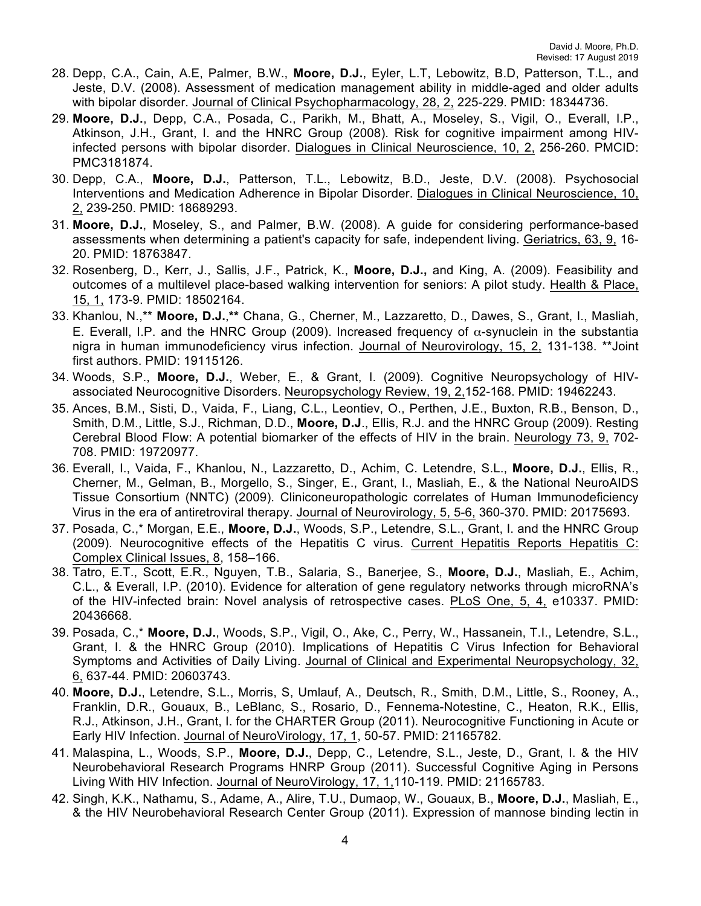- 28. Depp, C.A., Cain, A.E, Palmer, B.W., **Moore, D.J.**, Eyler, L.T, Lebowitz, B.D, Patterson, T.L., and Jeste, D.V. (2008). Assessment of medication management ability in middle-aged and older adults with bipolar disorder. Journal of Clinical Psychopharmacology, 28, 2, 225-229. PMID: 18344736.
- 29. **Moore, D.J.**, Depp, C.A., Posada, C., Parikh, M., Bhatt, A., Moseley, S., Vigil, O., Everall, I.P., Atkinson, J.H., Grant, I. and the HNRC Group (2008). Risk for cognitive impairment among HIVinfected persons with bipolar disorder. Dialogues in Clinical Neuroscience, 10, 2, 256-260. PMCID: PMC3181874.
- 30. Depp, C.A., **Moore, D.J.**, Patterson, T.L., Lebowitz, B.D., Jeste, D.V. (2008). Psychosocial Interventions and Medication Adherence in Bipolar Disorder. Dialogues in Clinical Neuroscience, 10, 2, 239-250. PMID: 18689293.
- 31. **Moore, D.J.**, Moseley, S., and Palmer, B.W. (2008). A guide for considering performance-based assessments when determining a patient's capacity for safe, independent living. Geriatrics, 63, 9, 16- 20. PMID: 18763847.
- 32. Rosenberg, D., Kerr, J., Sallis, J.F., Patrick, K., **Moore, D.J.,** and King, A. (2009). Feasibility and outcomes of a multilevel place-based walking intervention for seniors: A pilot study. Health & Place, 15, 1, 173-9. PMID: 18502164.
- 33. Khanlou, N.,\*\* **Moore, D.J.**,**\*\*** Chana, G., Cherner, M., Lazzaretto, D., Dawes, S., Grant, I., Masliah, E. Everall, I.P. and the HNRC Group (2009). Increased frequency of  $\alpha$ -synuclein in the substantia nigra in human immunodeficiency virus infection. Journal of Neurovirology, 15, 2, 131-138. \*\*Joint first authors. PMID: 19115126.
- 34. Woods, S.P., **Moore, D.J.**, Weber, E., & Grant, I. (2009). Cognitive Neuropsychology of HIVassociated Neurocognitive Disorders. Neuropsychology Review, 19, 2,152-168. PMID: 19462243.
- 35. Ances, B.M., Sisti, D., Vaida, F., Liang, C.L., Leontiev, O., Perthen, J.E., Buxton, R.B., Benson, D., Smith, D.M., Little, S.J., Richman, D.D., **Moore, D.J**., Ellis, R.J. and the HNRC Group (2009). Resting Cerebral Blood Flow: A potential biomarker of the effects of HIV in the brain. Neurology 73, 9, 702- 708. PMID: 19720977.
- 36. Everall, I., Vaida, F., Khanlou, N., Lazzaretto, D., Achim, C. Letendre, S.L., **Moore, D.J.**, Ellis, R., Cherner, M., Gelman, B., Morgello, S., Singer, E., Grant, I., Masliah, E., & the National NeuroAIDS Tissue Consortium (NNTC) (2009). Cliniconeuropathologic correlates of Human Immunodeficiency Virus in the era of antiretroviral therapy. Journal of Neurovirology, 5, 5-6, 360-370. PMID: 20175693.
- 37. Posada, C.,\* Morgan, E.E., **Moore, D.J.**, Woods, S.P., Letendre, S.L., Grant, I. and the HNRC Group (2009). Neurocognitive effects of the Hepatitis C virus. Current Hepatitis Reports Hepatitis C: Complex Clinical Issues, 8, 158–166.
- 38. Tatro, E.T., Scott, E.R., Nguyen, T.B., Salaria, S., Banerjee, S., **Moore, D.J.**, Masliah, E., Achim, C.L., & Everall, I.P. (2010). Evidence for alteration of gene regulatory networks through microRNA's of the HIV-infected brain: Novel analysis of retrospective cases. PLoS One, 5, 4, e10337. PMID: 20436668.
- 39. Posada, C.,\* **Moore, D.J.**, Woods, S.P., Vigil, O., Ake, C., Perry, W., Hassanein, T.I., Letendre, S.L., Grant, I. & the HNRC Group (2010). Implications of Hepatitis C Virus Infection for Behavioral Symptoms and Activities of Daily Living. Journal of Clinical and Experimental Neuropsychology, 32, 6, 637-44. PMID: 20603743.
- 40. **Moore, D.J.**, Letendre, S.L., Morris, S, Umlauf, A., Deutsch, R., Smith, D.M., Little, S., Rooney, A., Franklin, D.R., Gouaux, B., LeBlanc, S., Rosario, D., Fennema-Notestine, C., Heaton, R.K., Ellis, R.J., Atkinson, J.H., Grant, I. for the CHARTER Group (2011). Neurocognitive Functioning in Acute or Early HIV Infection. Journal of NeuroVirology, 17, 1, 50-57. PMID: 21165782.
- 41. Malaspina, L., Woods, S.P., **Moore, D.J.**, Depp, C., Letendre, S.L., Jeste, D., Grant, I. & the HIV Neurobehavioral Research Programs HNRP Group (2011). Successful Cognitive Aging in Persons Living With HIV Infection. Journal of NeuroVirology, 17, 1,110-119. PMID: 21165783.
- 42. Singh, K.K., Nathamu, S., Adame, A., Alire, T.U., Dumaop, W., Gouaux, B., **Moore, D.J.**, Masliah, E., & the HIV Neurobehavioral Research Center Group (2011). Expression of mannose binding lectin in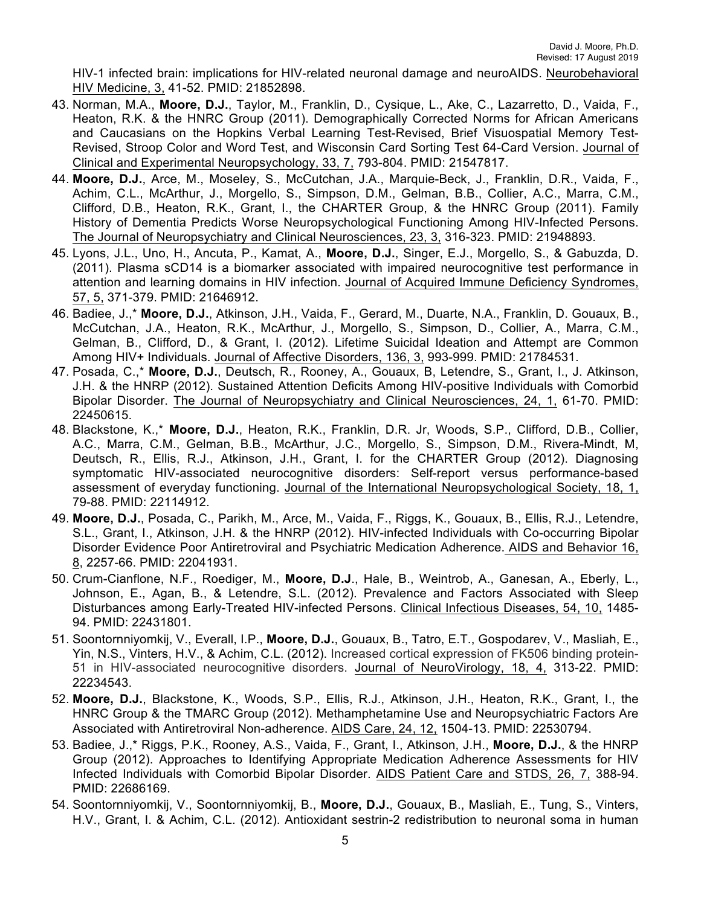HIV-1 infected brain: implications for HIV-related neuronal damage and neuroAIDS. Neurobehavioral HIV Medicine, 3, 41-52. PMID: 21852898.

- 43. Norman, M.A., **Moore, D.J.**, Taylor, M., Franklin, D., Cysique, L., Ake, C., Lazarretto, D., Vaida, F., Heaton, R.K. & the HNRC Group (2011). Demographically Corrected Norms for African Americans and Caucasians on the Hopkins Verbal Learning Test-Revised, Brief Visuospatial Memory Test-Revised, Stroop Color and Word Test, and Wisconsin Card Sorting Test 64-Card Version. Journal of Clinical and Experimental Neuropsychology, 33, 7, 793-804. PMID: 21547817.
- 44. **Moore, D.J.**, Arce, M., Moseley, S., McCutchan, J.A., Marquie-Beck, J., Franklin, D.R., Vaida, F., Achim, C.L., McArthur, J., Morgello, S., Simpson, D.M., Gelman, B.B., Collier, A.C., Marra, C.M., Clifford, D.B., Heaton, R.K., Grant, I., the CHARTER Group, & the HNRC Group (2011). Family History of Dementia Predicts Worse Neuropsychological Functioning Among HIV-Infected Persons. The Journal of Neuropsychiatry and Clinical Neurosciences, 23, 3, 316-323. PMID: 21948893.
- 45. Lyons, J.L., Uno, H., Ancuta, P., Kamat, A., **Moore, D.J.**, Singer, E.J., Morgello, S., & Gabuzda, D. (2011). Plasma sCD14 is a biomarker associated with impaired neurocognitive test performance in attention and learning domains in HIV infection. Journal of Acquired Immune Deficiency Syndromes, 57, 5, 371-379. PMID: 21646912.
- 46. Badiee, J.,\* **Moore, D.J.**, Atkinson, J.H., Vaida, F., Gerard, M., Duarte, N.A., Franklin, D. Gouaux, B., McCutchan, J.A., Heaton, R.K., McArthur, J., Morgello, S., Simpson, D., Collier, A., Marra, C.M., Gelman, B., Clifford, D., & Grant, I. (2012). Lifetime Suicidal Ideation and Attempt are Common Among HIV+ Individuals. Journal of Affective Disorders, 136, 3, 993-999. PMID: 21784531.
- 47. Posada, C.,\* **Moore, D.J.**, Deutsch, R., Rooney, A., Gouaux, B, Letendre, S., Grant, I., J. Atkinson, J.H. & the HNRP (2012). Sustained Attention Deficits Among HIV-positive Individuals with Comorbid Bipolar Disorder. The Journal of Neuropsychiatry and Clinical Neurosciences, 24, 1, 61-70. PMID: 22450615.
- 48. Blackstone, K.,\* **Moore, D.J.**, Heaton, R.K., Franklin, D.R. Jr, Woods, S.P., Clifford, D.B., Collier, A.C., Marra, C.M., Gelman, B.B., McArthur, J.C., Morgello, S., Simpson, D.M., Rivera-Mindt, M, Deutsch, R., Ellis, R.J., Atkinson, J.H., Grant, I. for the CHARTER Group (2012). Diagnosing symptomatic HIV-associated neurocognitive disorders: Self-report versus performance-based assessment of everyday functioning. Journal of the International Neuropsychological Society, 18, 1, 79-88. PMID: 22114912.
- 49. **Moore, D.J.**, Posada, C., Parikh, M., Arce, M., Vaida, F., Riggs, K., Gouaux, B., Ellis, R.J., Letendre, S.L., Grant, I., Atkinson, J.H. & the HNRP (2012). HIV-infected Individuals with Co-occurring Bipolar Disorder Evidence Poor Antiretroviral and Psychiatric Medication Adherence. AIDS and Behavior 16, 8, 2257-66. PMID: 22041931.
- 50. Crum-Cianflone, N.F., Roediger, M., **Moore, D.J**., Hale, B., Weintrob, A., Ganesan, A., Eberly, L., Johnson, E., Agan, B., & Letendre, S.L. (2012). Prevalence and Factors Associated with Sleep Disturbances among Early-Treated HIV-infected Persons. Clinical Infectious Diseases, 54, 10, 1485- 94. PMID: 22431801.
- 51. Soontornniyomkij, V., Everall, I.P., **Moore, D.J.**, Gouaux, B., Tatro, E.T., Gospodarev, V., Masliah, E., Yin, N.S., Vinters, H.V., & Achim, C.L. (2012). Increased cortical expression of FK506 binding protein-51 in HIV-associated neurocognitive disorders. Journal of NeuroVirology, 18, 4, 313-22. PMID: 22234543.
- 52. **Moore, D.J.**, Blackstone, K., Woods, S.P., Ellis, R.J., Atkinson, J.H., Heaton, R.K., Grant, I., the HNRC Group & the TMARC Group (2012). Methamphetamine Use and Neuropsychiatric Factors Are Associated with Antiretroviral Non-adherence. AIDS Care, 24, 12, 1504-13. PMID: 22530794.
- 53. Badiee, J.,\* Riggs, P.K., Rooney, A.S., Vaida, F., Grant, I., Atkinson, J.H., **Moore, D.J.**, & the HNRP Group (2012). Approaches to Identifying Appropriate Medication Adherence Assessments for HIV Infected Individuals with Comorbid Bipolar Disorder. AIDS Patient Care and STDS, 26, 7, 388-94. PMID: 22686169.
- 54. Soontornniyomkij, V., Soontornniyomkij, B., **Moore, D.J.**, Gouaux, B., Masliah, E., Tung, S., Vinters, H.V., Grant, I. & Achim, C.L. (2012). Antioxidant sestrin-2 redistribution to neuronal soma in human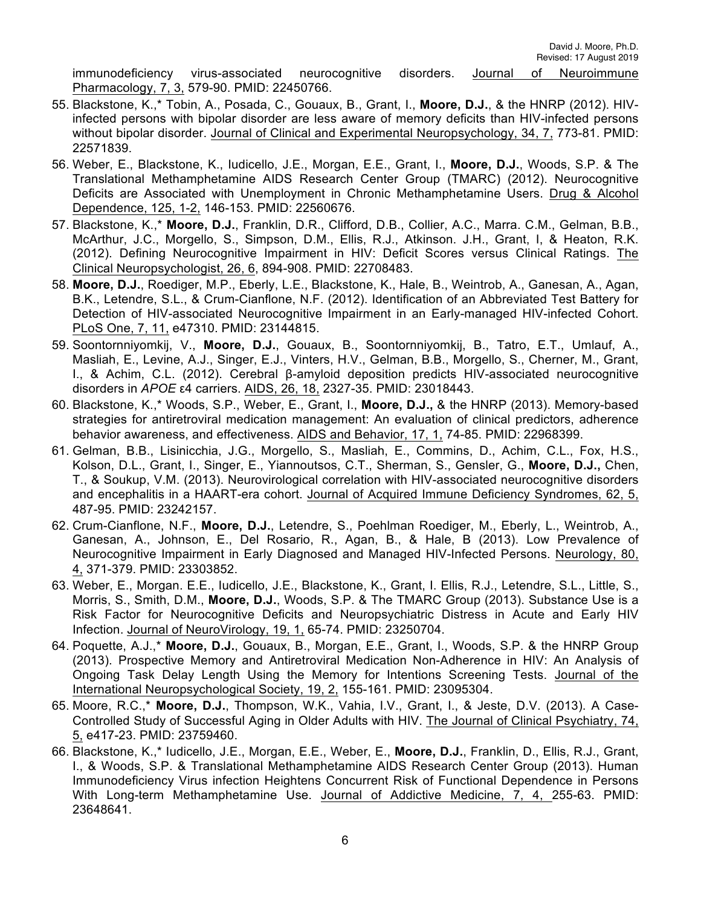immunodeficiency virus-associated neurocognitive disorders. Journal of Neuroimmune Pharmacology, 7, 3, 579-90. PMID: 22450766.

- 55. Blackstone, K.,\* Tobin, A., Posada, C., Gouaux, B., Grant, I., **Moore, D.J.**, & the HNRP (2012). HIVinfected persons with bipolar disorder are less aware of memory deficits than HIV-infected persons without bipolar disorder. Journal of Clinical and Experimental Neuropsychology, 34, 7, 773-81. PMID: 22571839.
- 56. Weber, E., Blackstone, K., Iudicello, J.E., Morgan, E.E., Grant, I., **Moore, D.J.**, Woods, S.P. & The Translational Methamphetamine AIDS Research Center Group (TMARC) (2012). Neurocognitive Deficits are Associated with Unemployment in Chronic Methamphetamine Users. Drug & Alcohol Dependence, 125, 1-2, 146-153. PMID: 22560676.
- 57. Blackstone, K.,\* **Moore, D.J.**, Franklin, D.R., Clifford, D.B., Collier, A.C., Marra. C.M., Gelman, B.B., McArthur, J.C., Morgello, S., Simpson, D.M., Ellis, R.J., Atkinson. J.H., Grant, I, & Heaton, R.K. (2012). Defining Neurocognitive Impairment in HIV: Deficit Scores versus Clinical Ratings. The Clinical Neuropsychologist, 26, 6, 894-908. PMID: 22708483.
- 58. **Moore, D.J.**, Roediger, M.P., Eberly, L.E., Blackstone, K., Hale, B., Weintrob, A., Ganesan, A., Agan, B.K., Letendre, S.L., & Crum-Cianflone, N.F. (2012). Identification of an Abbreviated Test Battery for Detection of HIV-associated Neurocognitive Impairment in an Early-managed HIV-infected Cohort. PLoS One, 7, 11, e47310. PMID: 23144815.
- 59. Soontornniyomkij, V., **Moore, D.J.**, Gouaux, B., Soontornniyomkij, B., Tatro, E.T., Umlauf, A., Masliah, E., Levine, A.J., Singer, E.J., Vinters, H.V., Gelman, B.B., Morgello, S., Cherner, M., Grant, I., & Achim, C.L. (2012). Cerebral β-amyloid deposition predicts HIV-associated neurocognitive disorders in *APOE* ε4 carriers. AIDS, 26, 18, 2327-35. PMID: 23018443.
- 60. Blackstone, K.,\* Woods, S.P., Weber, E., Grant, I., **Moore, D.J.,** & the HNRP (2013). Memory-based strategies for antiretroviral medication management: An evaluation of clinical predictors, adherence behavior awareness, and effectiveness. AIDS and Behavior, 17, 1, 74-85. PMID: 22968399.
- 61. Gelman, B.B., Lisinicchia, J.G., Morgello, S., Masliah, E., Commins, D., Achim, C.L., Fox, H.S., Kolson, D.L., Grant, I., Singer, E., Yiannoutsos, C.T., Sherman, S., Gensler, G., **Moore, D.J.,** Chen, T., & Soukup, V.M. (2013). Neurovirological correlation with HIV-associated neurocognitive disorders and encephalitis in a HAART-era cohort. Journal of Acquired Immune Deficiency Syndromes, 62, 5, 487-95. PMID: 23242157.
- 62. Crum-Cianflone, N.F., **Moore, D.J.**, Letendre, S., Poehlman Roediger, M., Eberly, L., Weintrob, A., Ganesan, A., Johnson, E., Del Rosario, R., Agan, B., & Hale, B (2013). Low Prevalence of Neurocognitive Impairment in Early Diagnosed and Managed HIV-Infected Persons. Neurology, 80, 4, 371-379. PMID: 23303852.
- 63. Weber, E., Morgan. E.E., Iudicello, J.E., Blackstone, K., Grant, I. Ellis, R.J., Letendre, S.L., Little, S., Morris, S., Smith, D.M., **Moore, D.J.**, Woods, S.P. & The TMARC Group (2013). Substance Use is a Risk Factor for Neurocognitive Deficits and Neuropsychiatric Distress in Acute and Early HIV Infection. Journal of NeuroVirology, 19, 1, 65-74. PMID: 23250704.
- 64. Poquette, A.J.,\* **Moore, D.J.**, Gouaux, B., Morgan, E.E., Grant, I., Woods, S.P. & the HNRP Group (2013). Prospective Memory and Antiretroviral Medication Non-Adherence in HIV: An Analysis of Ongoing Task Delay Length Using the Memory for Intentions Screening Tests. Journal of the International Neuropsychological Society, 19, 2, 155-161. PMID: 23095304.
- 65. Moore, R.C.,\* **Moore, D.J.**, Thompson, W.K., Vahia, I.V., Grant, I., & Jeste, D.V. (2013). A Case-Controlled Study of Successful Aging in Older Adults with HIV. The Journal of Clinical Psychiatry, 74, 5, e417-23. PMID: 23759460.
- 66. Blackstone, K.,\* Iudicello, J.E., Morgan, E.E., Weber, E., **Moore, D.J.**, Franklin, D., Ellis, R.J., Grant, I., & Woods, S.P. & Translational Methamphetamine AIDS Research Center Group (2013). Human Immunodeficiency Virus infection Heightens Concurrent Risk of Functional Dependence in Persons With Long-term Methamphetamine Use. Journal of Addictive Medicine, 7, 4, 255-63. PMID: 23648641.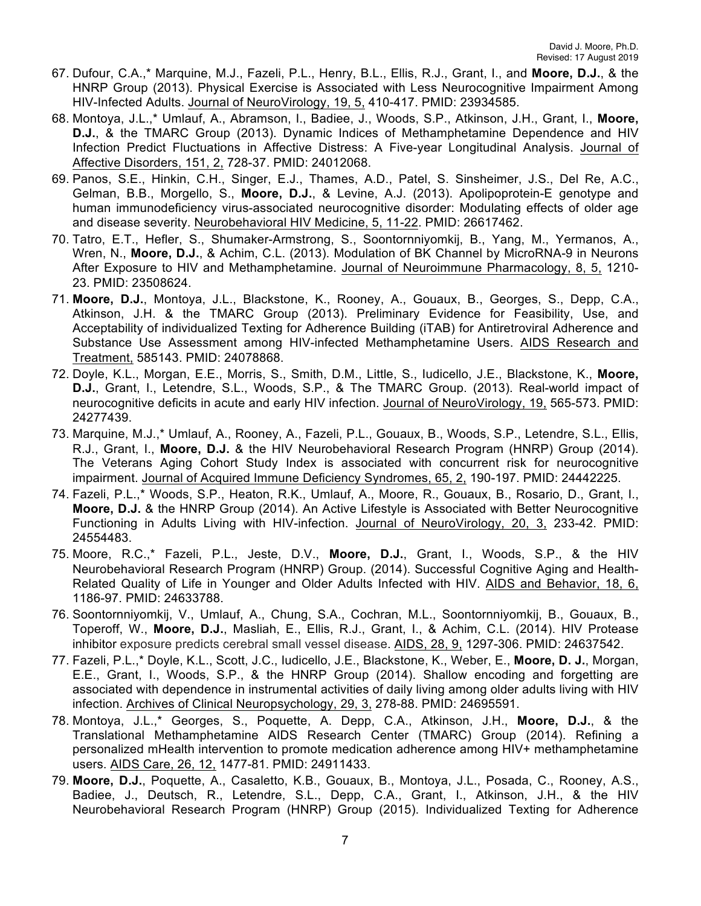- 67. Dufour, C.A.,\* Marquine, M.J., Fazeli, P.L., Henry, B.L., Ellis, R.J., Grant, I., and **Moore, D.J.**, & the HNRP Group (2013). Physical Exercise is Associated with Less Neurocognitive Impairment Among HIV-Infected Adults. Journal of NeuroVirology, 19, 5, 410-417. PMID: 23934585.
- 68. Montoya, J.L.,\* Umlauf, A., Abramson, I., Badiee, J., Woods, S.P., Atkinson, J.H., Grant, I., **Moore, D.J.**, & the TMARC Group (2013). Dynamic Indices of Methamphetamine Dependence and HIV Infection Predict Fluctuations in Affective Distress: A Five-year Longitudinal Analysis. Journal of Affective Disorders, 151, 2, 728-37. PMID: 24012068.
- 69. Panos, S.E., Hinkin, C.H., Singer, E.J., Thames, A.D., Patel, S. Sinsheimer, J.S., Del Re, A.C., Gelman, B.B., Morgello, S., **Moore, D.J.**, & Levine, A.J. (2013). Apolipoprotein-E genotype and human immunodeficiency virus-associated neurocognitive disorder: Modulating effects of older age and disease severity. Neurobehavioral HIV Medicine, 5, 11-22. PMID: 26617462.
- 70. Tatro, E.T., Hefler, S., Shumaker-Armstrong, S., Soontornniyomkij, B., Yang, M., Yermanos, A., Wren, N., **Moore, D.J.**, & Achim, C.L. (2013). Modulation of BK Channel by MicroRNA-9 in Neurons After Exposure to HIV and Methamphetamine. Journal of Neuroimmune Pharmacology, 8, 5, 1210- 23. PMID: 23508624.
- 71. **Moore, D.J.**, Montoya, J.L., Blackstone, K., Rooney, A., Gouaux, B., Georges, S., Depp, C.A., Atkinson, J.H. & the TMARC Group (2013). Preliminary Evidence for Feasibility, Use, and Acceptability of individualized Texting for Adherence Building (iTAB) for Antiretroviral Adherence and Substance Use Assessment among HIV-infected Methamphetamine Users. AIDS Research and Treatment, 585143. PMID: 24078868.
- 72. Doyle, K.L., Morgan, E.E., Morris, S., Smith, D.M., Little, S., Iudicello, J.E., Blackstone, K., **Moore, D.J.**, Grant, I., Letendre, S.L., Woods, S.P., & The TMARC Group. (2013). Real-world impact of neurocognitive deficits in acute and early HIV infection. Journal of NeuroVirology, 19, 565-573. PMID: 24277439.
- 73. Marquine, M.J.,\* Umlauf, A., Rooney, A., Fazeli, P.L., Gouaux, B., Woods, S.P., Letendre, S.L., Ellis, R.J., Grant, I., **Moore, D.J.** & the HIV Neurobehavioral Research Program (HNRP) Group (2014). The Veterans Aging Cohort Study Index is associated with concurrent risk for neurocognitive impairment. Journal of Acquired Immune Deficiency Syndromes, 65, 2, 190-197. PMID: 24442225.
- 74. Fazeli, P.L.,\* Woods, S.P., Heaton, R.K., Umlauf, A., Moore, R., Gouaux, B., Rosario, D., Grant, I., **Moore, D.J.** & the HNRP Group (2014). An Active Lifestyle is Associated with Better Neurocognitive Functioning in Adults Living with HIV-infection. Journal of NeuroVirology, 20, 3, 233-42. PMID: 24554483.
- 75. Moore, R.C.,\* Fazeli, P.L., Jeste, D.V., **Moore, D.J.**, Grant, I., Woods, S.P., & the HIV Neurobehavioral Research Program (HNRP) Group. (2014). Successful Cognitive Aging and Health-Related Quality of Life in Younger and Older Adults Infected with HIV. AIDS and Behavior, 18, 6, 1186-97. PMID: 24633788.
- 76. Soontornniyomkij, V., Umlauf, A., Chung, S.A., Cochran, M.L., Soontornniyomkij, B., Gouaux, B., Toperoff, W., **Moore, D.J.**, Masliah, E., Ellis, R.J., Grant, I., & Achim, C.L. (2014). HIV Protease inhibitor exposure predicts cerebral small vessel disease. AIDS, 28, 9, 1297-306. PMID: 24637542.
- 77. Fazeli, P.L.,\* Doyle, K.L., Scott, J.C., Iudicello, J.E., Blackstone, K., Weber, E., **Moore, D. J.**, Morgan, E.E., Grant, I., Woods, S.P., & the HNRP Group (2014). Shallow encoding and forgetting are associated with dependence in instrumental activities of daily living among older adults living with HIV infection. Archives of Clinical Neuropsychology, 29, 3, 278-88. PMID: 24695591.
- 78. Montoya, J.L.,\* Georges, S., Poquette, A. Depp, C.A., Atkinson, J.H., **Moore, D.J.**, & the Translational Methamphetamine AIDS Research Center (TMARC) Group (2014). Refining a personalized mHealth intervention to promote medication adherence among HIV+ methamphetamine users. AIDS Care, 26, 12, 1477-81. PMID: 24911433.
- 79. **Moore, D.J.**, Poquette, A., Casaletto, K.B., Gouaux, B., Montoya, J.L., Posada, C., Rooney, A.S., Badiee, J., Deutsch, R., Letendre, S.L., Depp, C.A., Grant, I., Atkinson, J.H., & the HIV Neurobehavioral Research Program (HNRP) Group (2015). Individualized Texting for Adherence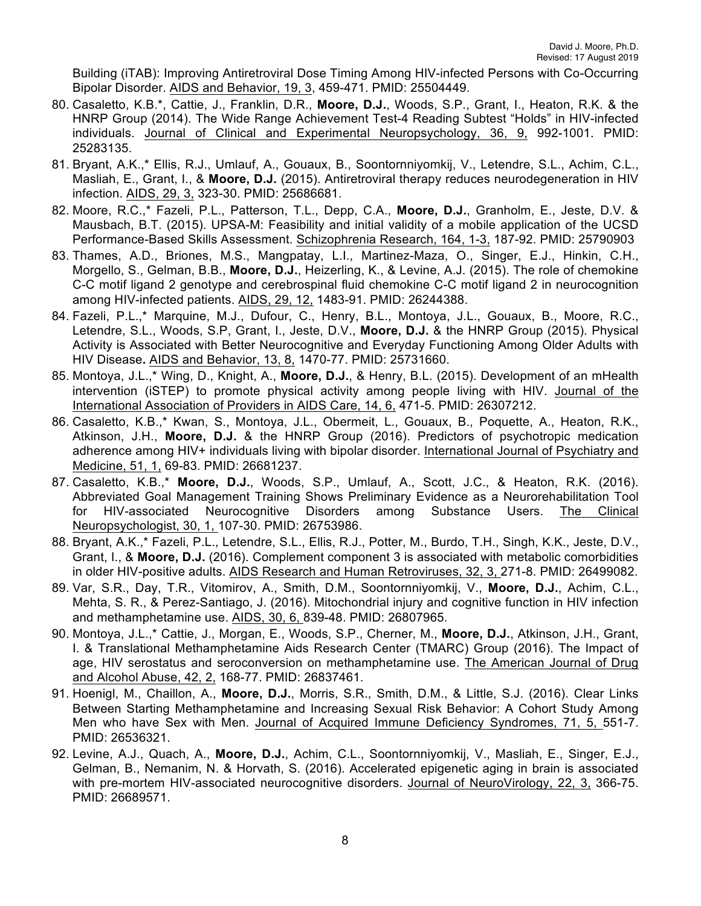Building (iTAB): Improving Antiretroviral Dose Timing Among HIV-infected Persons with Co-Occurring Bipolar Disorder. AIDS and Behavior, 19, 3, 459-471. PMID: 25504449.

- 80. Casaletto, K.B.\*, Cattie, J., Franklin, D.R., **Moore, D.J.**, Woods, S.P., Grant, I., Heaton, R.K. & the HNRP Group (2014). The Wide Range Achievement Test-4 Reading Subtest "Holds" in HIV-infected individuals. Journal of Clinical and Experimental Neuropsychology, 36, 9, 992-1001. PMID: 25283135.
- 81. Bryant, A.K.,\* Ellis, R.J., Umlauf, A., Gouaux, B., Soontornniyomkij, V., Letendre, S.L., Achim, C.L., Masliah, E., Grant, I., & **Moore, D.J.** (2015). Antiretroviral therapy reduces neurodegeneration in HIV infection. AIDS, 29, 3, 323-30. PMID: 25686681.
- 82. Moore, R.C.,\* Fazeli, P.L., Patterson, T.L., Depp, C.A., **Moore, D.J.**, Granholm, E., Jeste, D.V. & Mausbach, B.T. (2015). UPSA-M: Feasibility and initial validity of a mobile application of the UCSD Performance-Based Skills Assessment. Schizophrenia Research, 164, 1-3, 187-92. PMID: 25790903
- 83. Thames, A.D., Briones, M.S., Mangpatay, L.I., Martinez-Maza, O., Singer, E.J., Hinkin, C.H., Morgello, S., Gelman, B.B., **Moore, D.J.**, Heizerling, K., & Levine, A.J. (2015). The role of chemokine C-C motif ligand 2 genotype and cerebrospinal fluid chemokine C-C motif ligand 2 in neurocognition among HIV-infected patients. AIDS, 29, 12, 1483-91. PMID: 26244388.
- 84. Fazeli, P.L.,\* Marquine, M.J., Dufour, C., Henry, B.L., Montoya, J.L., Gouaux, B., Moore, R.C., Letendre, S.L., Woods, S.P, Grant, I., Jeste, D.V., **Moore, D.J.** & the HNRP Group (2015). Physical Activity is Associated with Better Neurocognitive and Everyday Functioning Among Older Adults with HIV Disease**.** AIDS and Behavior, 13, 8, 1470-77. PMID: 25731660.
- 85. Montoya, J.L.,\* Wing, D., Knight, A., **Moore, D.J.**, & Henry, B.L. (2015). Development of an mHealth intervention (iSTEP) to promote physical activity among people living with HIV. Journal of the International Association of Providers in AIDS Care, 14, 6, 471-5. PMID: 26307212.
- 86. Casaletto, K.B.,\* Kwan, S., Montoya, J.L., Obermeit, L., Gouaux, B., Poquette, A., Heaton, R.K., Atkinson, J.H., **Moore, D.J.** & the HNRP Group (2016). Predictors of psychotropic medication adherence among HIV+ individuals living with bipolar disorder. International Journal of Psychiatry and Medicine, 51, 1, 69-83. PMID: 26681237.
- 87. Casaletto, K.B.,\* **Moore, D.J.**, Woods, S.P., Umlauf, A., Scott, J.C., & Heaton, R.K. (2016). Abbreviated Goal Management Training Shows Preliminary Evidence as a Neurorehabilitation Tool for HIV-associated Neurocognitive Disorders among Substance Users. The Clinical Neuropsychologist, 30, 1, 107-30. PMID: 26753986.
- 88. Bryant, A.K.,\* Fazeli, P.L., Letendre, S.L., Ellis, R.J., Potter, M., Burdo, T.H., Singh, K.K., Jeste, D.V., Grant, I., & **Moore, D.J.** (2016). Complement component 3 is associated with metabolic comorbidities in older HIV-positive adults. AIDS Research and Human Retroviruses, 32, 3, 271-8. PMID: 26499082.
- 89. Var, S.R., Day, T.R., Vitomirov, A., Smith, D.M., Soontornniyomkij, V., **Moore, D.J.**, Achim, C.L., Mehta, S. R., & Perez-Santiago, J. (2016). Mitochondrial injury and cognitive function in HIV infection and methamphetamine use. AIDS, 30, 6, 839-48. PMID: 26807965.
- 90. Montoya, J.L.,\* Cattie, J., Morgan, E., Woods, S.P., Cherner, M., **Moore, D.J.**, Atkinson, J.H., Grant, I. & Translational Methamphetamine Aids Research Center (TMARC) Group (2016). The Impact of age, HIV serostatus and seroconversion on methamphetamine use. The American Journal of Drug and Alcohol Abuse, 42, 2, 168-77. PMID: 26837461.
- 91. Hoenigl, M., Chaillon, A., **Moore, D.J.**, Morris, S.R., Smith, D.M., & Little, S.J. (2016). Clear Links Between Starting Methamphetamine and Increasing Sexual Risk Behavior: A Cohort Study Among Men who have Sex with Men. Journal of Acquired Immune Deficiency Syndromes, 71, 5, 551-7. PMID: 26536321.
- 92. Levine, A.J., Quach, A., **Moore, D.J.**, Achim, C.L., Soontornniyomkij, V., Masliah, E., Singer, E.J., Gelman, B., Nemanim, N. & Horvath, S. (2016). Accelerated epigenetic aging in brain is associated with pre-mortem HIV-associated neurocognitive disorders. Journal of NeuroVirology, 22, 3, 366-75. PMID: 26689571.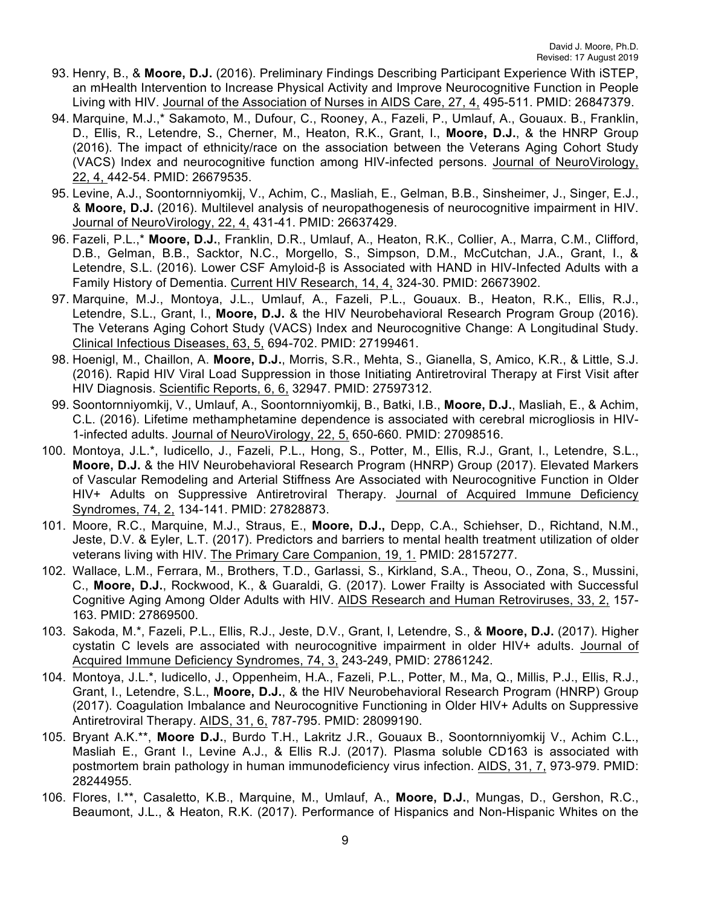- 93. Henry, B., & **Moore, D.J.** (2016). Preliminary Findings Describing Participant Experience With iSTEP, an mHealth Intervention to Increase Physical Activity and Improve Neurocognitive Function in People Living with HIV. Journal of the Association of Nurses in AIDS Care, 27, 4, 495-511. PMID: 26847379.
- 94. Marquine, M.J.,\* Sakamoto, M., Dufour, C., Rooney, A., Fazeli, P., Umlauf, A., Gouaux. B., Franklin, D., Ellis, R., Letendre, S., Cherner, M., Heaton, R.K., Grant, I., **Moore, D.J.**, & the HNRP Group (2016). The impact of ethnicity/race on the association between the Veterans Aging Cohort Study (VACS) Index and neurocognitive function among HIV-infected persons. Journal of NeuroVirology, 22, 4, 442-54. PMID: 26679535.
- 95. Levine, A.J., Soontornniyomkij, V., Achim, C., Masliah, E., Gelman, B.B., Sinsheimer, J., Singer, E.J., & **Moore, D.J.** (2016). Multilevel analysis of neuropathogenesis of neurocognitive impairment in HIV. Journal of NeuroVirology, 22, 4, 431-41. PMID: 26637429.
- 96. Fazeli, P.L.,\* **Moore, D.J.**, Franklin, D.R., Umlauf, A., Heaton, R.K., Collier, A., Marra, C.M., Clifford, D.B., Gelman, B.B., Sacktor, N.C., Morgello, S., Simpson, D.M., McCutchan, J.A., Grant, I., & Letendre, S.L. (2016). Lower CSF Amyloid-β is Associated with HAND in HIV-Infected Adults with a Family History of Dementia. Current HIV Research, 14, 4, 324-30. PMID: 26673902.
- 97. Marquine, M.J., Montoya, J.L., Umlauf, A., Fazeli, P.L., Gouaux. B., Heaton, R.K., Ellis, R.J., Letendre, S.L., Grant, I., **Moore, D.J.** & the HIV Neurobehavioral Research Program Group (2016). The Veterans Aging Cohort Study (VACS) Index and Neurocognitive Change: A Longitudinal Study. Clinical Infectious Diseases, 63, 5, 694-702. PMID: 27199461.
- 98. Hoenigl, M., Chaillon, A. **Moore, D.J.**, Morris, S.R., Mehta, S., Gianella, S, Amico, K.R., & Little, S.J. (2016). Rapid HIV Viral Load Suppression in those Initiating Antiretroviral Therapy at First Visit after HIV Diagnosis. Scientific Reports, 6, 6, 32947. PMID: 27597312.
- 99. Soontornniyomkij, V., Umlauf, A., Soontornniyomkij, B., Batki, I.B., **Moore, D.J.**, Masliah, E., & Achim, C.L. (2016). Lifetime methamphetamine dependence is associated with cerebral microgliosis in HIV-1-infected adults. Journal of NeuroVirology, 22, 5, 650-660. PMID: 27098516.
- 100. Montoya, J.L.\*, Iudicello, J., Fazeli, P.L., Hong, S., Potter, M., Ellis, R.J., Grant, I., Letendre, S.L., **Moore, D.J.** & the HIV Neurobehavioral Research Program (HNRP) Group (2017). Elevated Markers of Vascular Remodeling and Arterial Stiffness Are Associated with Neurocognitive Function in Older HIV+ Adults on Suppressive Antiretroviral Therapy. Journal of Acquired Immune Deficiency Syndromes, 74, 2, 134-141. PMID: 27828873.
- 101. Moore, R.C., Marquine, M.J., Straus, E., **Moore, D.J.,** Depp, C.A., Schiehser, D., Richtand, N.M., Jeste, D.V. & Eyler, L.T. (2017). Predictors and barriers to mental health treatment utilization of older veterans living with HIV. The Primary Care Companion, 19, 1. PMID: 28157277.
- 102. Wallace, L.M., Ferrara, M., Brothers, T.D., Garlassi, S., Kirkland, S.A., Theou, O., Zona, S., Mussini, C., **Moore, D.J.**, Rockwood, K., & Guaraldi, G. (2017). Lower Frailty is Associated with Successful Cognitive Aging Among Older Adults with HIV. AIDS Research and Human Retroviruses, 33, 2, 157- 163. PMID: 27869500.
- 103. Sakoda, M.\*, Fazeli, P.L., Ellis, R.J., Jeste, D.V., Grant, I, Letendre, S., & **Moore, D.J.** (2017). Higher cystatin C levels are associated with neurocognitive impairment in older HIV+ adults. Journal of Acquired Immune Deficiency Syndromes, 74, 3, 243-249, PMID: 27861242.
- 104. Montoya, J.L.\*, Iudicello, J., Oppenheim, H.A., Fazeli, P.L., Potter, M., Ma, Q., Millis, P.J., Ellis, R.J., Grant, I., Letendre, S.L., **Moore, D.J.**, & the HIV Neurobehavioral Research Program (HNRP) Group (2017). Coagulation Imbalance and Neurocognitive Functioning in Older HIV+ Adults on Suppressive Antiretroviral Therapy. AIDS, 31, 6, 787-795. PMID: 28099190.
- 105. Bryant A.K.\*\*, **Moore D.J.**, Burdo T.H., Lakritz J.R., Gouaux B., Soontornniyomkij V., Achim C.L., Masliah E., Grant I., Levine A.J., & Ellis R.J. (2017). Plasma soluble CD163 is associated with postmortem brain pathology in human immunodeficiency virus infection. AIDS, 31, 7, 973-979. PMID: 28244955.
- 106. Flores, I.\*\*, Casaletto, K.B., Marquine, M., Umlauf, A., **Moore, D.J.**, Mungas, D., Gershon, R.C., Beaumont, J.L., & Heaton, R.K. (2017). Performance of Hispanics and Non-Hispanic Whites on the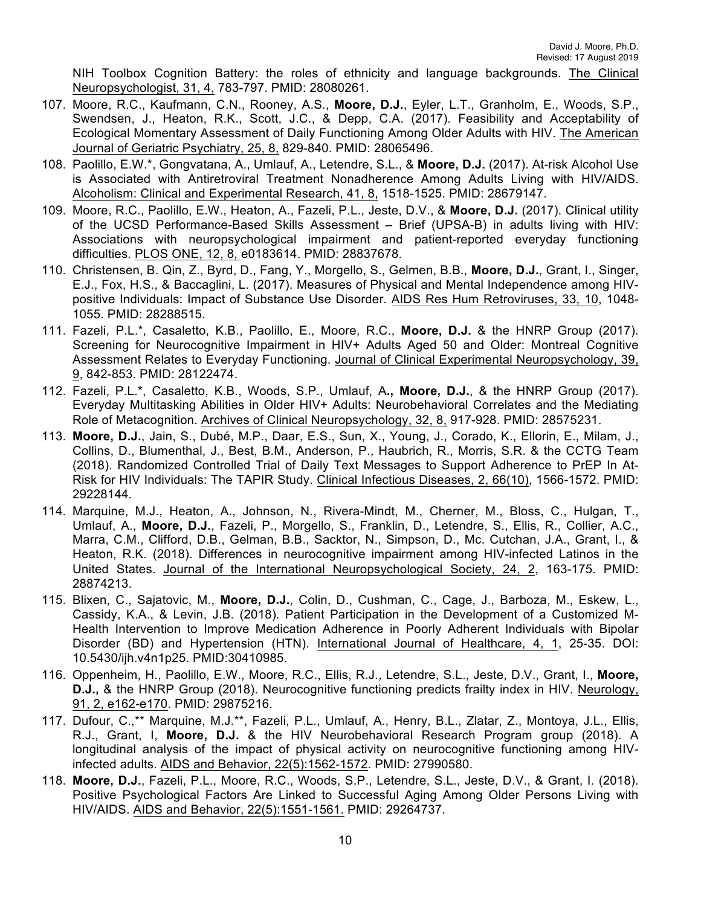NIH Toolbox Cognition Battery: the roles of ethnicity and language backgrounds. The Clinical Neuropsychologist, 31, 4, 783-797. PMID: 28080261.

- 107. Moore, R.C., Kaufmann, C.N., Rooney, A.S., **Moore, D.J.**, Eyler, L.T., Granholm, E., Woods, S.P., Swendsen, J., Heaton, R.K., Scott, J.C., & Depp, C.A. (2017). Feasibility and Acceptability of Ecological Momentary Assessment of Daily Functioning Among Older Adults with HIV. The American Journal of Geriatric Psychiatry, 25, 8, 829-840. PMID: 28065496.
- 108. Paolillo, E.W.\*, Gongvatana, A., Umlauf, A., Letendre, S.L., & **Moore, D.J.** (2017). At-risk Alcohol Use is Associated with Antiretroviral Treatment Nonadherence Among Adults Living with HIV/AIDS. Alcoholism: Clinical and Experimental Research, 41, 8, 1518-1525. PMID: 28679147.
- 109. Moore, R.C., Paolillo, E.W., Heaton, A., Fazeli, P.L., Jeste, D.V., & **Moore, D.J.** (2017). Clinical utility of the UCSD Performance-Based Skills Assessment – Brief (UPSA-B) in adults living with HIV: Associations with neuropsychological impairment and patient-reported everyday functioning difficulties. PLOS ONE, 12, 8, e0183614. PMID: 28837678.
- 110. Christensen, B. Qin, Z., Byrd, D., Fang, Y., Morgello, S., Gelmen, B.B., **Moore, D.J.**, Grant, I., Singer, E.J., Fox, H.S., & Baccaglini, L. (2017). Measures of Physical and Mental Independence among HIVpositive Individuals: Impact of Substance Use Disorder. AIDS Res Hum Retroviruses, 33, 10, 1048- 1055. PMID: 28288515.
- 111. Fazeli, P.L.\*, Casaletto, K.B., Paolillo, E., Moore, R.C., **Moore, D.J.** & the HNRP Group (2017). Screening for Neurocognitive Impairment in HIV+ Adults Aged 50 and Older: Montreal Cognitive Assessment Relates to Everyday Functioning. Journal of Clinical Experimental Neuropsychology, 39, 9, 842-853. PMID: 28122474.
- 112. Fazeli, P.L.\*, Casaletto, K.B., Woods, S.P., Umlauf, A**., Moore, D.J.**, & the HNRP Group (2017). Everyday Multitasking Abilities in Older HIV+ Adults: Neurobehavioral Correlates and the Mediating Role of Metacognition. Archives of Clinical Neuropsychology, 32, 8, 917-928. PMID: 28575231.
- 113. **Moore, D.J.**, Jain, S., Dubé, M.P., Daar, E.S., Sun, X., Young, J., Corado, K., Ellorin, E., Milam, J., Collins, D., Blumenthal, J., Best, B.M., Anderson, P., Haubrich, R., Morris, S.R. & the CCTG Team (2018). Randomized Controlled Trial of Daily Text Messages to Support Adherence to PrEP In At-Risk for HIV Individuals: The TAPIR Study. Clinical Infectious Diseases, 2, 66(10), 1566-1572. PMID: 29228144.
- 114. Marquine, M.J., Heaton, A., Johnson, N., Rivera-Mindt, M., Cherner, M., Bloss, C., Hulgan, T., Umlauf, A., **Moore, D.J.**, Fazeli, P., Morgello, S., Franklin, D., Letendre, S., Ellis, R., Collier, A.C., Marra, C.M., Clifford, D.B., Gelman, B.B., Sacktor, N., Simpson, D., Mc. Cutchan, J.A., Grant, I., & Heaton, R.K. (2018). Differences in neurocognitive impairment among HIV-infected Latinos in the United States. Journal of the International Neuropsychological Society, 24, 2, 163-175. PMID: 28874213.
- 115. Blixen, C., Sajatovic, M., **Moore, D.J.**, Colin, D., Cushman, C., Cage, J., Barboza, M., Eskew, L., Cassidy, K.A., & Levin, J.B. (2018). Patient Participation in the Development of a Customized M-Health Intervention to Improve Medication Adherence in Poorly Adherent Individuals with Bipolar Disorder (BD) and Hypertension (HTN). International Journal of Healthcare, 4, 1, 25-35. DOI: 10.5430/ijh.v4n1p25. PMID:30410985.
- 116. Oppenheim, H., Paolillo, E.W., Moore, R.C., Ellis, R.J., Letendre, S.L., Jeste, D.V., Grant, I., **Moore, D.J.,** & the HNRP Group (2018). Neurocognitive functioning predicts frailty index in HIV. Neurology, 91, 2, e162-e170. PMID: 29875216.
- 117. Dufour, C.,\*\* Marquine, M.J.\*\*, Fazeli, P.L., Umlauf, A., Henry, B.L., Zlatar, Z., Montoya, J.L., Ellis, R.J., Grant, I, **Moore, D.J.** & the HIV Neurobehavioral Research Program group (2018). A longitudinal analysis of the impact of physical activity on neurocognitive functioning among HIVinfected adults. AIDS and Behavior, 22(5):1562-1572. PMID: 27990580.
- 118. **Moore, D.J.**, Fazeli, P.L., Moore, R.C., Woods, S.P., Letendre, S.L., Jeste, D.V., & Grant, I. (2018). Positive Psychological Factors Are Linked to Successful Aging Among Older Persons Living with HIV/AIDS. AIDS and Behavior, 22(5):1551-1561. PMID: 29264737.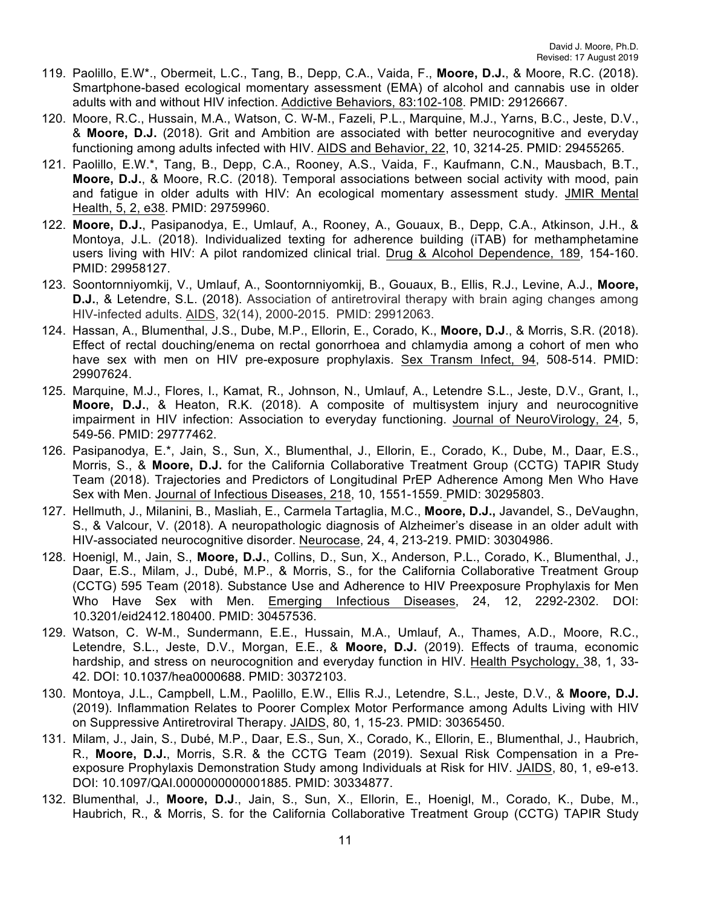- 119. Paolillo, E.W\*., Obermeit, L.C., Tang, B., Depp, C.A., Vaida, F., **Moore, D.J.**, & Moore, R.C. (2018). Smartphone-based ecological momentary assessment (EMA) of alcohol and cannabis use in older adults with and without HIV infection. Addictive Behaviors, 83:102-108. PMID: 29126667.
- 120. Moore, R.C., Hussain, M.A., Watson, C. W-M., Fazeli, P.L., Marquine, M.J., Yarns, B.C., Jeste, D.V., & **Moore, D.J.** (2018). Grit and Ambition are associated with better neurocognitive and everyday functioning among adults infected with HIV. AIDS and Behavior, 22, 10, 3214-25. PMID: 29455265.
- 121. Paolillo, E.W.\*, Tang, B., Depp, C.A., Rooney, A.S., Vaida, F., Kaufmann, C.N., Mausbach, B.T., **Moore, D.J.**, & Moore, R.C. (2018). Temporal associations between social activity with mood, pain and fatigue in older adults with HIV: An ecological momentary assessment study. JMIR Mental Health, 5, 2, e38. PMID: 29759960.
- 122. **Moore, D.J.**, Pasipanodya, E., Umlauf, A., Rooney, A., Gouaux, B., Depp, C.A., Atkinson, J.H., & Montoya, J.L. (2018). Individualized texting for adherence building (iTAB) for methamphetamine users living with HIV: A pilot randomized clinical trial. Drug & Alcohol Dependence, 189, 154-160. PMID: 29958127.
- 123. Soontornniyomkij, V., Umlauf, A., Soontornniyomkij, B., Gouaux, B., Ellis, R.J., Levine, A.J., **Moore, D.J.**, & Letendre, S.L. (2018). Association of antiretroviral therapy with brain aging changes among HIV-infected adults. AIDS, 32(14), 2000-2015. PMID: 29912063.
- 124. Hassan, A., Blumenthal, J.S., Dube, M.P., Ellorin, E., Corado, K., **Moore, D.J**., & Morris, S.R. (2018). Effect of rectal douching/enema on rectal gonorrhoea and chlamydia among a cohort of men who have sex with men on HIV pre-exposure prophylaxis. Sex Transm Infect, 94, 508-514. PMID: 29907624.
- 125. Marquine, M.J., Flores, I., Kamat, R., Johnson, N., Umlauf, A., Letendre S.L., Jeste, D.V., Grant, I., **Moore, D.J.**, & Heaton, R.K. (2018). A composite of multisystem injury and neurocognitive impairment in HIV infection: Association to everyday functioning. Journal of NeuroVirology, 24, 5, 549-56. PMID: 29777462.
- 126. Pasipanodya, E.\*, Jain, S., Sun, X., Blumenthal, J., Ellorin, E., Corado, K., Dube, M., Daar, E.S., Morris, S., & **Moore, D.J.** for the California Collaborative Treatment Group (CCTG) TAPIR Study Team (2018). Trajectories and Predictors of Longitudinal PrEP Adherence Among Men Who Have Sex with Men. Journal of Infectious Diseases, 218, 10, 1551-1559. PMID: 30295803.
- 127. Hellmuth, J., Milanini, B., Masliah, E., Carmela Tartaglia, M.C., **Moore, D.J.,** Javandel, S., DeVaughn, S., & Valcour, V. (2018). A neuropathologic diagnosis of Alzheimer's disease in an older adult with HIV-associated neurocognitive disorder. Neurocase, 24, 4, 213-219. PMID: 30304986.
- 128. Hoenigl, M., Jain, S., **Moore, D.J.**, Collins, D., Sun, X., Anderson, P.L., Corado, K., Blumenthal, J., Daar, E.S., Milam, J., Dubé, M.P., & Morris, S., for the California Collaborative Treatment Group (CCTG) 595 Team (2018). Substance Use and Adherence to HIV Preexposure Prophylaxis for Men Who Have Sex with Men. Emerging Infectious Diseases, 24, 12, 2292-2302. DOI: 10.3201/eid2412.180400. PMID: 30457536.
- 129. Watson, C. W-M., Sundermann, E.E., Hussain, M.A., Umlauf, A., Thames, A.D., Moore, R.C., Letendre, S.L., Jeste, D.V., Morgan, E.E., & **Moore, D.J.** (2019). Effects of trauma, economic hardship, and stress on neurocognition and everyday function in HIV. Health Psychology, 38, 1, 33- 42. DOI: 10.1037/hea0000688. PMID: 30372103.
- 130. Montoya, J.L., Campbell, L.M., Paolillo, E.W., Ellis R.J., Letendre, S.L., Jeste, D.V., & **Moore, D.J.** (2019). Inflammation Relates to Poorer Complex Motor Performance among Adults Living with HIV on Suppressive Antiretroviral Therapy. JAIDS, 80, 1, 15-23. PMID: 30365450.
- 131. Milam, J., Jain, S., Dubé, M.P., Daar, E.S., Sun, X., Corado, K., Ellorin, E., Blumenthal, J., Haubrich, R., **Moore, D.J.**, Morris, S.R. & the CCTG Team (2019). Sexual Risk Compensation in a Preexposure Prophylaxis Demonstration Study among Individuals at Risk for HIV. JAIDS, 80, 1, e9-e13. DOI: 10.1097/QAI.0000000000001885. PMID: 30334877.
- 132. Blumenthal, J., **Moore, D.J**., Jain, S., Sun, X., Ellorin, E., Hoenigl, M., Corado, K., Dube, M., Haubrich, R., & Morris, S. for the California Collaborative Treatment Group (CCTG) TAPIR Study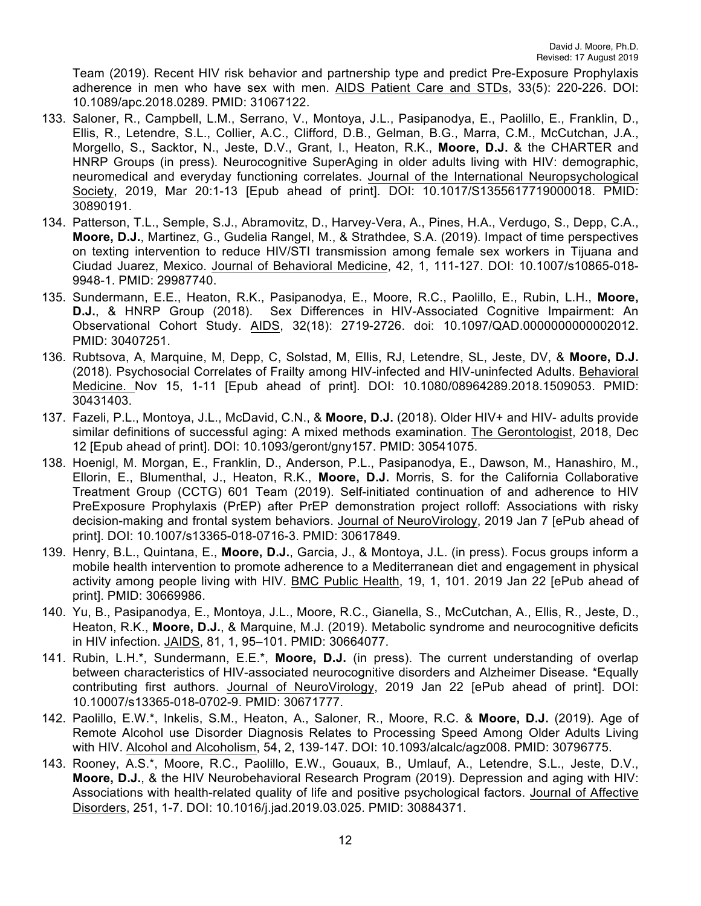Team (2019). Recent HIV risk behavior and partnership type and predict Pre-Exposure Prophylaxis adherence in men who have sex with men. AIDS Patient Care and STDs, 33(5): 220-226. DOI: 10.1089/apc.2018.0289. PMID: 31067122.

- 133. Saloner, R., Campbell, L.M., Serrano, V., Montoya, J.L., Pasipanodya, E., Paolillo, E., Franklin, D., Ellis, R., Letendre, S.L., Collier, A.C., Clifford, D.B., Gelman, B.G., Marra, C.M., McCutchan, J.A., Morgello, S., Sacktor, N., Jeste, D.V., Grant, I., Heaton, R.K., **Moore, D.J.** & the CHARTER and HNRP Groups (in press). Neurocognitive SuperAging in older adults living with HIV: demographic, neuromedical and everyday functioning correlates. Journal of the International Neuropsychological Society, 2019, Mar 20:1-13 [Epub ahead of print]. DOI: 10.1017/S1355617719000018. PMID: 30890191.
- 134. Patterson, T.L., Semple, S.J., Abramovitz, D., Harvey-Vera, A., Pines, H.A., Verdugo, S., Depp, C.A., **Moore, D.J.**, Martinez, G., Gudelia Rangel, M., & Strathdee, S.A. (2019). Impact of time perspectives on texting intervention to reduce HIV/STI transmission among female sex workers in Tijuana and Ciudad Juarez, Mexico. Journal of Behavioral Medicine, 42, 1, 111-127. DOI: 10.1007/s10865-018- 9948-1. PMID: 29987740.
- 135. Sundermann, E.E., Heaton, R.K., Pasipanodya, E., Moore, R.C., Paolillo, E., Rubin, L.H., **Moore, D.J.**, & HNRP Group (2018). Sex Differences in HIV-Associated Cognitive Impairment: An Observational Cohort Study. AIDS, 32(18): 2719-2726. doi: 10.1097/QAD.0000000000002012. PMID: 30407251.
- 136. Rubtsova, A, Marquine, M, Depp, C, Solstad, M, Ellis, RJ, Letendre, SL, Jeste, DV, & **Moore, D.J.** (2018). Psychosocial Correlates of Frailty among HIV-infected and HIV-uninfected Adults. Behavioral Medicine. Nov 15, 1-11 [Epub ahead of print]. DOI: 10.1080/08964289.2018.1509053. PMID: 30431403.
- 137. Fazeli, P.L., Montoya, J.L., McDavid, C.N., & **Moore, D.J.** (2018). Older HIV+ and HIV- adults provide similar definitions of successful aging: A mixed methods examination. The Gerontologist, 2018, Dec 12 [Epub ahead of print]. DOI: 10.1093/geront/gny157. PMID: 30541075.
- 138. Hoenigl, M. Morgan, E., Franklin, D., Anderson, P.L., Pasipanodya, E., Dawson, M., Hanashiro, M., Ellorin, E., Blumenthal, J., Heaton, R.K., **Moore, D.J.** Morris, S. for the California Collaborative Treatment Group (CCTG) 601 Team (2019). Self-initiated continuation of and adherence to HIV PreExposure Prophylaxis (PrEP) after PrEP demonstration project rolloff: Associations with risky decision-making and frontal system behaviors. Journal of NeuroVirology, 2019 Jan 7 [ePub ahead of print]. DOI: 10.1007/s13365-018-0716-3. PMID: 30617849.
- 139. Henry, B.L., Quintana, E., **Moore, D.J.**, Garcia, J., & Montoya, J.L. (in press). Focus groups inform a mobile health intervention to promote adherence to a Mediterranean diet and engagement in physical activity among people living with HIV. BMC Public Health, 19, 1, 101. 2019 Jan 22 [ePub ahead of print]. PMID: 30669986.
- 140. Yu, B., Pasipanodya, E., Montoya, J.L., Moore, R.C., Gianella, S., McCutchan, A., Ellis, R., Jeste, D., Heaton, R.K., **Moore, D.J.**, & Marquine, M.J. (2019). Metabolic syndrome and neurocognitive deficits in HIV infection. JAIDS, 81, 1, 95–101. PMID: 30664077.
- 141. Rubin, L.H.\*, Sundermann, E.E.\*, **Moore, D.J.** (in press). The current understanding of overlap between characteristics of HIV-associated neurocognitive disorders and Alzheimer Disease. \*Equally contributing first authors. Journal of NeuroVirology, 2019 Jan 22 [ePub ahead of print]. DOI: 10.10007/s13365-018-0702-9. PMID: 30671777.
- 142. Paolillo, E.W.\*, Inkelis, S.M., Heaton, A., Saloner, R., Moore, R.C. & **Moore, D.J.** (2019). Age of Remote Alcohol use Disorder Diagnosis Relates to Processing Speed Among Older Adults Living with HIV. Alcohol and Alcoholism, 54, 2, 139-147. DOI: 10.1093/alcalc/agz008. PMID: 30796775.
- 143. Rooney, A.S.\*, Moore, R.C., Paolillo, E.W., Gouaux, B., Umlauf, A., Letendre, S.L., Jeste, D.V., **Moore, D.J.**, & the HIV Neurobehavioral Research Program (2019). Depression and aging with HIV: Associations with health-related quality of life and positive psychological factors. Journal of Affective Disorders, 251, 1-7. DOI: 10.1016/j.jad.2019.03.025. PMID: 30884371.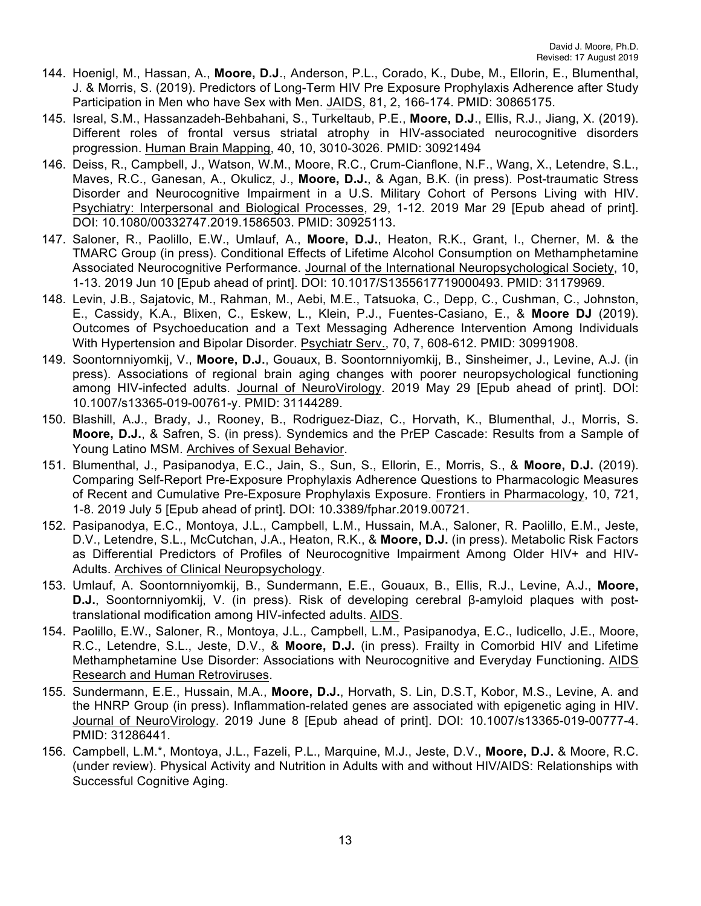- 144. Hoenigl, M., Hassan, A., **Moore, D.J**., Anderson, P.L., Corado, K., Dube, M., Ellorin, E., Blumenthal, J. & Morris, S. (2019). Predictors of Long-Term HIV Pre Exposure Prophylaxis Adherence after Study Participation in Men who have Sex with Men. JAIDS, 81, 2, 166-174. PMID: 30865175.
- 145. Isreal, S.M., Hassanzadeh-Behbahani, S., Turkeltaub, P.E., **Moore, D.J**., Ellis, R.J., Jiang, X. (2019). Different roles of frontal versus striatal atrophy in HIV-associated neurocognitive disorders progression. Human Brain Mapping, 40, 10, 3010-3026. PMID: 30921494
- 146. Deiss, R., Campbell, J., Watson, W.M., Moore, R.C., Crum-Cianflone, N.F., Wang, X., Letendre, S.L., Maves, R.C., Ganesan, A., Okulicz, J., **Moore, D.J.**, & Agan, B.K. (in press). Post-traumatic Stress Disorder and Neurocognitive Impairment in a U.S. Military Cohort of Persons Living with HIV. Psychiatry: Interpersonal and Biological Processes, 29, 1-12. 2019 Mar 29 [Epub ahead of print]. DOI: 10.1080/00332747.2019.1586503. PMID: 30925113.
- 147. Saloner, R., Paolillo, E.W., Umlauf, A., **Moore, D.J.**, Heaton, R.K., Grant, I., Cherner, M. & the TMARC Group (in press). Conditional Effects of Lifetime Alcohol Consumption on Methamphetamine Associated Neurocognitive Performance. Journal of the International Neuropsychological Society, 10, 1-13. 2019 Jun 10 [Epub ahead of print]. DOI: 10.1017/S1355617719000493. PMID: 31179969.
- 148. Levin, J.B., Sajatovic, M., Rahman, M., Aebi, M.E., Tatsuoka, C., Depp, C., Cushman, C., Johnston, E., Cassidy, K.A., Blixen, C., Eskew, L., Klein, P.J., Fuentes-Casiano, E., & **Moore DJ** (2019). Outcomes of Psychoeducation and a Text Messaging Adherence Intervention Among Individuals With Hypertension and Bipolar Disorder. Psychiatr Serv., 70, 7, 608-612. PMID: 30991908.
- 149. Soontornniyomkij, V., **Moore, D.J.**, Gouaux, B. Soontornniyomkij, B., Sinsheimer, J., Levine, A.J. (in press). Associations of regional brain aging changes with poorer neuropsychological functioning among HIV-infected adults. Journal of NeuroVirology. 2019 May 29 [Epub ahead of print]. DOI: 10.1007/s13365-019-00761-y. PMID: 31144289.
- 150. Blashill, A.J., Brady, J., Rooney, B., Rodriguez-Diaz, C., Horvath, K., Blumenthal, J., Morris, S. **Moore, D.J.**, & Safren, S. (in press). Syndemics and the PrEP Cascade: Results from a Sample of Young Latino MSM. Archives of Sexual Behavior.
- 151. Blumenthal, J., Pasipanodya, E.C., Jain, S., Sun, S., Ellorin, E., Morris, S., & **Moore, D.J.** (2019). Comparing Self-Report Pre-Exposure Prophylaxis Adherence Questions to Pharmacologic Measures of Recent and Cumulative Pre-Exposure Prophylaxis Exposure. Frontiers in Pharmacology, 10, 721, 1-8. 2019 July 5 [Epub ahead of print]. DOI: 10.3389/fphar.2019.00721.
- 152. Pasipanodya, E.C., Montoya, J.L., Campbell, L.M., Hussain, M.A., Saloner, R. Paolillo, E.M., Jeste, D.V., Letendre, S.L., McCutchan, J.A., Heaton, R.K., & **Moore, D.J.** (in press). Metabolic Risk Factors as Differential Predictors of Profiles of Neurocognitive Impairment Among Older HIV+ and HIV-Adults. Archives of Clinical Neuropsychology.
- 153. Umlauf, A. Soontornniyomkij, B., Sundermann, E.E., Gouaux, B., Ellis, R.J., Levine, A.J., **Moore, D.J.**, Soontornniyomkij, V. (in press). Risk of developing cerebral β-amyloid plaques with posttranslational modification among HIV-infected adults. AIDS.
- 154. Paolillo, E.W., Saloner, R., Montoya, J.L., Campbell, L.M., Pasipanodya, E.C., Iudicello, J.E., Moore, R.C., Letendre, S.L., Jeste, D.V., & **Moore, D.J.** (in press). Frailty in Comorbid HIV and Lifetime Methamphetamine Use Disorder: Associations with Neurocognitive and Everyday Functioning. AIDS Research and Human Retroviruses.
- 155. Sundermann, E.E., Hussain, M.A., **Moore, D.J.**, Horvath, S. Lin, D.S.T, Kobor, M.S., Levine, A. and the HNRP Group (in press). Inflammation-related genes are associated with epigenetic aging in HIV. Journal of NeuroVirology. 2019 June 8 [Epub ahead of print]. DOI: 10.1007/s13365-019-00777-4. PMID: 31286441.
- 156. Campbell, L.M.\*, Montoya, J.L., Fazeli, P.L., Marquine, M.J., Jeste, D.V., **Moore, D.J.** & Moore, R.C. (under review). Physical Activity and Nutrition in Adults with and without HIV/AIDS: Relationships with Successful Cognitive Aging.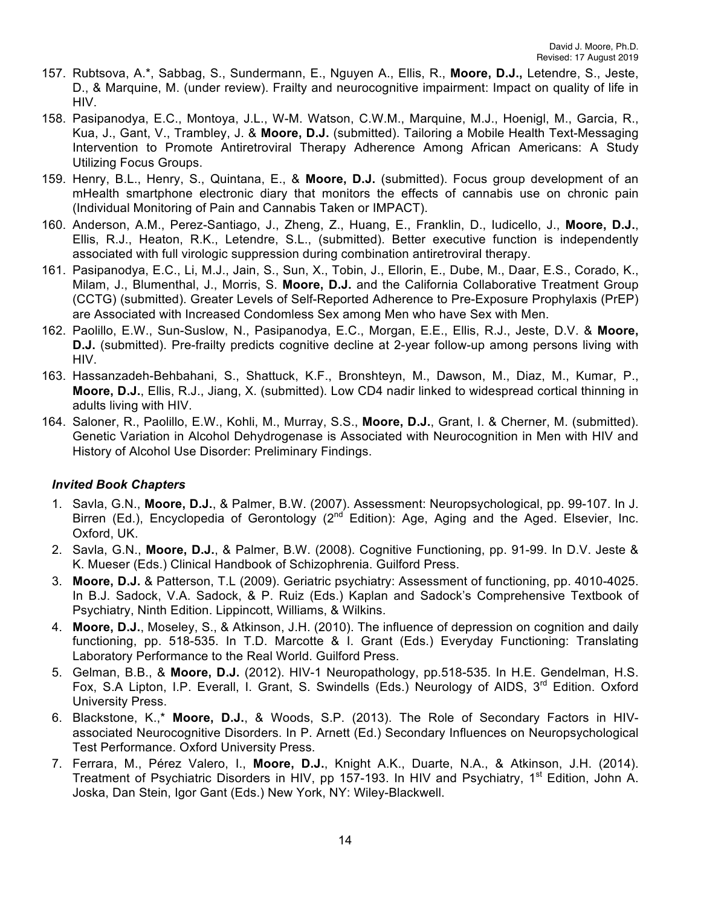- 157. Rubtsova, A.\*, Sabbag, S., Sundermann, E., Nguyen A., Ellis, R., **Moore, D.J.,** Letendre, S., Jeste, D., & Marquine, M. (under review). Frailty and neurocognitive impairment: Impact on quality of life in HIV.
- 158. Pasipanodya, E.C., Montoya, J.L., W-M. Watson, C.W.M., Marquine, M.J., Hoenigl, M., Garcia, R., Kua, J., Gant, V., Trambley, J. & **Moore, D.J.** (submitted). Tailoring a Mobile Health Text-Messaging Intervention to Promote Antiretroviral Therapy Adherence Among African Americans: A Study Utilizing Focus Groups.
- 159. Henry, B.L., Henry, S., Quintana, E., & **Moore, D.J.** (submitted). Focus group development of an mHealth smartphone electronic diary that monitors the effects of cannabis use on chronic pain (Individual Monitoring of Pain and Cannabis Taken or IMPACT).
- 160. Anderson, A.M., Perez-Santiago, J., Zheng, Z., Huang, E., Franklin, D., Iudicello, J., **Moore, D.J.**, Ellis, R.J., Heaton, R.K., Letendre, S.L., (submitted). Better executive function is independently associated with full virologic suppression during combination antiretroviral therapy.
- 161. Pasipanodya, E.C., Li, M.J., Jain, S., Sun, X., Tobin, J., Ellorin, E., Dube, M., Daar, E.S., Corado, K., Milam, J., Blumenthal, J., Morris, S. **Moore, D.J.** and the California Collaborative Treatment Group (CCTG) (submitted). Greater Levels of Self-Reported Adherence to Pre-Exposure Prophylaxis (PrEP) are Associated with Increased Condomless Sex among Men who have Sex with Men.
- 162. Paolillo, E.W., Sun-Suslow, N., Pasipanodya, E.C., Morgan, E.E., Ellis, R.J., Jeste, D.V. & **Moore, D.J.** (submitted). Pre-frailty predicts cognitive decline at 2-year follow-up among persons living with HIV.
- 163. Hassanzadeh-Behbahani, S., Shattuck, K.F., Bronshteyn, M., Dawson, M., Diaz, M., Kumar, P., **Moore, D.J.**, Ellis, R.J., Jiang, X. (submitted). Low CD4 nadir linked to widespread cortical thinning in adults living with HIV.
- 164. Saloner, R., Paolillo, E.W., Kohli, M., Murray, S.S., **Moore, D.J.**, Grant, I. & Cherner, M. (submitted). Genetic Variation in Alcohol Dehydrogenase is Associated with Neurocognition in Men with HIV and History of Alcohol Use Disorder: Preliminary Findings.

## *Invited Book Chapters*

- 1. Savla, G.N., **Moore, D.J.**, & Palmer, B.W. (2007). Assessment: Neuropsychological, pp. 99-107. In J. Birren (Ed.), Encyclopedia of Gerontology (2<sup>nd</sup> Edition): Age, Aging and the Aged. Elsevier, Inc. Oxford, UK.
- 2. Savla, G.N., **Moore, D.J.**, & Palmer, B.W. (2008). Cognitive Functioning, pp. 91-99. In D.V. Jeste & K. Mueser (Eds.) Clinical Handbook of Schizophrenia. Guilford Press.
- 3. **Moore, D.J.** & Patterson, T.L (2009). Geriatric psychiatry: Assessment of functioning, pp. 4010-4025. In B.J. Sadock, V.A. Sadock, & P. Ruiz (Eds.) Kaplan and Sadock's Comprehensive Textbook of Psychiatry, Ninth Edition. Lippincott, Williams, & Wilkins.
- 4. **Moore, D.J.**, Moseley, S., & Atkinson, J.H. (2010). The influence of depression on cognition and daily functioning, pp. 518-535. In T.D. Marcotte & I. Grant (Eds.) Everyday Functioning: Translating Laboratory Performance to the Real World. Guilford Press.
- 5. Gelman, B.B., & **Moore, D.J.** (2012). HIV-1 Neuropathology, pp.518-535. In H.E. Gendelman, H.S. Fox, S.A Lipton, I.P. Everall, I. Grant, S. Swindells (Eds.) Neurology of AIDS, 3<sup>rd</sup> Edition. Oxford University Press.
- 6. Blackstone, K.,\* **Moore, D.J.**, & Woods, S.P. (2013). The Role of Secondary Factors in HIVassociated Neurocognitive Disorders. In P. Arnett (Ed.) Secondary Influences on Neuropsychological Test Performance. Oxford University Press.
- 7. Ferrara, M., Pérez Valero, I., **Moore, D.J.**, Knight A.K., Duarte, N.A., & Atkinson, J.H. (2014). Treatment of Psychiatric Disorders in HIV, pp 157-193. In HIV and Psychiatry, 1<sup>st</sup> Edition, John A. Joska, Dan Stein, Igor Gant (Eds.) New York, NY: Wiley-Blackwell.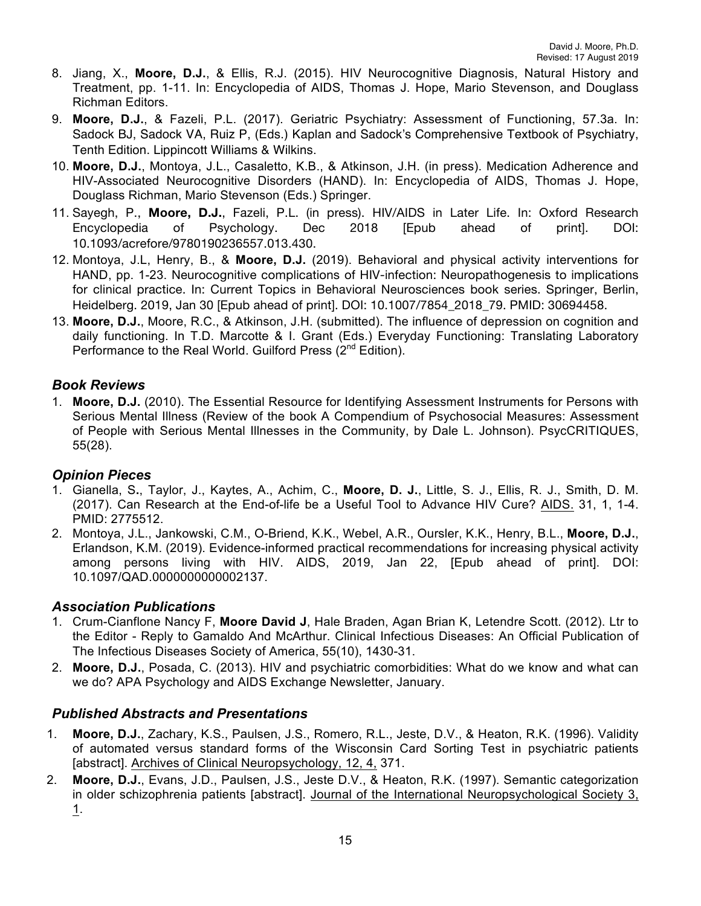- 8. Jiang, X., **Moore, D.J.**, & Ellis, R.J. (2015). HIV Neurocognitive Diagnosis, Natural History and Treatment, pp. 1-11. In: Encyclopedia of AIDS, Thomas J. Hope, Mario Stevenson, and Douglass Richman Editors.
- 9. **Moore, D.J.**, & Fazeli, P.L. (2017). Geriatric Psychiatry: Assessment of Functioning, 57.3a. In: Sadock BJ, Sadock VA, Ruiz P, (Eds.) Kaplan and Sadock's Comprehensive Textbook of Psychiatry, Tenth Edition. Lippincott Williams & Wilkins.
- 10. **Moore, D.J.**, Montoya, J.L., Casaletto, K.B., & Atkinson, J.H. (in press). Medication Adherence and HIV-Associated Neurocognitive Disorders (HAND). In: Encyclopedia of AIDS, Thomas J. Hope, Douglass Richman, Mario Stevenson (Eds.) Springer.
- 11. Sayegh, P., **Moore, D.J.**, Fazeli, P.L. (in press). HIV/AIDS in Later Life. In: Oxford Research Encyclopedia of Psychology. Dec 2018 [Epub ahead of print]. DOI: 10.1093/acrefore/9780190236557.013.430.
- 12. Montoya, J.L, Henry, B., & **Moore, D.J.** (2019). Behavioral and physical activity interventions for HAND, pp. 1-23. Neurocognitive complications of HIV-infection: Neuropathogenesis to implications for clinical practice. In: Current Topics in Behavioral Neurosciences book series. Springer, Berlin, Heidelberg. 2019, Jan 30 [Epub ahead of print]. DOI: 10.1007/7854\_2018\_79. PMID: 30694458.
- 13. **Moore, D.J.**, Moore, R.C., & Atkinson, J.H. (submitted). The influence of depression on cognition and daily functioning. In T.D. Marcotte & I. Grant (Eds.) Everyday Functioning: Translating Laboratory Performance to the Real World. Guilford Press (2<sup>nd</sup> Edition).

## *Book Reviews*

1. **Moore, D.J.** (2010). The Essential Resource for Identifying Assessment Instruments for Persons with Serious Mental Illness (Review of the book A Compendium of Psychosocial Measures: Assessment of People with Serious Mental Illnesses in the Community, by Dale L. Johnson). PsycCRITIQUES, 55(28).

## *Opinion Pieces*

- 1. Gianella, S**.**, Taylor, J., Kaytes, A., Achim, C., **Moore, D. J.**, Little, S. J., Ellis, R. J., Smith, D. M. (2017). Can Research at the End-of-life be a Useful Tool to Advance HIV Cure? AIDS. 31, 1, 1-4. PMID: 2775512.
- 2. Montoya, J.L., Jankowski, C.M., O-Briend, K.K., Webel, A.R., Oursler, K.K., Henry, B.L., **Moore, D.J.**, Erlandson, K.M. (2019). Evidence-informed practical recommendations for increasing physical activity among persons living with HIV. AIDS, 2019, Jan 22, [Epub ahead of print]. DOI: 10.1097/QAD.0000000000002137.

## *Association Publications*

- 1. Crum-Cianflone Nancy F, **Moore David J**, Hale Braden, Agan Brian K, Letendre Scott. (2012). Ltr to the Editor - Reply to Gamaldo And McArthur. Clinical Infectious Diseases: An Official Publication of The Infectious Diseases Society of America, 55(10), 1430-31.
- 2. **Moore, D.J.**, Posada, C. (2013). HIV and psychiatric comorbidities: What do we know and what can we do? APA Psychology and AIDS Exchange Newsletter, January.

## *Published Abstracts and Presentations*

- 1. **Moore, D.J.**, Zachary, K.S., Paulsen, J.S., Romero, R.L., Jeste, D.V., & Heaton, R.K. (1996). Validity of automated versus standard forms of the Wisconsin Card Sorting Test in psychiatric patients [abstract]. Archives of Clinical Neuropsychology, 12, 4, 371.
- 2. **Moore, D.J.**, Evans, J.D., Paulsen, J.S., Jeste D.V., & Heaton, R.K. (1997). Semantic categorization in older schizophrenia patients [abstract]. Journal of the International Neuropsychological Society 3, 1.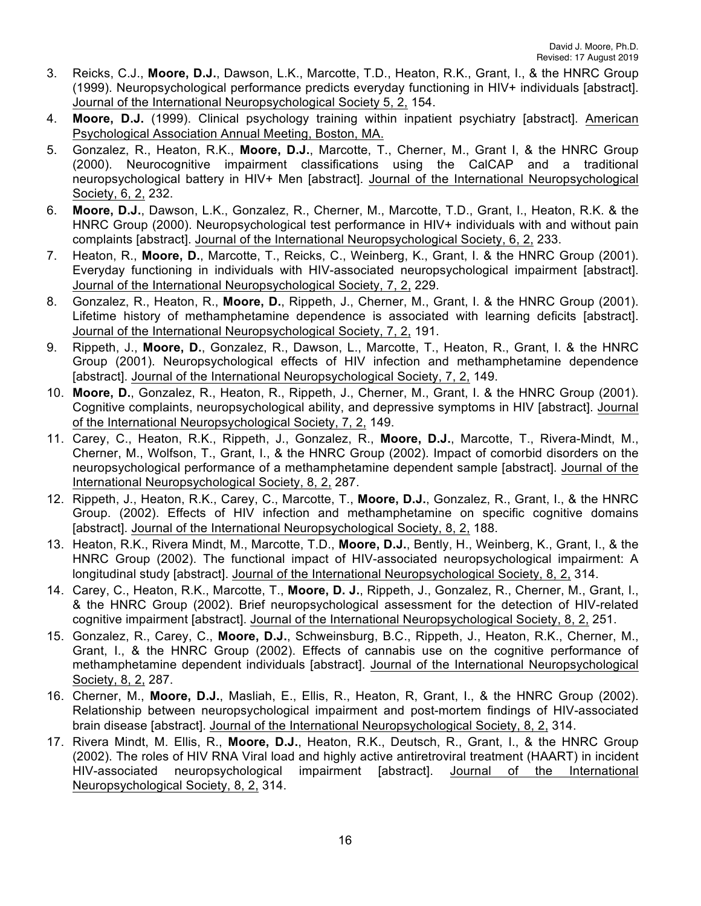- 3. Reicks, C.J., **Moore, D.J.**, Dawson, L.K., Marcotte, T.D., Heaton, R.K., Grant, I., & the HNRC Group (1999). Neuropsychological performance predicts everyday functioning in HIV+ individuals [abstract]. Journal of the International Neuropsychological Society 5, 2, 154.
- 4. **Moore, D.J.** (1999). Clinical psychology training within inpatient psychiatry [abstract]. American Psychological Association Annual Meeting, Boston, MA.
- 5. Gonzalez, R., Heaton, R.K., **Moore, D.J.**, Marcotte, T., Cherner, M., Grant I, & the HNRC Group (2000). Neurocognitive impairment classifications using the CalCAP and a traditional neuropsychological battery in HIV+ Men [abstract]. Journal of the International Neuropsychological Society, 6, 2, 232.
- 6. **Moore, D.J.**, Dawson, L.K., Gonzalez, R., Cherner, M., Marcotte, T.D., Grant, I., Heaton, R.K. & the HNRC Group (2000). Neuropsychological test performance in HIV+ individuals with and without pain complaints [abstract]. Journal of the International Neuropsychological Society, 6, 2, 233.
- 7. Heaton, R., **Moore, D.**, Marcotte, T., Reicks, C., Weinberg, K., Grant, I. & the HNRC Group (2001). Everyday functioning in individuals with HIV-associated neuropsychological impairment [abstract]. Journal of the International Neuropsychological Society, 7, 2, 229.
- 8. Gonzalez, R., Heaton, R., **Moore, D.**, Rippeth, J., Cherner, M., Grant, I. & the HNRC Group (2001). Lifetime history of methamphetamine dependence is associated with learning deficits [abstract]. Journal of the International Neuropsychological Society, 7, 2, 191.
- 9. Rippeth, J., **Moore, D.**, Gonzalez, R., Dawson, L., Marcotte, T., Heaton, R., Grant, I. & the HNRC Group (2001). Neuropsychological effects of HIV infection and methamphetamine dependence [abstract]. Journal of the International Neuropsychological Society, 7, 2, 149.
- 10. **Moore, D.**, Gonzalez, R., Heaton, R., Rippeth, J., Cherner, M., Grant, I. & the HNRC Group (2001). Cognitive complaints, neuropsychological ability, and depressive symptoms in HIV [abstract]. Journal of the International Neuropsychological Society, 7, 2, 149.
- 11. Carey, C., Heaton, R.K., Rippeth, J., Gonzalez, R., **Moore, D.J.**, Marcotte, T., Rivera-Mindt, M., Cherner, M., Wolfson, T., Grant, I., & the HNRC Group (2002). Impact of comorbid disorders on the neuropsychological performance of a methamphetamine dependent sample [abstract]. Journal of the International Neuropsychological Society, 8, 2, 287.
- 12. Rippeth, J., Heaton, R.K., Carey, C., Marcotte, T., **Moore, D.J.**, Gonzalez, R., Grant, I., & the HNRC Group. (2002). Effects of HIV infection and methamphetamine on specific cognitive domains [abstract]. Journal of the International Neuropsychological Society, 8, 2, 188.
- 13. Heaton, R.K., Rivera Mindt, M., Marcotte, T.D., **Moore, D.J.**, Bently, H., Weinberg, K., Grant, I., & the HNRC Group (2002). The functional impact of HIV-associated neuropsychological impairment: A longitudinal study [abstract]. Journal of the International Neuropsychological Society, 8, 2, 314.
- 14. Carey, C., Heaton, R.K., Marcotte, T., **Moore, D. J.**, Rippeth, J., Gonzalez, R., Cherner, M., Grant, I., & the HNRC Group (2002). Brief neuropsychological assessment for the detection of HIV-related cognitive impairment [abstract]. Journal of the International Neuropsychological Society, 8, 2, 251.
- 15. Gonzalez, R., Carey, C., **Moore, D.J.**, Schweinsburg, B.C., Rippeth, J., Heaton, R.K., Cherner, M., Grant, I., & the HNRC Group (2002). Effects of cannabis use on the cognitive performance of methamphetamine dependent individuals [abstract]. Journal of the International Neuropsychological Society, 8, 2, 287.
- 16. Cherner, M., **Moore, D.J.**, Masliah, E., Ellis, R., Heaton, R, Grant, I., & the HNRC Group (2002). Relationship between neuropsychological impairment and post-mortem findings of HIV-associated brain disease [abstract]. Journal of the International Neuropsychological Society, 8, 2, 314.
- 17. Rivera Mindt, M. Ellis, R., **Moore, D.J.**, Heaton, R.K., Deutsch, R., Grant, I., & the HNRC Group (2002). The roles of HIV RNA Viral load and highly active antiretroviral treatment (HAART) in incident HIV-associated neuropsychological impairment [abstract]. Journal of the International Neuropsychological Society, 8, 2, 314.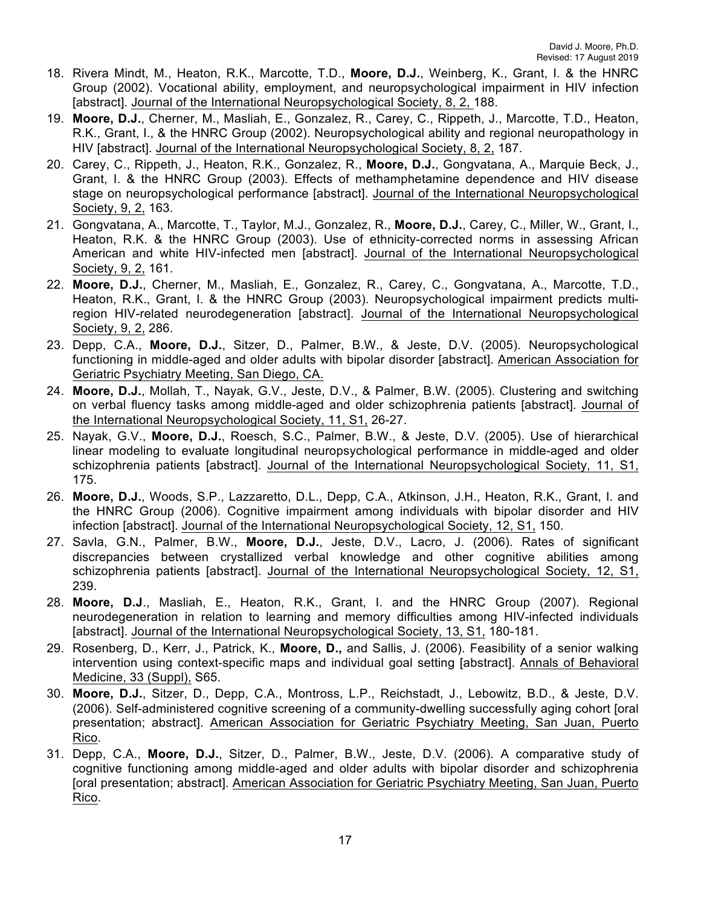- 18. Rivera Mindt, M., Heaton, R.K., Marcotte, T.D., **Moore, D.J.**, Weinberg, K., Grant, I. & the HNRC Group (2002). Vocational ability, employment, and neuropsychological impairment in HIV infection [abstract]. Journal of the International Neuropsychological Society, 8, 2, 188.
- 19. **Moore, D.J.**, Cherner, M., Masliah, E., Gonzalez, R., Carey, C., Rippeth, J., Marcotte, T.D., Heaton, R.K., Grant, I., & the HNRC Group (2002). Neuropsychological ability and regional neuropathology in HIV [abstract]. Journal of the International Neuropsychological Society, 8, 2, 187.
- 20. Carey, C., Rippeth, J., Heaton, R.K., Gonzalez, R., **Moore, D.J.**, Gongvatana, A., Marquie Beck, J., Grant, I. & the HNRC Group (2003). Effects of methamphetamine dependence and HIV disease stage on neuropsychological performance [abstract]. Journal of the International Neuropsychological Society, 9, 2, 163.
- 21. Gongvatana, A., Marcotte, T., Taylor, M.J., Gonzalez, R., **Moore, D.J.**, Carey, C., Miller, W., Grant, I., Heaton, R.K. & the HNRC Group (2003). Use of ethnicity-corrected norms in assessing African American and white HIV-infected men [abstract]. Journal of the International Neuropsychological Society, 9, 2, 161.
- 22. **Moore, D.J.**, Cherner, M., Masliah, E., Gonzalez, R., Carey, C., Gongvatana, A., Marcotte, T.D., Heaton, R.K., Grant, I. & the HNRC Group (2003). Neuropsychological impairment predicts multiregion HIV-related neurodegeneration [abstract]. Journal of the International Neuropsychological Society, 9, 2, 286.
- 23. Depp, C.A., **Moore, D.J.**, Sitzer, D., Palmer, B.W., & Jeste, D.V. (2005). Neuropsychological functioning in middle-aged and older adults with bipolar disorder [abstract]. American Association for Geriatric Psychiatry Meeting, San Diego, CA.
- 24. **Moore, D.J.**, Mollah, T., Nayak, G.V., Jeste, D.V., & Palmer, B.W. (2005). Clustering and switching on verbal fluency tasks among middle-aged and older schizophrenia patients [abstract]. Journal of the International Neuropsychological Society, 11, S1, 26-27.
- 25. Nayak, G.V., **Moore, D.J.**, Roesch, S.C., Palmer, B.W., & Jeste, D.V. (2005). Use of hierarchical linear modeling to evaluate longitudinal neuropsychological performance in middle-aged and older schizophrenia patients [abstract]. Journal of the International Neuropsychological Society, 11, S1, 175.
- 26. **Moore, D.J.**, Woods, S.P., Lazzaretto, D.L., Depp, C.A., Atkinson, J.H., Heaton, R.K., Grant, I. and the HNRC Group (2006). Cognitive impairment among individuals with bipolar disorder and HIV infection [abstract]. Journal of the International Neuropsychological Society, 12, S1, 150.
- 27. Savla, G.N., Palmer, B.W., **Moore, D.J.**, Jeste, D.V., Lacro, J. (2006). Rates of significant discrepancies between crystallized verbal knowledge and other cognitive abilities among schizophrenia patients [abstract]. Journal of the International Neuropsychological Society, 12, S1, 239.
- 28. **Moore, D.J**., Masliah, E., Heaton, R.K., Grant, I. and the HNRC Group (2007). Regional neurodegeneration in relation to learning and memory difficulties among HIV-infected individuals [abstract]. Journal of the International Neuropsychological Society, 13, S1, 180-181.
- 29. Rosenberg, D., Kerr, J., Patrick, K., **Moore, D.,** and Sallis, J. (2006). Feasibility of a senior walking intervention using context-specific maps and individual goal setting [abstract]. Annals of Behavioral Medicine, 33 (Suppl), S65.
- 30. **Moore, D.J.**, Sitzer, D., Depp, C.A., Montross, L.P., Reichstadt, J., Lebowitz, B.D., & Jeste, D.V. (2006). Self-administered cognitive screening of a community-dwelling successfully aging cohort [oral presentation; abstract]. American Association for Geriatric Psychiatry Meeting, San Juan, Puerto Rico.
- 31. Depp, C.A., **Moore, D.J.**, Sitzer, D., Palmer, B.W., Jeste, D.V. (2006). A comparative study of cognitive functioning among middle-aged and older adults with bipolar disorder and schizophrenia [oral presentation; abstract]. American Association for Geriatric Psychiatry Meeting, San Juan, Puerto Rico.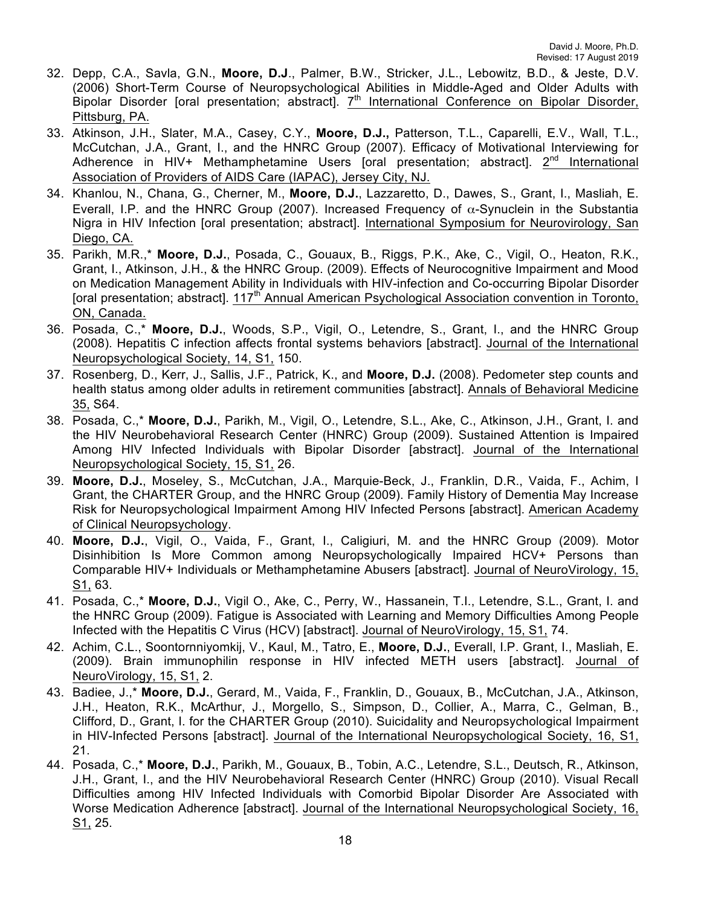- 32. Depp, C.A., Savla, G.N., **Moore, D.J**., Palmer, B.W., Stricker, J.L., Lebowitz, B.D., & Jeste, D.V. (2006) Short-Term Course of Neuropsychological Abilities in Middle-Aged and Older Adults with Bipolar Disorder [oral presentation; abstract].  $7<sup>th</sup>$  International Conference on Bipolar Disorder, Pittsburg, PA.
- 33. Atkinson, J.H., Slater, M.A., Casey, C.Y., **Moore, D.J.,** Patterson, T.L., Caparelli, E.V., Wall, T.L., McCutchan, J.A., Grant, I., and the HNRC Group (2007). Efficacy of Motivational Interviewing for Adherence in HIV+ Methamphetamine Users [oral presentation; abstract].  $2^{nd}$  International Association of Providers of AIDS Care (IAPAC), Jersey City, NJ.
- 34. Khanlou, N., Chana, G., Cherner, M., **Moore, D.J.**, Lazzaretto, D., Dawes, S., Grant, I., Masliah, E. Everall, I.P. and the HNRC Group (2007). Increased Frequency of  $\alpha$ -Synuclein in the Substantia Nigra in HIV Infection [oral presentation; abstract]. International Symposium for Neurovirology, San Diego, CA.
- 35. Parikh, M.R.,\* **Moore, D.J.**, Posada, C., Gouaux, B., Riggs, P.K., Ake, C., Vigil, O., Heaton, R.K., Grant, I., Atkinson, J.H., & the HNRC Group. (2009). Effects of Neurocognitive Impairment and Mood on Medication Management Ability in Individuals with HIV-infection and Co-occurring Bipolar Disorder [oral presentation; abstract]. 117<sup>th</sup> Annual American Psychological Association convention in Toronto, ON, Canada.
- 36. Posada, C.,\* **Moore, D.J.**, Woods, S.P., Vigil, O., Letendre, S., Grant, I., and the HNRC Group (2008). Hepatitis C infection affects frontal systems behaviors [abstract]. Journal of the International Neuropsychological Society, 14, S1, 150.
- 37. Rosenberg, D., Kerr, J., Sallis, J.F., Patrick, K., and **Moore, D.J.** (2008). Pedometer step counts and health status among older adults in retirement communities [abstract]. Annals of Behavioral Medicine 35, S64.
- 38. Posada, C.,\* **Moore, D.J.**, Parikh, M., Vigil, O., Letendre, S.L., Ake, C., Atkinson, J.H., Grant, I. and the HIV Neurobehavioral Research Center (HNRC) Group (2009). Sustained Attention is Impaired Among HIV Infected Individuals with Bipolar Disorder [abstract]. Journal of the International Neuropsychological Society, 15, S1, 26.
- 39. **Moore, D.J.**, Moseley, S., McCutchan, J.A., Marquie-Beck, J., Franklin, D.R., Vaida, F., Achim, I Grant, the CHARTER Group, and the HNRC Group (2009). Family History of Dementia May Increase Risk for Neuropsychological Impairment Among HIV Infected Persons [abstract]. American Academy of Clinical Neuropsychology.
- 40. **Moore, D.J.**, Vigil, O., Vaida, F., Grant, I., Caligiuri, M. and the HNRC Group (2009). Motor Disinhibition Is More Common among Neuropsychologically Impaired HCV+ Persons than Comparable HIV+ Individuals or Methamphetamine Abusers [abstract]. Journal of NeuroVirology, 15, S1, 63.
- 41. Posada, C.,\* **Moore, D.J.**, Vigil O., Ake, C., Perry, W., Hassanein, T.I., Letendre, S.L., Grant, I. and the HNRC Group (2009). Fatigue is Associated with Learning and Memory Difficulties Among People Infected with the Hepatitis C Virus (HCV) [abstract]. Journal of NeuroVirology, 15, S1, 74.
- 42. Achim, C.L., Soontornniyomkij, V., Kaul, M., Tatro, E., **Moore, D.J.**, Everall, I.P. Grant, I., Masliah, E. (2009). Brain immunophilin response in HIV infected METH users [abstract]. Journal of NeuroVirology, 15, S1, 2.
- 43. Badiee, J.,\* **Moore, D.J.**, Gerard, M., Vaida, F., Franklin, D., Gouaux, B., McCutchan, J.A., Atkinson, J.H., Heaton, R.K., McArthur, J., Morgello, S., Simpson, D., Collier, A., Marra, C., Gelman, B., Clifford, D., Grant, I. for the CHARTER Group (2010). Suicidality and Neuropsychological Impairment in HIV-Infected Persons [abstract]. Journal of the International Neuropsychological Society, 16, S1, 21.
- 44. Posada, C.,\* **Moore, D.J.**, Parikh, M., Gouaux, B., Tobin, A.C., Letendre, S.L., Deutsch, R., Atkinson, J.H., Grant, I., and the HIV Neurobehavioral Research Center (HNRC) Group (2010). Visual Recall Difficulties among HIV Infected Individuals with Comorbid Bipolar Disorder Are Associated with Worse Medication Adherence [abstract]. Journal of the International Neuropsychological Society, 16, S1, 25.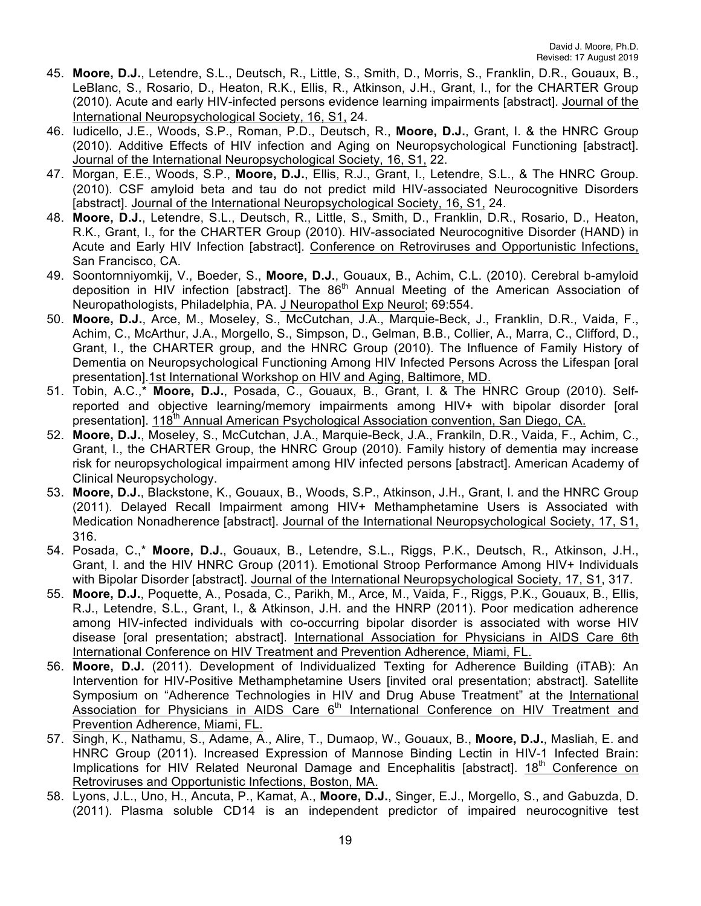- 45. **Moore, D.J.**, Letendre, S.L., Deutsch, R., Little, S., Smith, D., Morris, S., Franklin, D.R., Gouaux, B., LeBlanc, S., Rosario, D., Heaton, R.K., Ellis, R., Atkinson, J.H., Grant, I., for the CHARTER Group (2010). Acute and early HIV-infected persons evidence learning impairments [abstract]. Journal of the International Neuropsychological Society, 16, S1, 24.
- 46. Iudicello, J.E., Woods, S.P., Roman, P.D., Deutsch, R., **Moore, D.J.**, Grant, I. & the HNRC Group (2010). Additive Effects of HIV infection and Aging on Neuropsychological Functioning [abstract]. Journal of the International Neuropsychological Society, 16, S1, 22.
- 47. Morgan, E.E., Woods, S.P., **Moore, D.J.**, Ellis, R.J., Grant, I., Letendre, S.L., & The HNRC Group. (2010). CSF amyloid beta and tau do not predict mild HIV-associated Neurocognitive Disorders [abstract]. Journal of the International Neuropsychological Society, 16, S1, 24.
- 48. **Moore, D.J.**, Letendre, S.L., Deutsch, R., Little, S., Smith, D., Franklin, D.R., Rosario, D., Heaton, R.K., Grant, I., for the CHARTER Group (2010). HIV-associated Neurocognitive Disorder (HAND) in Acute and Early HIV Infection [abstract]. Conference on Retroviruses and Opportunistic Infections, San Francisco, CA.
- 49. Soontornniyomkij, V., Boeder, S., **Moore, D.J.**, Gouaux, B., Achim, C.L. (2010). Cerebral b-amyloid deposition in HIV infection [abstract]. The 86<sup>th</sup> Annual Meeting of the American Association of Neuropathologists, Philadelphia, PA. J Neuropathol Exp Neurol; 69:554.
- 50. **Moore, D.J.**, Arce, M., Moseley, S., McCutchan, J.A., Marquie-Beck, J., Franklin, D.R., Vaida, F., Achim, C., McArthur, J.A., Morgello, S., Simpson, D., Gelman, B.B., Collier, A., Marra, C., Clifford, D., Grant, I., the CHARTER group, and the HNRC Group (2010). The Influence of Family History of Dementia on Neuropsychological Functioning Among HIV Infected Persons Across the Lifespan [oral presentation].1st International Workshop on HIV and Aging, Baltimore, MD.
- 51. Tobin, A.C.,\* **Moore, D.J.**, Posada, C., Gouaux, B., Grant, I. & The HNRC Group (2010). Selfreported and objective learning/memory impairments among HIV+ with bipolar disorder [oral presentation]. 118<sup>th</sup> Annual American Psychological Association convention, San Diego, CA.
- 52. **Moore, D.J.**, Moseley, S., McCutchan, J.A., Marquie-Beck, J.A., Frankiln, D.R., Vaida, F., Achim, C., Grant, I., the CHARTER Group, the HNRC Group (2010). Family history of dementia may increase risk for neuropsychological impairment among HIV infected persons [abstract]. American Academy of Clinical Neuropsychology.
- 53. **Moore, D.J.**, Blackstone, K., Gouaux, B., Woods, S.P., Atkinson, J.H., Grant, I. and the HNRC Group (2011). Delayed Recall Impairment among HIV+ Methamphetamine Users is Associated with Medication Nonadherence [abstract]. Journal of the International Neuropsychological Society, 17, S1, 316.
- 54. Posada, C.,\* **Moore, D.J.**, Gouaux, B., Letendre, S.L., Riggs, P.K., Deutsch, R., Atkinson, J.H., Grant, I. and the HIV HNRC Group (2011). Emotional Stroop Performance Among HIV+ Individuals with Bipolar Disorder [abstract]. Journal of the International Neuropsychological Society, 17, S1, 317.
- 55. **Moore, D.J.**, Poquette, A., Posada, C., Parikh, M., Arce, M., Vaida, F., Riggs, P.K., Gouaux, B., Ellis, R.J., Letendre, S.L., Grant, I., & Atkinson, J.H. and the HNRP (2011). Poor medication adherence among HIV-infected individuals with co-occurring bipolar disorder is associated with worse HIV disease [oral presentation; abstract]. International Association for Physicians in AIDS Care 6th International Conference on HIV Treatment and Prevention Adherence, Miami, FL.
- 56. **Moore, D.J.** (2011). Development of Individualized Texting for Adherence Building (iTAB): An Intervention for HIV-Positive Methamphetamine Users [invited oral presentation; abstract]. Satellite Symposium on "Adherence Technologies in HIV and Drug Abuse Treatment" at the International Association for Physicians in AIDS Care  $6<sup>th</sup>$  International Conference on HIV Treatment and Prevention Adherence, Miami, FL.
- 57. Singh, K., Nathamu, S., Adame, A., Alire, T., Dumaop, W., Gouaux, B., **Moore, D.J.**, Masliah, E. and HNRC Group (2011). Increased Expression of Mannose Binding Lectin in HIV-1 Infected Brain: Implications for HIV Related Neuronal Damage and Encephalitis [abstract]. 18<sup>th</sup> Conference on Retroviruses and Opportunistic Infections, Boston, MA.
- 58. Lyons, J.L., Uno, H., Ancuta, P., Kamat, A., **Moore, D.J.**, Singer, E.J., Morgello, S., and Gabuzda, D. (2011). Plasma soluble CD14 is an independent predictor of impaired neurocognitive test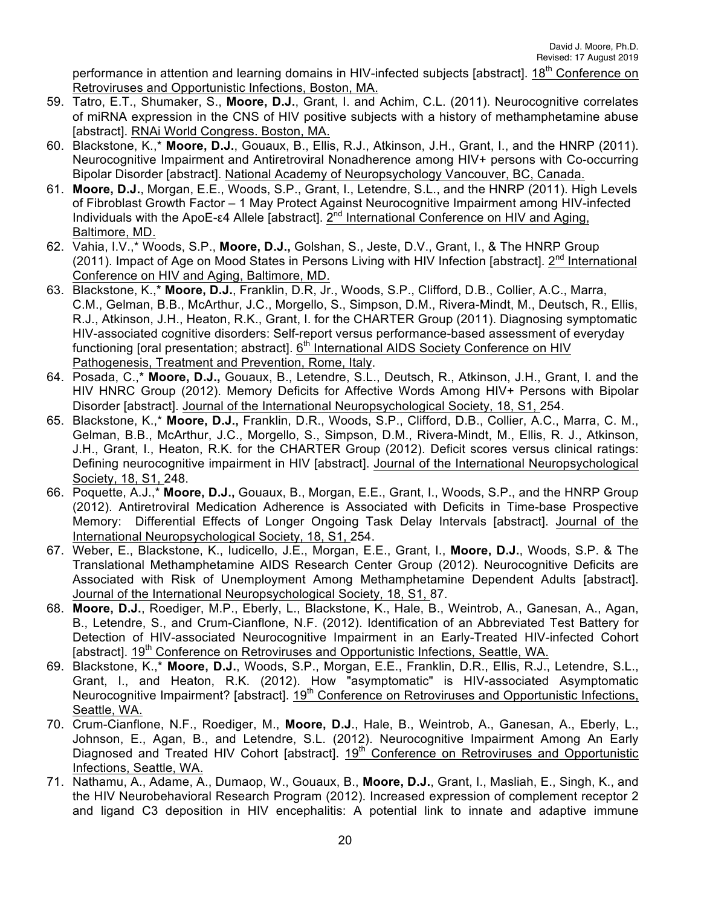performance in attention and learning domains in HIV-infected subjects [abstract]. 18<sup>th</sup> Conference on Retroviruses and Opportunistic Infections, Boston, MA.

- 59. Tatro, E.T., Shumaker, S., **Moore, D.J.**, Grant, I. and Achim, C.L. (2011). Neurocognitive correlates of miRNA expression in the CNS of HIV positive subjects with a history of methamphetamine abuse [abstract]. RNAi World Congress. Boston, MA.
- 60. Blackstone, K.,\* **Moore, D.J.**, Gouaux, B., Ellis, R.J., Atkinson, J.H., Grant, I., and the HNRP (2011). Neurocognitive Impairment and Antiretroviral Nonadherence among HIV+ persons with Co-occurring Bipolar Disorder [abstract]. National Academy of Neuropsychology Vancouver, BC, Canada.
- 61. **Moore, D.J.**, Morgan, E.E., Woods, S.P., Grant, I., Letendre, S.L., and the HNRP (2011). High Levels of Fibroblast Growth Factor – 1 May Protect Against Neurocognitive Impairment among HIV-infected Individuals with the ApoE-ε4 Allele [abstract]. 2nd International Conference on HIV and Aging, Baltimore, MD.
- 62. Vahia, I.V.,\* Woods, S.P., **Moore, D.J.,** Golshan, S., Jeste, D.V., Grant, I., & The HNRP Group (2011). Impact of Age on Mood States in Persons Living with HIV Infection [abstract].  $2<sup>nd</sup>$  International Conference on HIV and Aging, Baltimore, MD.
- 63. Blackstone, K.,\* **Moore, D.J.**, Franklin, D.R, Jr., Woods, S.P., Clifford, D.B., Collier, A.C., Marra, C.M., Gelman, B.B., McArthur, J.C., Morgello, S., Simpson, D.M., Rivera-Mindt, M., Deutsch, R., Ellis, R.J., Atkinson, J.H., Heaton, R.K., Grant, I. for the CHARTER Group (2011). Diagnosing symptomatic HIV-associated cognitive disorders: Self-report versus performance-based assessment of everyday functioning [oral presentation; abstract]. 6<sup>th</sup> International AIDS Society Conference on HIV Pathogenesis, Treatment and Prevention, Rome, Italy.
- 64. Posada, C.,\* **Moore, D.J.,** Gouaux, B., Letendre, S.L., Deutsch, R., Atkinson, J.H., Grant, I. and the HIV HNRC Group (2012). Memory Deficits for Affective Words Among HIV+ Persons with Bipolar Disorder [abstract]. Journal of the International Neuropsychological Society, 18, S1, 254.
- 65. Blackstone, K.,\* **Moore, D.J.,** Franklin, D.R., Woods, S.P., Clifford, D.B., Collier, A.C., Marra, C. M., Gelman, B.B., McArthur, J.C., Morgello, S., Simpson, D.M., Rivera-Mindt, M., Ellis, R. J., Atkinson, J.H., Grant, I., Heaton, R.K. for the CHARTER Group (2012). Deficit scores versus clinical ratings: Defining neurocognitive impairment in HIV [abstract]. Journal of the International Neuropsychological Society, 18, S1, 248.
- 66. Poquette, A.J.,\* **Moore, D.J.,** Gouaux, B., Morgan, E.E., Grant, I., Woods, S.P., and the HNRP Group (2012). Antiretroviral Medication Adherence is Associated with Deficits in Time-base Prospective Memory: Differential Effects of Longer Ongoing Task Delay Intervals [abstract]. Journal of the International Neuropsychological Society, 18, S1, 254.
- 67. Weber, E., Blackstone, K., Iudicello, J.E., Morgan, E.E., Grant, I., **Moore, D.J.**, Woods, S.P. & The Translational Methamphetamine AIDS Research Center Group (2012). Neurocognitive Deficits are Associated with Risk of Unemployment Among Methamphetamine Dependent Adults [abstract]. Journal of the International Neuropsychological Society, 18, S1, 87.
- 68. **Moore, D.J.**, Roediger, M.P., Eberly, L., Blackstone, K., Hale, B., Weintrob, A., Ganesan, A., Agan, B., Letendre, S., and Crum-Cianflone, N.F. (2012). Identification of an Abbreviated Test Battery for Detection of HIV-associated Neurocognitive Impairment in an Early-Treated HIV-infected Cohort [abstract]. 19<sup>th</sup> Conference on Retroviruses and Opportunistic Infections, Seattle, WA.
- 69. Blackstone, K.,\* **Moore, D.J.**, Woods, S.P., Morgan, E.E., Franklin, D.R., Ellis, R.J., Letendre, S.L., Grant, I., and Heaton, R.K. (2012). How "asymptomatic" is HIV-associated Asymptomatic Neurocognitive Impairment? [abstract]. 19<sup>th</sup> Conference on Retroviruses and Opportunistic Infections, Seattle, WA.
- 70. Crum-Cianflone, N.F., Roediger, M., **Moore, D.J**., Hale, B., Weintrob, A., Ganesan, A., Eberly, L., Johnson, E., Agan, B., and Letendre, S.L. (2012). Neurocognitive Impairment Among An Early Diagnosed and Treated HIV Cohort [abstract]. 19<sup>th</sup> Conference on Retroviruses and Opportunistic Infections, Seattle, WA.
- 71. Nathamu, A., Adame, A., Dumaop, W., Gouaux, B., **Moore, D.J.**, Grant, I., Masliah, E., Singh, K., and the HIV Neurobehavioral Research Program (2012). Increased expression of complement receptor 2 and ligand C3 deposition in HIV encephalitis: A potential link to innate and adaptive immune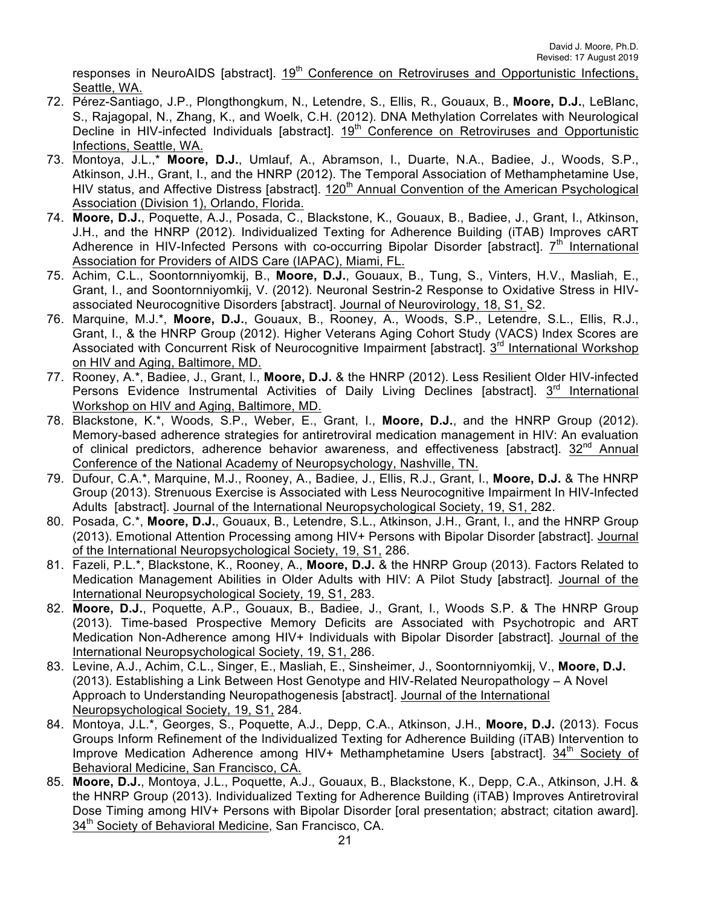responses in NeuroAIDS [abstract]. 19<sup>th</sup> Conference on Retroviruses and Opportunistic Infections, Seattle, WA.

- 72. Pérez-Santiago, J.P., Plongthongkum, N., Letendre, S., Ellis, R., Gouaux, B., **Moore, D.J.**, LeBlanc, S., Rajagopal, N., Zhang, K., and Woelk, C.H. (2012). DNA Methylation Correlates with Neurological Decline in HIV-infected Individuals [abstract]. 19<sup>th</sup> Conference on Retroviruses and Opportunistic Infections, Seattle, WA.
- 73. Montoya, J.L.,\* **Moore, D.J.**, Umlauf, A., Abramson, I., Duarte, N.A., Badiee, J., Woods, S.P., Atkinson, J.H., Grant, I., and the HNRP (2012). The Temporal Association of Methamphetamine Use, HIV status, and Affective Distress [abstract]. 120<sup>th</sup> Annual Convention of the American Psychological Association (Division 1), Orlando, Florida.
- 74. **Moore, D.J.**, Poquette, A.J., Posada, C., Blackstone, K., Gouaux, B., Badiee, J., Grant, I., Atkinson, J.H., and the HNRP (2012). Individualized Texting for Adherence Building (iTAB) Improves cART Adherence in HIV-Infected Persons with co-occurring Bipolar Disorder [abstract].  $7<sup>th</sup>$  International Association for Providers of AIDS Care (IAPAC), Miami, FL.
- 75. Achim, C.L., Soontornniyomkij, B., **Moore, D.J.**, Gouaux, B., Tung, S., Vinters, H.V., Masliah, E., Grant, I., and Soontornniyomkij, V. (2012). Neuronal Sestrin-2 Response to Oxidative Stress in HIVassociated Neurocognitive Disorders [abstract]. Journal of Neurovirology, 18, S1, S2.
- 76. Marquine, M.J.\*, **Moore, D.J.**, Gouaux, B., Rooney, A., Woods, S.P., Letendre, S.L., Ellis, R.J., Grant, I., & the HNRP Group (2012). Higher Veterans Aging Cohort Study (VACS) Index Scores are Associated with Concurrent Risk of Neurocognitive Impairment [abstract]. 3<sup>rd</sup> International Workshop on HIV and Aging, Baltimore, MD.
- 77. Rooney, A.\*, Badiee, J., Grant, I., **Moore, D.J.** & the HNRP (2012). Less Resilient Older HIV-infected Persons Evidence Instrumental Activities of Daily Living Declines [abstract]. 3<sup>rd</sup> International Workshop on HIV and Aging, Baltimore, MD.
- 78. Blackstone, K.\*, Woods, S.P., Weber, E., Grant, I., **Moore, D.J.**, and the HNRP Group (2012). Memory-based adherence strategies for antiretroviral medication management in HIV: An evaluation of clinical predictors, adherence behavior awareness, and effectiveness [abstract]. 32<sup>nd</sup> Annual Conference of the National Academy of Neuropsychology, Nashville, TN.
- 79. Dufour, C.A.\*, Marquine, M.J., Rooney, A., Badiee, J., Ellis, R.J., Grant, I., **Moore, D.J.** & The HNRP Group (2013). Strenuous Exercise is Associated with Less Neurocognitive Impairment In HIV-Infected Adults [abstract]. Journal of the International Neuropsychological Society, 19, S1, 282.
- 80. Posada, C.\*, **Moore, D.J.**, Gouaux, B., Letendre, S.L., Atkinson, J.H., Grant, I., and the HNRP Group (2013). Emotional Attention Processing among HIV+ Persons with Bipolar Disorder [abstract]. Journal of the International Neuropsychological Society, 19, S1, 286.
- 81. Fazeli, P.L.\*, Blackstone, K., Rooney, A., **Moore, D.J.** & the HNRP Group (2013). Factors Related to Medication Management Abilities in Older Adults with HIV: A Pilot Study [abstract]. Journal of the International Neuropsychological Society, 19, S1, 283.
- 82. **Moore, D.J.**, Poquette, A.P., Gouaux, B., Badiee, J., Grant, I., Woods S.P. & The HNRP Group (2013). Time-based Prospective Memory Deficits are Associated with Psychotropic and ART Medication Non-Adherence among HIV+ Individuals with Bipolar Disorder [abstract]. Journal of the International Neuropsychological Society, 19, S1, 286.
- 83. Levine, A.J., Achim, C.L., Singer, E., Masliah, E., Sinsheimer, J., Soontornniyomkij, V., **Moore, D.J.** (2013). Establishing a Link Between Host Genotype and HIV-Related Neuropathology – A Novel Approach to Understanding Neuropathogenesis [abstract]. Journal of the International Neuropsychological Society, 19, S1, 284.
- 84. Montoya, J.L.\*, Georges, S., Poquette, A.J., Depp, C.A., Atkinson, J.H., **Moore, D.J.** (2013). Focus Groups Inform Refinement of the Individualized Texting for Adherence Building (iTAB) Intervention to Improve Medication Adherence among HIV+ Methamphetamine Users [abstract].  $34^{\text{th}}$  Society of Behavioral Medicine, San Francisco, CA.
- 85. **Moore, D.J.**, Montoya, J.L., Poquette, A.J., Gouaux, B., Blackstone, K., Depp, C.A., Atkinson, J.H. & the HNRP Group (2013). Individualized Texting for Adherence Building (iTAB) Improves Antiretroviral Dose Timing among HIV+ Persons with Bipolar Disorder [oral presentation; abstract; citation award]. 34<sup>th</sup> Society of Behavioral Medicine, San Francisco, CA.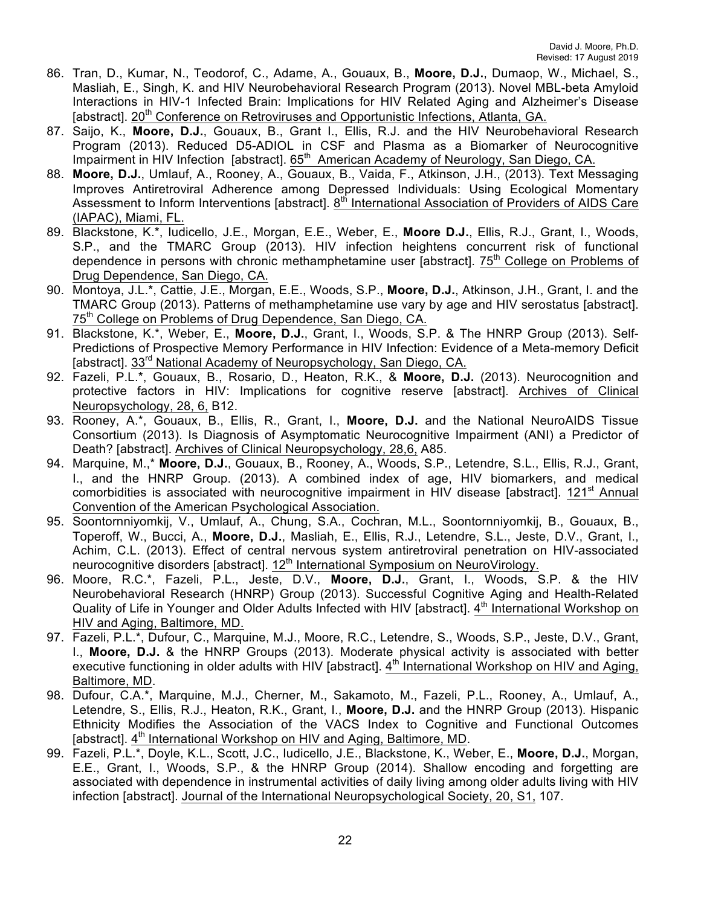- 86. Tran, D., Kumar, N., Teodorof, C., Adame, A., Gouaux, B., **Moore, D.J.**, Dumaop, W., Michael, S., Masliah, E., Singh, K. and HIV Neurobehavioral Research Program (2013). Novel MBL-beta Amyloid Interactions in HIV-1 Infected Brain: Implications for HIV Related Aging and Alzheimer's Disease [abstract]. 20<sup>th</sup> Conference on Retroviruses and Opportunistic Infections, Atlanta, GA.
- 87. Saijo, K., **Moore, D.J.**, Gouaux, B., Grant I., Ellis, R.J. and the HIV Neurobehavioral Research Program (2013). Reduced D5-ADIOL in CSF and Plasma as a Biomarker of Neurocognitive Impairment in HIV Infection [abstract]. 65<sup>th</sup> American Academy of Neurology, San Diego, CA.
- 88. **Moore, D.J.**, Umlauf, A., Rooney, A., Gouaux, B., Vaida, F., Atkinson, J.H., (2013). Text Messaging Improves Antiretroviral Adherence among Depressed Individuals: Using Ecological Momentary Assessment to Inform Interventions [abstract]. 8<sup>th</sup> International Association of Providers of AIDS Care (IAPAC), Miami, FL.
- 89. Blackstone, K.\*, Iudicello, J.E., Morgan, E.E., Weber, E., **Moore D.J.**, Ellis, R.J., Grant, I., Woods, S.P., and the TMARC Group (2013). HIV infection heightens concurrent risk of functional dependence in persons with chronic methamphetamine user [abstract]. 75<sup>th</sup> College on Problems of Drug Dependence, San Diego, CA.
- 90. Montoya, J.L.\*, Cattie, J.E., Morgan, E.E., Woods, S.P., **Moore, D.J.**, Atkinson, J.H., Grant, I. and the TMARC Group (2013). Patterns of methamphetamine use vary by age and HIV serostatus [abstract]. 75<sup>th</sup> College on Problems of Drug Dependence, San Diego, CA.
- 91. Blackstone, K.\*, Weber, E., **Moore, D.J.**, Grant, I., Woods, S.P. & The HNRP Group (2013). Self-Predictions of Prospective Memory Performance in HIV Infection: Evidence of a Meta-memory Deficit [abstract]. 33<sup>rd</sup> National Academy of Neuropsychology, San Diego, CA.
- 92. Fazeli, P.L.\*, Gouaux, B., Rosario, D., Heaton, R.K., & **Moore, D.J.** (2013). Neurocognition and protective factors in HIV: Implications for cognitive reserve [abstract]. Archives of Clinical Neuropsychology, 28, 6, B12.
- 93. Rooney, A.\*, Gouaux, B., Ellis, R., Grant, I., **Moore, D.J.** and the National NeuroAIDS Tissue Consortium (2013). Is Diagnosis of Asymptomatic Neurocognitive Impairment (ANI) a Predictor of Death? [abstract]. Archives of Clinical Neuropsychology, 28,6, A85.
- 94. Marquine, M.,\* **Moore, D.J.**, Gouaux, B., Rooney, A., Woods, S.P., Letendre, S.L., Ellis, R.J., Grant, I., and the HNRP Group. (2013). A combined index of age, HIV biomarkers, and medical comorbidities is associated with neurocognitive impairment in HIV disease [abstract].  $121<sup>st</sup>$  Annual Convention of the American Psychological Association.
- 95. Soontornniyomkij, V., Umlauf, A., Chung, S.A., Cochran, M.L., Soontornniyomkij, B., Gouaux, B., Toperoff, W., Bucci, A., **Moore, D.J.**, Masliah, E., Ellis, R.J., Letendre, S.L., Jeste, D.V., Grant, I., Achim, C.L. (2013). Effect of central nervous system antiretroviral penetration on HIV-associated neurocognitive disorders [abstract]. 12<sup>th</sup> International Symposium on NeuroVirology.
- 96. Moore, R.C.\*, Fazeli, P.L., Jeste, D.V., **Moore, D.J.**, Grant, I., Woods, S.P. & the HIV Neurobehavioral Research (HNRP) Group (2013). Successful Cognitive Aging and Health-Related Quality of Life in Younger and Older Adults Infected with HIV [abstract]. 4<sup>th</sup> International Workshop on HIV and Aging, Baltimore, MD.
- 97. Fazeli, P.L.\*, Dufour, C., Marquine, M.J., Moore, R.C., Letendre, S., Woods, S.P., Jeste, D.V., Grant, I., **Moore, D.J.** & the HNRP Groups (2013). Moderate physical activity is associated with better executive functioning in older adults with HIV [abstract].  $4<sup>th</sup>$  International Workshop on HIV and Aging, Baltimore, MD.
- 98. Dufour, C.A.\*, Marquine, M.J., Cherner, M., Sakamoto, M., Fazeli, P.L., Rooney, A., Umlauf, A., Letendre, S., Ellis, R.J., Heaton, R.K., Grant, I., **Moore, D.J.** and the HNRP Group (2013). Hispanic Ethnicity Modifies the Association of the VACS Index to Cognitive and Functional Outcomes [abstract]. 4<sup>th</sup> International Workshop on HIV and Aging, Baltimore, MD.
- 99. Fazeli, P.L.\*, Doyle, K.L., Scott, J.C., Iudicello, J.E., Blackstone, K., Weber, E., **Moore, D.J.**, Morgan, E.E., Grant, I., Woods, S.P., & the HNRP Group (2014). Shallow encoding and forgetting are associated with dependence in instrumental activities of daily living among older adults living with HIV infection [abstract]. Journal of the International Neuropsychological Society, 20, S1, 107.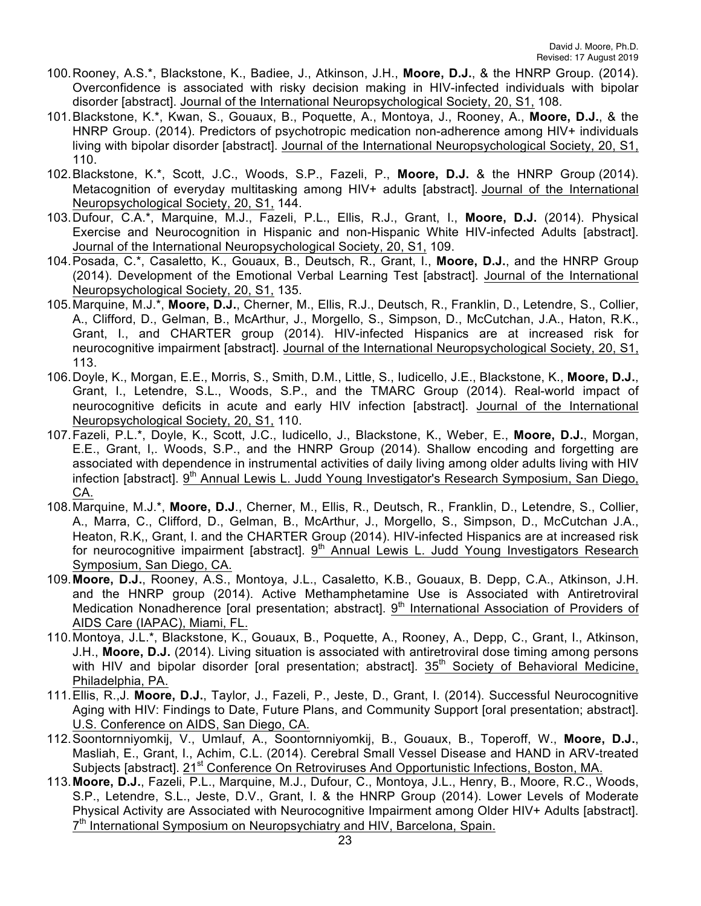- 100.Rooney, A.S.\*, Blackstone, K., Badiee, J., Atkinson, J.H., **Moore, D.J.**, & the HNRP Group. (2014). Overconfidence is associated with risky decision making in HIV-infected individuals with bipolar disorder [abstract]. Journal of the International Neuropsychological Society, 20, S1, 108.
- 101.Blackstone, K.\*, Kwan, S., Gouaux, B., Poquette, A., Montoya, J., Rooney, A., **Moore, D.J.**, & the HNRP Group. (2014). Predictors of psychotropic medication non-adherence among HIV+ individuals living with bipolar disorder [abstract]. Journal of the International Neuropsychological Society, 20, S1, 110.
- 102.Blackstone, K.\*, Scott, J.C., Woods, S.P., Fazeli, P., **Moore, D.J.** & the HNRP Group (2014). Metacognition of everyday multitasking among HIV+ adults [abstract]. Journal of the International Neuropsychological Society, 20, S1, 144.
- 103.Dufour, C.A.\*, Marquine, M.J., Fazeli, P.L., Ellis, R.J., Grant, I., **Moore, D.J.** (2014). Physical Exercise and Neurocognition in Hispanic and non-Hispanic White HIV-infected Adults [abstract]. Journal of the International Neuropsychological Society, 20, S1, 109.
- 104.Posada, C.\*, Casaletto, K., Gouaux, B., Deutsch, R., Grant, I., **Moore, D.J.**, and the HNRP Group (2014). Development of the Emotional Verbal Learning Test [abstract]. Journal of the International Neuropsychological Society, 20, S1, 135.
- 105.Marquine, M.J.\*, **Moore, D.J.**, Cherner, M., Ellis, R.J., Deutsch, R., Franklin, D., Letendre, S., Collier, A., Clifford, D., Gelman, B., McArthur, J., Morgello, S., Simpson, D., McCutchan, J.A., Haton, R.K., Grant, I., and CHARTER group (2014). HIV-infected Hispanics are at increased risk for neurocognitive impairment [abstract]. Journal of the International Neuropsychological Society, 20, S1, 113.
- 106.Doyle, K., Morgan, E.E., Morris, S., Smith, D.M., Little, S., Iudicello, J.E., Blackstone, K., **Moore, D.J.**, Grant, I., Letendre, S.L., Woods, S.P., and the TMARC Group (2014). Real-world impact of neurocognitive deficits in acute and early HIV infection [abstract]. Journal of the International Neuropsychological Society, 20, S1, 110.
- 107.Fazeli, P.L.\*, Doyle, K., Scott, J.C., Iudicello, J., Blackstone, K., Weber, E., **Moore, D.J.**, Morgan, E.E., Grant, I,. Woods, S.P., and the HNRP Group (2014). Shallow encoding and forgetting are associated with dependence in instrumental activities of daily living among older adults living with HIV infection [abstract]. 9<sup>th</sup> Annual Lewis L. Judd Young Investigator's Research Symposium, San Diego, CA.
- 108.Marquine, M.J.\*, **Moore, D.J**., Cherner, M., Ellis, R., Deutsch, R., Franklin, D., Letendre, S., Collier, A., Marra, C., Clifford, D., Gelman, B., McArthur, J., Morgello, S., Simpson, D., McCutchan J.A., Heaton, R.K,, Grant, I. and the CHARTER Group (2014). HIV-infected Hispanics are at increased risk for neurocognitive impairment [abstract].  $9<sup>th</sup>$  Annual Lewis L. Judd Young Investigators Research Symposium, San Diego, CA.
- 109.**Moore, D.J.**, Rooney, A.S., Montoya, J.L., Casaletto, K.B., Gouaux, B. Depp, C.A., Atkinson, J.H. and the HNRP group (2014). Active Methamphetamine Use is Associated with Antiretroviral Medication Nonadherence [oral presentation; abstract]. 9<sup>th</sup> International Association of Providers of AIDS Care (IAPAC), Miami, FL.
- 110.Montoya, J.L.\*, Blackstone, K., Gouaux, B., Poquette, A., Rooney, A., Depp, C., Grant, I., Atkinson, J.H., **Moore, D.J.** (2014). Living situation is associated with antiretroviral dose timing among persons with HIV and bipolar disorder [oral presentation; abstract].  $35<sup>th</sup>$  Society of Behavioral Medicine, Philadelphia, PA.
- 111.Ellis, R.,J. **Moore, D.J.**, Taylor, J., Fazeli, P., Jeste, D., Grant, I. (2014). Successful Neurocognitive Aging with HIV: Findings to Date, Future Plans, and Community Support [oral presentation; abstract]. U.S. Conference on AIDS, San Diego, CA.
- 112.Soontornniyomkij, V., Umlauf, A., Soontornniyomkij, B., Gouaux, B., Toperoff, W., **Moore, D.J.**, Masliah, E., Grant, I., Achim, C.L. (2014). Cerebral Small Vessel Disease and HAND in ARV-treated Subjects [abstract]. 21<sup>st</sup> Conference On Retroviruses And Opportunistic Infections, Boston, MA.
- 113.**Moore, D.J.**, Fazeli, P.L., Marquine, M.J., Dufour, C., Montoya, J.L., Henry, B., Moore, R.C., Woods, S.P., Letendre, S.L., Jeste, D.V., Grant, I. & the HNRP Group (2014). Lower Levels of Moderate Physical Activity are Associated with Neurocognitive Impairment among Older HIV+ Adults [abstract].  $7<sup>th</sup>$  International Symposium on Neuropsychiatry and HIV, Barcelona, Spain.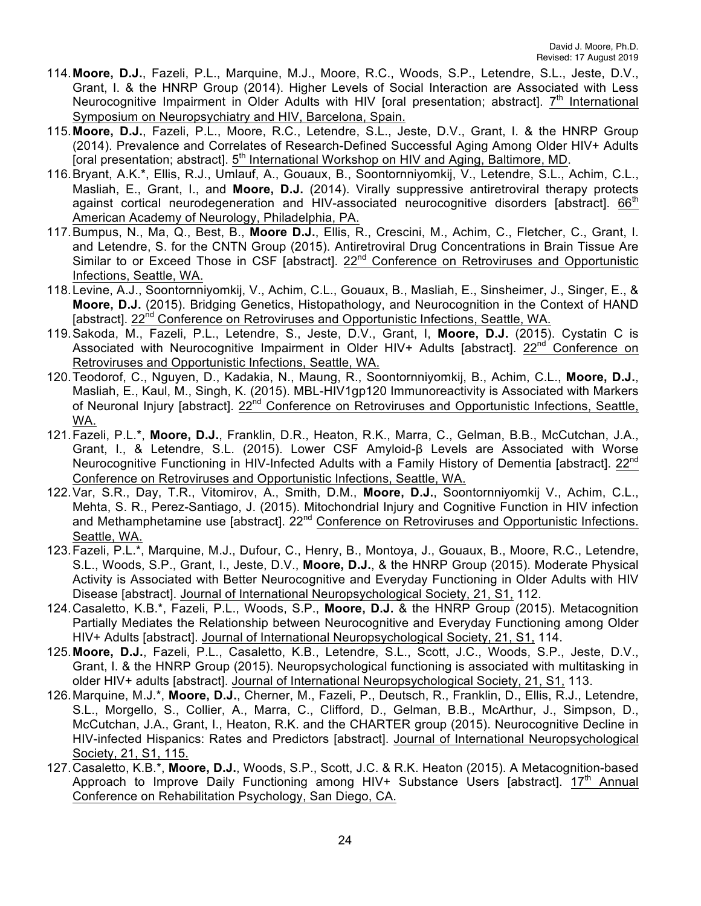- 114.**Moore, D.J.**, Fazeli, P.L., Marquine, M.J., Moore, R.C., Woods, S.P., Letendre, S.L., Jeste, D.V., Grant, I. & the HNRP Group (2014). Higher Levels of Social Interaction are Associated with Less Neurocognitive Impairment in Older Adults with HIV [oral presentation: abstract].  $7<sup>th</sup>$  International Symposium on Neuropsychiatry and HIV, Barcelona, Spain.
- 115.**Moore, D.J.**, Fazeli, P.L., Moore, R.C., Letendre, S.L., Jeste, D.V., Grant, I. & the HNRP Group (2014). Prevalence and Correlates of Research-Defined Successful Aging Among Older HIV+ Adults [oral presentation; abstract]. 5<sup>th</sup> International Workshop on HIV and Aging, Baltimore, MD.
- 116.Bryant, A.K.\*, Ellis, R.J., Umlauf, A., Gouaux, B., Soontornniyomkij, V., Letendre, S.L., Achim, C.L., Masliah, E., Grant, I., and **Moore, D.J.** (2014). Virally suppressive antiretroviral therapy protects against cortical neurodegeneration and HIV-associated neurocognitive disorders [abstract].  $66<sup>th</sup>$ American Academy of Neurology, Philadelphia, PA.
- 117.Bumpus, N., Ma, Q., Best, B., **Moore D.J.**, Ellis, R., Crescini, M., Achim, C., Fletcher, C., Grant, I. and Letendre, S. for the CNTN Group (2015). Antiretroviral Drug Concentrations in Brain Tissue Are Similar to or Exceed Those in CSF [abstract]. 22<sup>nd</sup> Conference on Retroviruses and Opportunistic Infections, Seattle, WA.
- 118.Levine, A.J., Soontornniyomkij, V., Achim, C.L., Gouaux, B., Masliah, E., Sinsheimer, J., Singer, E., & **Moore, D.J.** (2015). Bridging Genetics, Histopathology, and Neurocognition in the Context of HAND [abstract]. 22<sup>nd</sup> Conference on Retroviruses and Opportunistic Infections, Seattle, WA.
- 119.Sakoda, M., Fazeli, P.L., Letendre, S., Jeste, D.V., Grant, I, **Moore, D.J.** (2015). Cystatin C is Associated with Neurocognitive Impairment in Older HIV+ Adults [abstract]. 22<sup>nd</sup> Conference on Retroviruses and Opportunistic Infections, Seattle, WA.
- 120.Teodorof, C., Nguyen, D., Kadakia, N., Maung, R., Soontornniyomkij, B., Achim, C.L., **Moore, D.J.**, Masliah, E., Kaul, M., Singh, K. (2015). MBL-HIV1gp120 Immunoreactivity is Associated with Markers of Neuronal Injury [abstract]. 22<sup>nd</sup> Conference on Retroviruses and Opportunistic Infections, Seattle, WA.
- 121.Fazeli, P.L.\*, **Moore, D.J.**, Franklin, D.R., Heaton, R.K., Marra, C., Gelman, B.B., McCutchan, J.A., Grant, I., & Letendre, S.L. (2015). Lower CSF Amyloid-β Levels are Associated with Worse Neurocognitive Functioning in HIV-Infected Adults with a Family History of Dementia [abstract]. 22<sup>nd</sup> Conference on Retroviruses and Opportunistic Infections, Seattle, WA.
- 122.Var, S.R., Day, T.R., Vitomirov, A., Smith, D.M., **Moore, D.J.**, Soontornniyomkij V., Achim, C.L., Mehta, S. R., Perez-Santiago, J. (2015). Mitochondrial Injury and Cognitive Function in HIV infection and Methamphetamine use [abstract]. 22<sup>nd</sup> Conference on Retroviruses and Opportunistic Infections. Seattle, WA.
- 123.Fazeli, P.L.\*, Marquine, M.J., Dufour, C., Henry, B., Montoya, J., Gouaux, B., Moore, R.C., Letendre, S.L., Woods, S.P., Grant, I., Jeste, D.V., **Moore, D.J.**, & the HNRP Group (2015). Moderate Physical Activity is Associated with Better Neurocognitive and Everyday Functioning in Older Adults with HIV Disease [abstract]. Journal of International Neuropsychological Society, 21, S1, 112.
- 124.Casaletto, K.B.\*, Fazeli, P.L., Woods, S.P., **Moore, D.J.** & the HNRP Group (2015). Metacognition Partially Mediates the Relationship between Neurocognitive and Everyday Functioning among Older HIV+ Adults [abstract]. Journal of International Neuropsychological Society, 21, S1, 114.
- 125.**Moore, D.J.**, Fazeli, P.L., Casaletto, K.B., Letendre, S.L., Scott, J.C., Woods, S.P., Jeste, D.V., Grant, I. & the HNRP Group (2015). Neuropsychological functioning is associated with multitasking in older HIV+ adults [abstract]. Journal of International Neuropsychological Society, 21, S1, 113.
- 126.Marquine, M.J.\*, **Moore, D.J.**, Cherner, M., Fazeli, P., Deutsch, R., Franklin, D., Ellis, R.J., Letendre, S.L., Morgello, S., Collier, A., Marra, C., Clifford, D., Gelman, B.B., McArthur, J., Simpson, D., McCutchan, J.A., Grant, I., Heaton, R.K. and the CHARTER group (2015). Neurocognitive Decline in HIV-infected Hispanics: Rates and Predictors [abstract]. Journal of International Neuropsychological Society, 21, S1, 115.
- 127.Casaletto, K.B.\*, **Moore, D.J.**, Woods, S.P., Scott, J.C. & R.K. Heaton (2015). A Metacognition-based Approach to Improve Daily Functioning among HIV+ Substance Users [abstract]. 17<sup>th</sup> Annual Conference on Rehabilitation Psychology, San Diego, CA.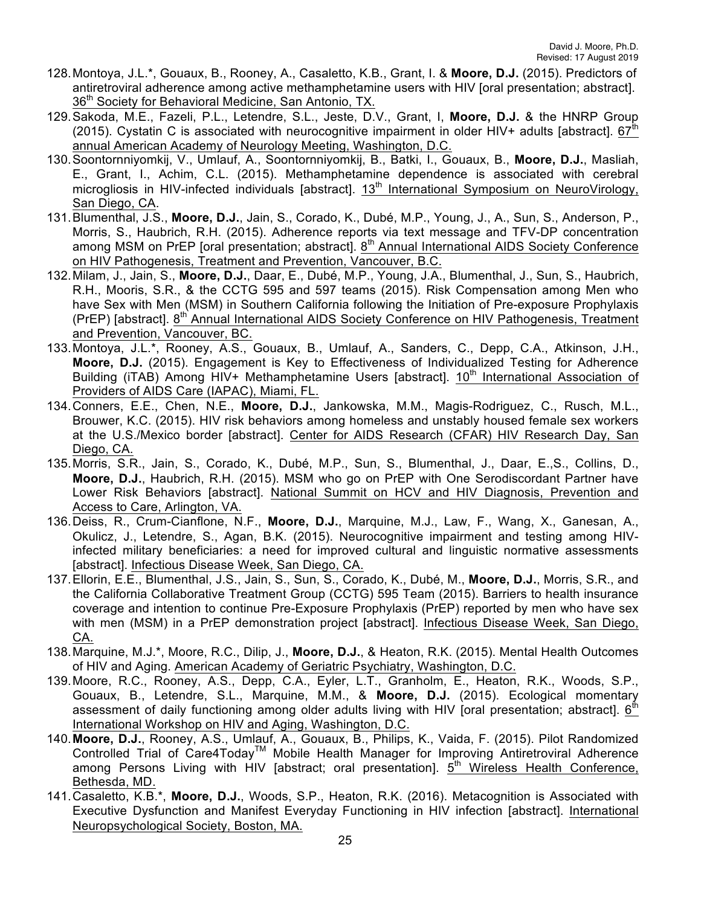- 128.Montoya, J.L.\*, Gouaux, B., Rooney, A., Casaletto, K.B., Grant, I. & **Moore, D.J.** (2015). Predictors of antiretroviral adherence among active methamphetamine users with HIV [oral presentation; abstract]. 36<sup>th</sup> Society for Behavioral Medicine, San Antonio, TX.
- 129.Sakoda, M.E., Fazeli, P.L., Letendre, S.L., Jeste, D.V., Grant, I, **Moore, D.J.** & the HNRP Group (2015). Cystatin C is associated with neurocognitive impairment in older HIV+ adults [abstract].  $67<sup>th</sup>$ annual American Academy of Neurology Meeting, Washington, D.C.
- 130.Soontornniyomkij, V., Umlauf, A., Soontornniyomkij, B., Batki, I., Gouaux, B., **Moore, D.J.**, Masliah, E., Grant, I., Achim, C.L. (2015). Methamphetamine dependence is associated with cerebral microgliosis in HIV-infected individuals [abstract].  $13<sup>th</sup>$  International Symposium on NeuroVirology, San Diego, CA.
- 131.Blumenthal, J.S., **Moore, D.J.**, Jain, S., Corado, K., Dubé, M.P., Young, J., A., Sun, S., Anderson, P., Morris, S., Haubrich, R.H. (2015). Adherence reports via text message and TFV-DP concentration among MSM on PrEP [oral presentation; abstract]. 8<sup>th</sup> Annual International AIDS Society Conference on HIV Pathogenesis, Treatment and Prevention, Vancouver, B.C.
- 132.Milam, J., Jain, S., **Moore, D.J.**, Daar, E., Dubé, M.P., Young, J.A., Blumenthal, J., Sun, S., Haubrich, R.H., Mooris, S.R., & the CCTG 595 and 597 teams (2015). Risk Compensation among Men who have Sex with Men (MSM) in Southern California following the Initiation of Pre-exposure Prophylaxis (PrEP) [abstract]. 8<sup>th</sup> Annual International AIDS Society Conference on HIV Pathogenesis, Treatment and Prevention, Vancouver, BC.
- 133.Montoya, J.L.\*, Rooney, A.S., Gouaux, B., Umlauf, A., Sanders, C., Depp, C.A., Atkinson, J.H., **Moore, D.J.** (2015). Engagement is Key to Effectiveness of Individualized Testing for Adherence Building (iTAB) Among HIV+ Methamphetamine Users [abstract]. 10<sup>th</sup> International Association of Providers of AIDS Care (IAPAC), Miami, FL.
- 134.Conners, E.E., Chen, N.E., **Moore, D.J.**, Jankowska, M.M., Magis-Rodriguez, C., Rusch, M.L., Brouwer, K.C. (2015). HIV risk behaviors among homeless and unstably housed female sex workers at the U.S./Mexico border [abstract]. Center for AIDS Research (CFAR) HIV Research Day, San Diego, CA.
- 135.Morris, S.R., Jain, S., Corado, K., Dubé, M.P., Sun, S., Blumenthal, J., Daar, E.,S., Collins, D., **Moore, D.J.**, Haubrich, R.H. (2015). MSM who go on PrEP with One Serodiscordant Partner have Lower Risk Behaviors [abstract]. National Summit on HCV and HIV Diagnosis, Prevention and Access to Care, Arlington, VA.
- 136.Deiss, R., Crum-Cianflone, N.F., **Moore, D.J.**, Marquine, M.J., Law, F., Wang, X., Ganesan, A., Okulicz, J., Letendre, S., Agan, B.K. (2015). Neurocognitive impairment and testing among HIVinfected military beneficiaries: a need for improved cultural and linguistic normative assessments [abstract]. Infectious Disease Week, San Diego, CA.
- 137.Ellorin, E.E., Blumenthal, J.S., Jain, S., Sun, S., Corado, K., Dubé, M., **Moore, D.J.**, Morris, S.R., and the California Collaborative Treatment Group (CCTG) 595 Team (2015). Barriers to health insurance coverage and intention to continue Pre-Exposure Prophylaxis (PrEP) reported by men who have sex with men (MSM) in a PrEP demonstration project [abstract]. Infectious Disease Week, San Diego, CA.
- 138.Marquine, M.J.\*, Moore, R.C., Dilip, J., **Moore, D.J.**, & Heaton, R.K. (2015). Mental Health Outcomes of HIV and Aging. American Academy of Geriatric Psychiatry, Washington, D.C.
- 139.Moore, R.C., Rooney, A.S., Depp, C.A., Eyler, L.T., Granholm, E., Heaton, R.K., Woods, S.P., Gouaux, B., Letendre, S.L., Marquine, M.M., & **Moore, D.J.** (2015). Ecological momentary assessment of daily functioning among older adults living with HIV [oral presentation; abstract].  $6<sup>th</sup>$ International Workshop on HIV and Aging, Washington, D.C.
- 140.**Moore, D.J.**, Rooney, A.S., Umlauf, A., Gouaux, B., Philips, K., Vaida, F. (2015). Pilot Randomized Controlled Trial of Care4Today<sup>™</sup> Mobile Health Manager for Improving Antiretroviral Adherence among Persons Living with  $HIV$  [abstract; oral presentation].  $5<sup>th</sup>$  Wireless Health Conference, Bethesda, MD.
- 141.Casaletto, K.B.\*, **Moore, D.J.**, Woods, S.P., Heaton, R.K. (2016). Metacognition is Associated with Executive Dysfunction and Manifest Everyday Functioning in HIV infection [abstract]. International Neuropsychological Society, Boston, MA.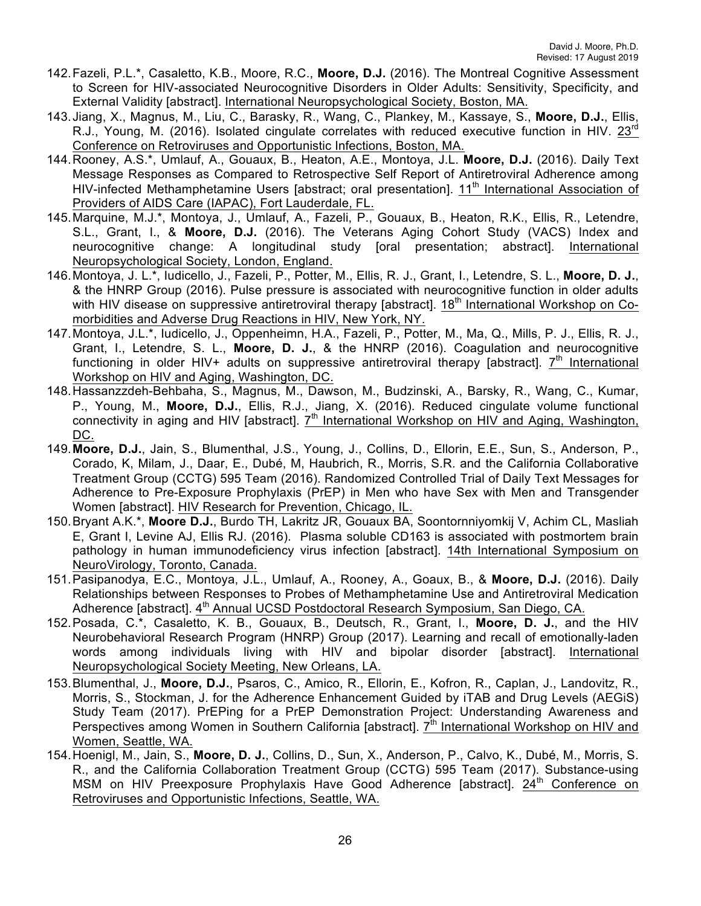- 142.Fazeli, P.L.\*, Casaletto, K.B., Moore, R.C., **Moore, D.J.** (2016). The Montreal Cognitive Assessment to Screen for HIV-associated Neurocognitive Disorders in Older Adults: Sensitivity, Specificity, and External Validity [abstract]. International Neuropsychological Society, Boston, MA.
- 143.Jiang, X., Magnus, M., Liu, C., Barasky, R., Wang, C., Plankey, M., Kassaye, S., **Moore, D.J.**, Ellis, R.J., Young, M. (2016). Isolated cingulate correlates with reduced executive function in HIV. 23<sup>rd</sup> Conference on Retroviruses and Opportunistic Infections, Boston, MA.
- 144.Rooney, A.S.\*, Umlauf, A., Gouaux, B., Heaton, A.E., Montoya, J.L. **Moore, D.J.** (2016). Daily Text Message Responses as Compared to Retrospective Self Report of Antiretroviral Adherence among HIV-infected Methamphetamine Users [abstract; oral presentation]. 11<sup>th</sup> International Association of Providers of AIDS Care (IAPAC), Fort Lauderdale, FL.
- 145.Marquine, M.J.\*, Montoya, J., Umlauf, A., Fazeli, P., Gouaux, B., Heaton, R.K., Ellis, R., Letendre, S.L., Grant, I., & **Moore, D.J.** (2016). The Veterans Aging Cohort Study (VACS) Index and neurocognitive change: A longitudinal study [oral presentation; abstract]. International Neuropsychological Society, London, England.
- 146.Montoya, J. L.\*, Iudicello, J., Fazeli, P., Potter, M., Ellis, R. J., Grant, I., Letendre, S. L., **Moore, D. J.**, & the HNRP Group (2016). Pulse pressure is associated with neurocognitive function in older adults with HIV disease on suppressive antiretroviral therapy [abstract]. 18<sup>th</sup> International Workshop on Comorbidities and Adverse Drug Reactions in HIV, New York, NY.
- 147.Montoya, J.L.\*, Iudicello, J., Oppenheimn, H.A., Fazeli, P., Potter, M., Ma, Q., Mills, P. J., Ellis, R. J., Grant, I., Letendre, S. L., **Moore, D. J.**, & the HNRP (2016). Coagulation and neurocognitive functioning in older HIV+ adults on suppressive antiretroviral therapy [abstract].  $7<sup>th</sup>$  International Workshop on HIV and Aging, Washington, DC.
- 148.Hassanzzdeh-Behbaha, S., Magnus, M., Dawson, M., Budzinski, A., Barsky, R., Wang, C., Kumar, P., Young, M., **Moore, D.J.**, Ellis, R.J., Jiang, X. (2016). Reduced cingulate volume functional connectivity in aging and HIV [abstract]. 7<sup>th</sup> International Workshop on HIV and Aging, Washington, DC.
- 149.**Moore, D.J.**, Jain, S., Blumenthal, J.S., Young, J., Collins, D., Ellorin, E.E., Sun, S., Anderson, P., Corado, K, Milam, J., Daar, E., Dubé, M, Haubrich, R., Morris, S.R. and the California Collaborative Treatment Group (CCTG) 595 Team (2016). Randomized Controlled Trial of Daily Text Messages for Adherence to Pre-Exposure Prophylaxis (PrEP) in Men who have Sex with Men and Transgender Women [abstract]. HIV Research for Prevention, Chicago, IL.
- 150.Bryant A.K.\*, **Moore D.J.**, Burdo TH, Lakritz JR, Gouaux BA, Soontornniyomkij V, Achim CL, Masliah E, Grant I, Levine AJ, Ellis RJ. (2016). Plasma soluble CD163 is associated with postmortem brain pathology in human immunodeficiency virus infection [abstract]. 14th International Symposium on NeuroVirology, Toronto, Canada.
- 151.Pasipanodya, E.C., Montoya, J.L., Umlauf, A., Rooney, A., Goaux, B., & **Moore, D.J.** (2016). Daily Relationships between Responses to Probes of Methamphetamine Use and Antiretroviral Medication Adherence [abstract]. 4<sup>th</sup> Annual UCSD Postdoctoral Research Symposium, San Diego, CA.
- 152.Posada, C.\*, Casaletto, K. B., Gouaux, B., Deutsch, R., Grant, I., **Moore, D. J.**, and the HIV Neurobehavioral Research Program (HNRP) Group (2017). Learning and recall of emotionally-laden words among individuals living with HIV and bipolar disorder [abstract]. International Neuropsychological Society Meeting, New Orleans, LA.
- 153.Blumenthal, J., **Moore, D.J.**, Psaros, C., Amico, R., Ellorin, E., Kofron, R., Caplan, J., Landovitz, R., Morris, S., Stockman, J. for the Adherence Enhancement Guided by iTAB and Drug Levels (AEGiS) Study Team (2017). PrEPing for a PrEP Demonstration Project: Understanding Awareness and Perspectives among Women in Southern California [abstract].  $7<sup>th</sup>$  International Workshop on HIV and Women, Seattle, WA.
- 154.Hoenigl, M., Jain, S., **Moore, D. J.**, Collins, D., Sun, X., Anderson, P., Calvo, K., Dubé, M., Morris, S. R., and the California Collaboration Treatment Group (CCTG) 595 Team (2017). Substance-using MSM on HIV Preexposure Prophylaxis Have Good Adherence [abstract]. 24<sup>th</sup> Conference on Retroviruses and Opportunistic Infections, Seattle, WA.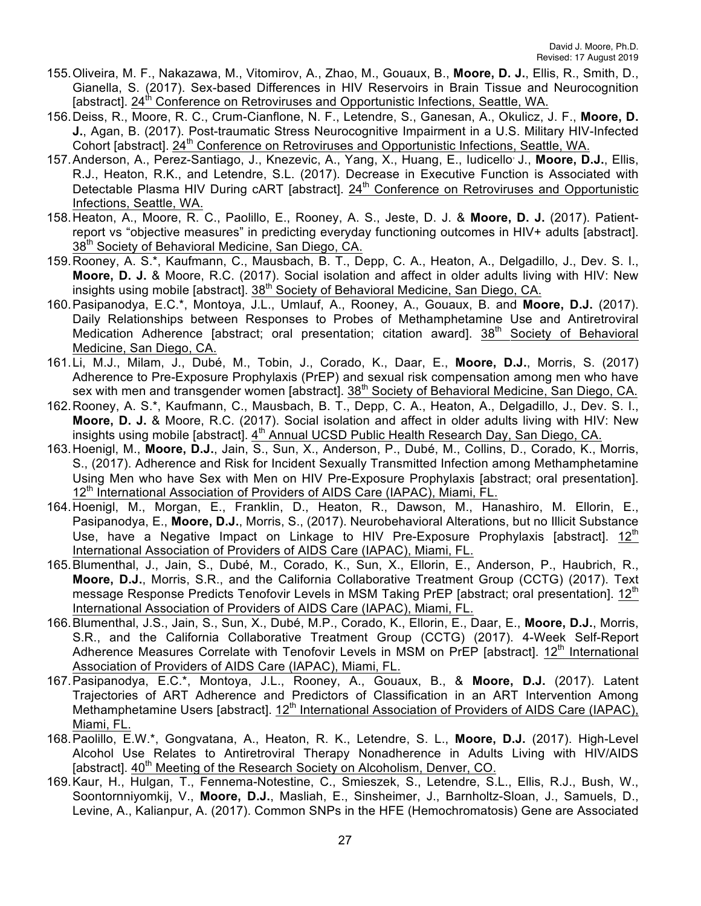- 155.Oliveira, M. F., Nakazawa, M., Vitomirov, A., Zhao, M., Gouaux, B., **Moore, D. J.**, Ellis, R., Smith, D., Gianella, S. (2017). Sex-based Differences in HIV Reservoirs in Brain Tissue and Neurocognition [abstract]. 24<sup>th</sup> Conference on Retroviruses and Opportunistic Infections, Seattle, WA.
- 156.Deiss, R., Moore, R. C., Crum-Cianflone, N. F., Letendre, S., Ganesan, A., Okulicz, J. F., **Moore, D. J.**, Agan, B. (2017). Post-traumatic Stress Neurocognitive Impairment in a U.S. Military HIV-Infected Cohort [abstract]. 24<sup>th</sup> Conference on Retroviruses and Opportunistic Infections, Seattle, WA.
- 157.Anderson, A., Perez-Santiago, J., Knezevic, A., Yang, X., Huang, E., Iudicello, J., **Moore, D.J.**, Ellis, R.J., Heaton, R.K., and Letendre, S.L. (2017). Decrease in Executive Function is Associated with Detectable Plasma HIV During cART [abstract]. 24<sup>th</sup> Conference on Retroviruses and Opportunistic Infections, Seattle, WA.
- 158.Heaton, A., Moore, R. C., Paolillo, E., Rooney, A. S., Jeste, D. J. & **Moore, D. J.** (2017). Patientreport vs "objective measures" in predicting everyday functioning outcomes in HIV+ adults [abstract]. 38<sup>th</sup> Society of Behavioral Medicine, San Diego, CA.
- 159.Rooney, A. S.\*, Kaufmann, C., Mausbach, B. T., Depp, C. A., Heaton, A., Delgadillo, J., Dev. S. I., **Moore, D. J.** & Moore, R.C. (2017). Social isolation and affect in older adults living with HIV: New insights using mobile [abstract].  $38<sup>th</sup>$  Society of Behavioral Medicine, San Diego, CA.
- 160.Pasipanodya, E.C.\*, Montoya, J.L., Umlauf, A., Rooney, A., Gouaux, B. and **Moore, D.J.** (2017). Daily Relationships between Responses to Probes of Methamphetamine Use and Antiretroviral Medication Adherence [abstract; oral presentation; citation award]. 38<sup>th</sup> Society of Behavioral Medicine, San Diego, CA.
- 161.Li, M.J., Milam, J., Dubé, M., Tobin, J., Corado, K., Daar, E., **Moore, D.J.**, Morris, S. (2017) Adherence to Pre-Exposure Prophylaxis (PrEP) and sexual risk compensation among men who have sex with men and transgender women [abstract]. 38<sup>th</sup> Society of Behavioral Medicine, San Diego, CA.
- 162.Rooney, A. S.\*, Kaufmann, C., Mausbach, B. T., Depp, C. A., Heaton, A., Delgadillo, J., Dev. S. I., **Moore, D. J.** & Moore, R.C. (2017). Social isolation and affect in older adults living with HIV: New insights using mobile [abstract]. 4<sup>th</sup> Annual UCSD Public Health Research Day, San Diego, CA.
- 163.Hoenigl, M., **Moore, D.J.**, Jain, S., Sun, X., Anderson, P., Dubé, M., Collins, D., Corado, K., Morris, S., (2017). Adherence and Risk for Incident Sexually Transmitted Infection among Methamphetamine Using Men who have Sex with Men on HIV Pre-Exposure Prophylaxis [abstract; oral presentation]. 12<sup>th</sup> International Association of Providers of AIDS Care (IAPAC), Miami, FL.
- 164.Hoenigl, M., Morgan, E., Franklin, D., Heaton, R., Dawson, M., Hanashiro, M. Ellorin, E., Pasipanodya, E., **Moore, D.J.**, Morris, S., (2017). Neurobehavioral Alterations, but no Illicit Substance Use, have a Negative Impact on Linkage to HIV Pre-Exposure Prophylaxis [abstract]. 12<sup>th</sup> International Association of Providers of AIDS Care (IAPAC), Miami, FL.
- 165.Blumenthal, J., Jain, S., Dubé, M., Corado, K., Sun, X., Ellorin, E., Anderson, P., Haubrich, R., **Moore, D.J.**, Morris, S.R., and the California Collaborative Treatment Group (CCTG) (2017). Text message Response Predicts Tenofovir Levels in MSM Taking PrEP [abstract; oral presentation]. 12<sup>th</sup> International Association of Providers of AIDS Care (IAPAC), Miami, FL.
- 166.Blumenthal, J.S., Jain, S., Sun, X., Dubé, M.P., Corado, K., Ellorin, E., Daar, E., **Moore, D.J.**, Morris, S.R., and the California Collaborative Treatment Group (CCTG) (2017). 4-Week Self-Report Adherence Measures Correlate with Tenofovir Levels in MSM on PrEP [abstract]. 12<sup>th</sup> International Association of Providers of AIDS Care (IAPAC), Miami, FL.
- 167.Pasipanodya, E.C.\*, Montoya, J.L., Rooney, A., Gouaux, B., & **Moore, D.J.** (2017). Latent Trajectories of ART Adherence and Predictors of Classification in an ART Intervention Among Methamphetamine Users [abstract]. 12<sup>th</sup> International Association of Providers of AIDS Care (IAPAC), Miami, FL.
- 168.Paolillo, E.W.\*, Gongvatana, A., Heaton, R. K., Letendre, S. L., **Moore, D.J.** (2017). High-Level Alcohol Use Relates to Antiretroviral Therapy Nonadherence in Adults Living with HIV/AIDS [abstract]. 40<sup>th</sup> Meeting of the Research Society on Alcoholism, Denver, CO.
- 169.Kaur, H., Hulgan, T., Fennema-Notestine, C., Smieszek, S., Letendre, S.L., Ellis, R.J., Bush, W., Soontornniyomkij, V., **Moore, D.J.**, Masliah, E., Sinsheimer, J., Barnholtz-Sloan, J., Samuels, D., Levine, A., Kalianpur, A. (2017). Common SNPs in the HFE (Hemochromatosis) Gene are Associated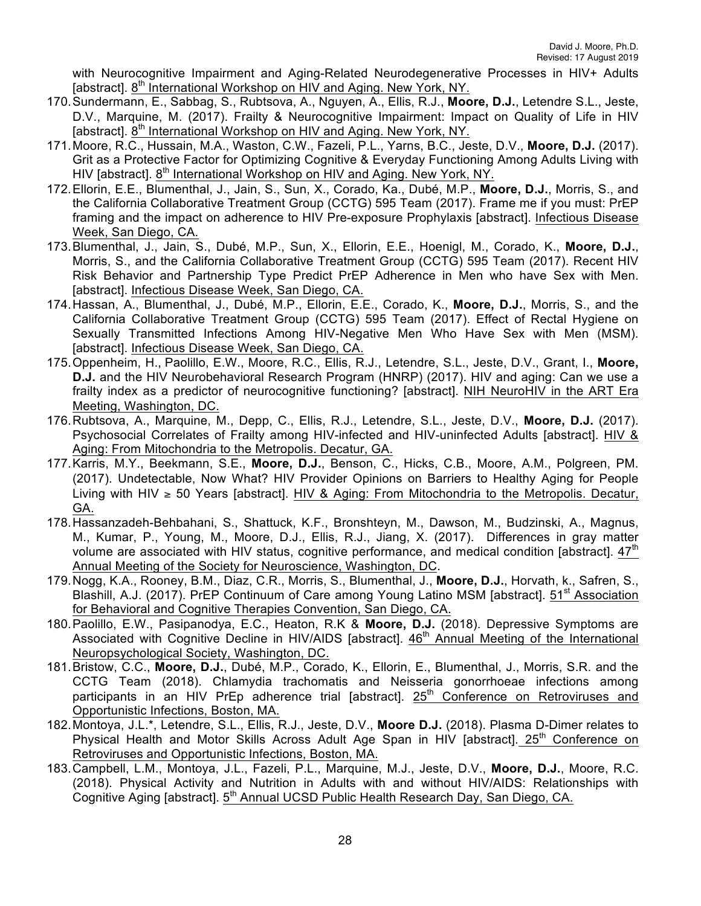with Neurocognitive Impairment and Aging-Related Neurodegenerative Processes in HIV+ Adults [abstract]. 8<sup>th</sup> International Workshop on HIV and Aging. New York, NY.

- 170.Sundermann, E., Sabbag, S., Rubtsova, A., Nguyen, A., Ellis, R.J., **Moore, D.J.**, Letendre S.L., Jeste, D.V., Marquine, M. (2017). Frailty & Neurocognitive Impairment: Impact on Quality of Life in HIV [abstract]. 8<sup>th</sup> International Workshop on HIV and Aging. New York, NY.
- 171.Moore, R.C., Hussain, M.A., Waston, C.W., Fazeli, P.L., Yarns, B.C., Jeste, D.V., **Moore, D.J.** (2017). Grit as a Protective Factor for Optimizing Cognitive & Everyday Functioning Among Adults Living with HIV [abstract].  $8<sup>th</sup>$  International Workshop on HIV and Aging. New York, NY.
- 172.Ellorin, E.E., Blumenthal, J., Jain, S., Sun, X., Corado, Ka., Dubé, M.P., **Moore, D.J.**, Morris, S., and the California Collaborative Treatment Group (CCTG) 595 Team (2017). Frame me if you must: PrEP framing and the impact on adherence to HIV Pre-exposure Prophylaxis [abstract]. Infectious Disease Week, San Diego, CA.
- 173.Blumenthal, J., Jain, S., Dubé, M.P., Sun, X., Ellorin, E.E., Hoenigl, M., Corado, K., **Moore, D.J.**, Morris, S., and the California Collaborative Treatment Group (CCTG) 595 Team (2017). Recent HIV Risk Behavior and Partnership Type Predict PrEP Adherence in Men who have Sex with Men. [abstract]. Infectious Disease Week, San Diego, CA.
- 174.Hassan, A., Blumenthal, J., Dubé, M.P., Ellorin, E.E., Corado, K., **Moore, D.J.**, Morris, S., and the California Collaborative Treatment Group (CCTG) 595 Team (2017). Effect of Rectal Hygiene on Sexually Transmitted Infections Among HIV-Negative Men Who Have Sex with Men (MSM). [abstract]. Infectious Disease Week, San Diego, CA.
- 175.Oppenheim, H., Paolillo, E.W., Moore, R.C., Ellis, R.J., Letendre, S.L., Jeste, D.V., Grant, I., **Moore, D.J.** and the HIV Neurobehavioral Research Program (HNRP) (2017). HIV and aging: Can we use a frailty index as a predictor of neurocognitive functioning? [abstract]. NIH NeuroHIV in the ART Era Meeting, Washington, DC.
- 176.Rubtsova, A., Marquine, M., Depp, C., Ellis, R.J., Letendre, S.L., Jeste, D.V., **Moore, D.J.** (2017). Psychosocial Correlates of Frailty among HIV-infected and HIV-uninfected Adults [abstract]. HIV & Aging: From Mitochondria to the Metropolis. Decatur, GA.
- 177.Karris, M.Y., Beekmann, S.E., **Moore, D.J.**, Benson, C., Hicks, C.B., Moore, A.M., Polgreen, PM. (2017). Undetectable, Now What? HIV Provider Opinions on Barriers to Healthy Aging for People Living with HIV ≥ 50 Years [abstract]. HIV & Aging: From Mitochondria to the Metropolis. Decatur, GA.
- 178.Hassanzadeh-Behbahani, S., Shattuck, K.F., Bronshteyn, M., Dawson, M., Budzinski, A., Magnus, M., Kumar, P., Young, M., Moore, D.J., Ellis, R.J., Jiang, X. (2017). Differences in gray matter volume are associated with HIV status, cognitive performance, and medical condition [abstract].  $47<sup>th</sup>$ Annual Meeting of the Society for Neuroscience, Washington, DC.
- 179.Nogg, K.A., Rooney, B.M., Diaz, C.R., Morris, S., Blumenthal, J., **Moore, D.J.**, Horvath, k., Safren, S., Blashill, A.J. (2017). PrEP Continuum of Care among Young Latino MSM [abstract]. 51<sup>st</sup> Association for Behavioral and Cognitive Therapies Convention, San Diego, CA.
- 180.Paolillo, E.W., Pasipanodya, E.C., Heaton, R.K & **Moore, D.J.** (2018). Depressive Symptoms are Associated with Cognitive Decline in HIV/AIDS [abstract]. 46<sup>th</sup> Annual Meeting of the International Neuropsychological Society, Washington, DC.
- 181.Bristow, C.C., **Moore, D.J.**, Dubé, M.P., Corado, K., Ellorin, E., Blumenthal, J., Morris, S.R. and the CCTG Team (2018). Chlamydia trachomatis and Neisseria gonorrhoeae infections among participants in an HIV PrEp adherence trial [abstract].  $25<sup>th</sup>$  Conference on Retroviruses and Opportunistic Infections, Boston, MA.
- 182.Montoya, J.L.\*, Letendre, S.L., Ellis, R.J., Jeste, D.V., **Moore D.J.** (2018). Plasma D-Dimer relates to Physical Health and Motor Skills Across Adult Age Span in HIV [abstract]. 25<sup>th</sup> Conference on Retroviruses and Opportunistic Infections, Boston, MA.
- 183.Campbell, L.M., Montoya, J.L., Fazeli, P.L., Marquine, M.J., Jeste, D.V., **Moore, D.J.**, Moore, R.C. (2018). Physical Activity and Nutrition in Adults with and without HIV/AIDS: Relationships with Cognitive Aging [abstract]. 5<sup>th</sup> Annual UCSD Public Health Research Day, San Diego, CA.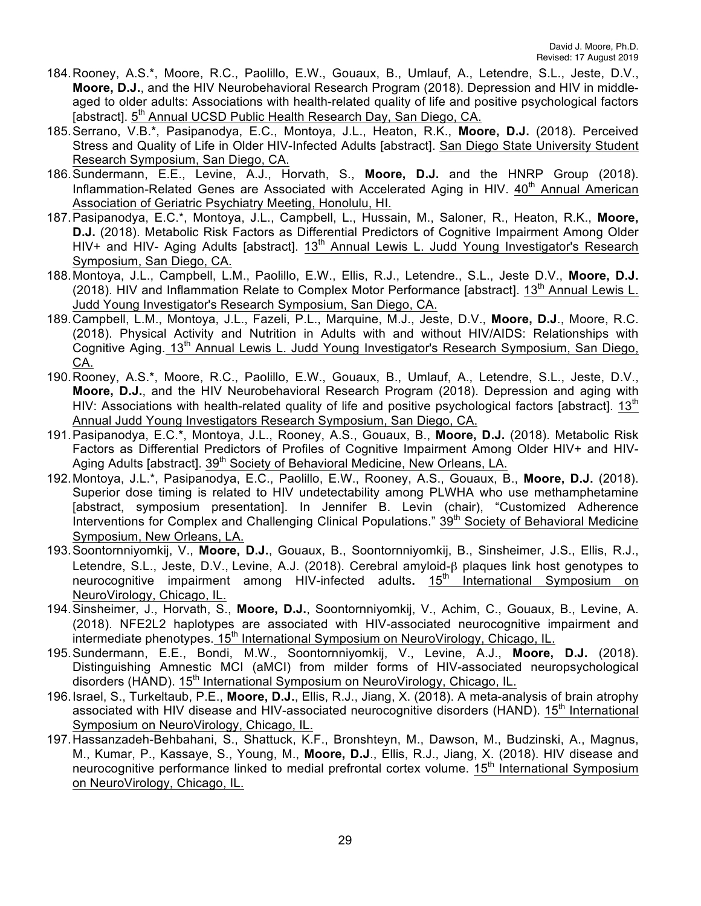- 184.Rooney, A.S.\*, Moore, R.C., Paolillo, E.W., Gouaux, B., Umlauf, A., Letendre, S.L., Jeste, D.V., **Moore, D.J.**, and the HIV Neurobehavioral Research Program (2018). Depression and HIV in middleaged to older adults: Associations with health-related quality of life and positive psychological factors [abstract]. 5<sup>th</sup> Annual UCSD Public Health Research Day, San Diego, CA.
- 185.Serrano, V.B.\*, Pasipanodya, E.C., Montoya, J.L., Heaton, R.K., **Moore, D.J.** (2018). Perceived Stress and Quality of Life in Older HIV-Infected Adults [abstract]. San Diego State University Student Research Symposium, San Diego, CA.
- 186.Sundermann, E.E., Levine, A.J., Horvath, S., **Moore, D.J.** and the HNRP Group (2018). Inflammation-Related Genes are Associated with Accelerated Aging in HIV.  $40<sup>th</sup>$  Annual American Association of Geriatric Psychiatry Meeting, Honolulu, HI.
- 187.Pasipanodya, E.C.\*, Montoya, J.L., Campbell, L., Hussain, M., Saloner, R., Heaton, R.K., **Moore, D.J.** (2018). Metabolic Risk Factors as Differential Predictors of Cognitive Impairment Among Older HIV+ and HIV- Aging Adults [abstract]. 13<sup>th</sup> Annual Lewis L. Judd Young Investigator's Research Symposium, San Diego, CA.
- 188.Montoya, J.L., Campbell, L.M., Paolillo, E.W., Ellis, R.J., Letendre., S.L., Jeste D.V., **Moore, D.J.** (2018). HIV and Inflammation Relate to Complex Motor Performance [abstract].  $13<sup>th</sup>$  Annual Lewis L. Judd Young Investigator's Research Symposium, San Diego, CA.
- 189.Campbell, L.M., Montoya, J.L., Fazeli, P.L., Marquine, M.J., Jeste, D.V., **Moore, D.J**., Moore, R.C. (2018). Physical Activity and Nutrition in Adults with and without HIV/AIDS: Relationships with Cognitive Aging. 13<sup>th</sup> Annual Lewis L. Judd Young Investigator's Research Symposium, San Diego, CA.
- 190.Rooney, A.S.\*, Moore, R.C., Paolillo, E.W., Gouaux, B., Umlauf, A., Letendre, S.L., Jeste, D.V., **Moore, D.J.**, and the HIV Neurobehavioral Research Program (2018). Depression and aging with HIV: Associations with health-related quality of life and positive psychological factors [abstract]. 13<sup>th</sup> Annual Judd Young Investigators Research Symposium, San Diego, CA.
- 191.Pasipanodya, E.C.\*, Montoya, J.L., Rooney, A.S., Gouaux, B., **Moore, D.J.** (2018). Metabolic Risk Factors as Differential Predictors of Profiles of Cognitive Impairment Among Older HIV+ and HIV-Aging Adults [abstract].  $39<sup>th</sup>$  Society of Behavioral Medicine, New Orleans, LA.
- 192.Montoya, J.L.\*, Pasipanodya, E.C., Paolillo, E.W., Rooney, A.S., Gouaux, B., **Moore, D.J.** (2018). Superior dose timing is related to HIV undetectability among PLWHA who use methamphetamine [abstract, symposium presentation]. In Jennifer B. Levin (chair), "Customized Adherence Interventions for Complex and Challenging Clinical Populations." 39<sup>th</sup> Society of Behavioral Medicine Symposium, New Orleans, LA.
- 193.Soontornniyomkij, V., **Moore, D.J.**, Gouaux, B., Soontornniyomkij, B., Sinsheimer, J.S., Ellis, R.J., Letendre, S.L., Jeste, D.V., Levine, A.J. (2018). Cerebral amyloid-β plaques link host genotypes to neurocognitive impairment among HIV-infected adults. 15<sup>th</sup> International Symposium on NeuroVirology, Chicago, IL.
- 194.Sinsheimer, J., Horvath, S., **Moore, D.J.**, Soontornniyomkij, V., Achim, C., Gouaux, B., Levine, A. (2018). NFE2L2 haplotypes are associated with HIV-associated neurocognitive impairment and intermediate phenotypes.  $15<sup>th</sup>$  International Symposium on NeuroVirology, Chicago, IL.
- 195.Sundermann, E.E., Bondi, M.W., Soontornniyomkij, V., Levine, A.J., **Moore, D.J.** (2018). Distinguishing Amnestic MCI (aMCI) from milder forms of HIV-associated neuropsychological disorders (HAND). 15<sup>th</sup> International Symposium on NeuroVirology, Chicago, IL.
- 196.Israel, S., Turkeltaub, P.E., **Moore, D.J.**, Ellis, R.J., Jiang, X. (2018). A meta-analysis of brain atrophy associated with HIV disease and HIV-associated neurocognitive disorders (HAND). 15<sup>th</sup> International Symposium on NeuroVirology, Chicago, IL.
- 197.Hassanzadeh-Behbahani, S., Shattuck, K.F., Bronshteyn, M., Dawson, M., Budzinski, A., Magnus, M., Kumar, P., Kassaye, S., Young, M., **Moore, D.J**., Ellis, R.J., Jiang, X. (2018). HIV disease and neurocognitive performance linked to medial prefrontal cortex volume. 15<sup>th</sup> International Symposium on NeuroVirology, Chicago, IL.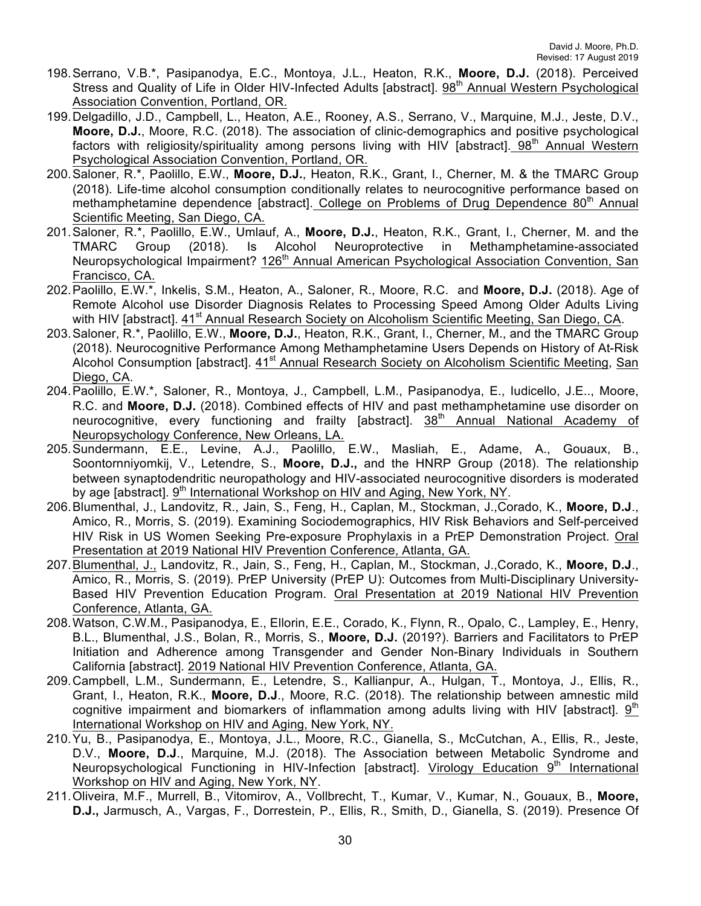- 198.Serrano, V.B.\*, Pasipanodya, E.C., Montoya, J.L., Heaton, R.K., **Moore, D.J.** (2018). Perceived Stress and Quality of Life in Older HIV-Infected Adults [abstract]. 98<sup>th</sup> Annual Western Psychological Association Convention, Portland, OR.
- 199.Delgadillo, J.D., Campbell, L., Heaton, A.E., Rooney, A.S., Serrano, V., Marquine, M.J., Jeste, D.V., **Moore, D.J.**, Moore, R.C. (2018). The association of clinic-demographics and positive psychological factors with religiosity/spirituality among persons living with HIV [abstract]. 98<sup>th</sup> Annual Western Psychological Association Convention, Portland, OR.
- 200.Saloner, R.\*, Paolillo, E.W., **Moore, D.J.**, Heaton, R.K., Grant, I., Cherner, M. & the TMARC Group (2018). Life-time alcohol consumption conditionally relates to neurocognitive performance based on methamphetamine dependence [abstract]. College on Problems of Drug Dependence 80<sup>th</sup> Annual Scientific Meeting, San Diego, CA.
- 201.Saloner, R.\*, Paolillo, E.W., Umlauf, A., **Moore, D.J.**, Heaton, R.K., Grant, I., Cherner, M. and the TMARC Group (2018). Is Alcohol Neuroprotective in Methamphetamine-associated Neuropsychological Impairment? 126<sup>th</sup> Annual American Psychological Association Convention, San Francisco, CA.
- 202.Paolillo, E.W.\*, Inkelis, S.M., Heaton, A., Saloner, R., Moore, R.C. and **Moore, D.J.** (2018). Age of Remote Alcohol use Disorder Diagnosis Relates to Processing Speed Among Older Adults Living with HIV [abstract]. 41<sup>st</sup> Annual Research Society on Alcoholism Scientific Meeting, San Diego, CA.
- 203.Saloner, R.\*, Paolillo, E.W., **Moore, D.J.**, Heaton, R.K., Grant, I., Cherner, M., and the TMARC Group (2018). Neurocognitive Performance Among Methamphetamine Users Depends on History of At-Risk Alcohol Consumption [abstract]. 41<sup>st</sup> Annual Research Society on Alcoholism Scientific Meeting, San Diego, CA.
- 204.Paolillo, E.W.\*, Saloner, R., Montoya, J., Campbell, L.M., Pasipanodya, E., Iudicello, J.E.., Moore, R.C. and **Moore, D.J.** (2018). Combined effects of HIV and past methamphetamine use disorder on neurocognitive, every functioning and frailty [abstract]. 38<sup>th</sup> Annual National Academy of Neuropsychology Conference, New Orleans, LA.
- 205.Sundermann, E.E., Levine, A.J., Paolillo, E.W., Masliah, E., Adame, A., Gouaux, B., Soontornniyomkij, V., Letendre, S., **Moore, D.J.,** and the HNRP Group (2018). The relationship between synaptodendritic neuropathology and HIV-associated neurocognitive disorders is moderated by age [abstract]. 9<sup>th</sup> International Workshop on HIV and Aging, New York, NY.
- 206.Blumenthal, J., Landovitz, R., Jain, S., Feng, H., Caplan, M., Stockman, J.,Corado, K., **Moore, D.J**., Amico, R., Morris, S. (2019). Examining Sociodemographics, HIV Risk Behaviors and Self-perceived HIV Risk in US Women Seeking Pre-exposure Prophylaxis in a PrEP Demonstration Project. Oral Presentation at 2019 National HIV Prevention Conference, Atlanta, GA.
- 207.Blumenthal, J., Landovitz, R., Jain, S., Feng, H., Caplan, M., Stockman, J.,Corado, K., **Moore, D.J**., Amico, R., Morris, S. (2019). PrEP University (PrEP U): Outcomes from Multi-Disciplinary University-Based HIV Prevention Education Program. Oral Presentation at 2019 National HIV Prevention Conference, Atlanta, GA.
- 208.Watson, C.W.M., Pasipanodya, E., Ellorin, E.E., Corado, K., Flynn, R., Opalo, C., Lampley, E., Henry, B.L., Blumenthal, J.S., Bolan, R., Morris, S., **Moore, D.J.** (2019?). Barriers and Facilitators to PrEP Initiation and Adherence among Transgender and Gender Non-Binary Individuals in Southern California [abstract]. 2019 National HIV Prevention Conference, Atlanta, GA.
- 209.Campbell, L.M., Sundermann, E., Letendre, S., Kallianpur, A., Hulgan, T., Montoya, J., Ellis, R., Grant, I., Heaton, R.K., **Moore, D.J**., Moore, R.C. (2018). The relationship between amnestic mild cognitive impairment and biomarkers of inflammation among adults living with HIV [abstract].  $9<sup>th</sup>$ International Workshop on HIV and Aging, New York, NY.
- 210.Yu, B., Pasipanodya, E., Montoya, J.L., Moore, R.C., Gianella, S., McCutchan, A., Ellis, R., Jeste, D.V., **Moore, D.J**., Marquine, M.J. (2018). The Association between Metabolic Syndrome and Neuropsychological Functioning in HIV-Infection [abstract]. Virology Education 9<sup>th</sup> International Workshop on HIV and Aging, New York, NY.
- 211.Oliveira, M.F., Murrell, B., Vitomirov, A., Vollbrecht, T., Kumar, V., Kumar, N., Gouaux, B., **Moore, D.J.,** Jarmusch, A., Vargas, F., Dorrestein, P., Ellis, R., Smith, D., Gianella, S. (2019). Presence Of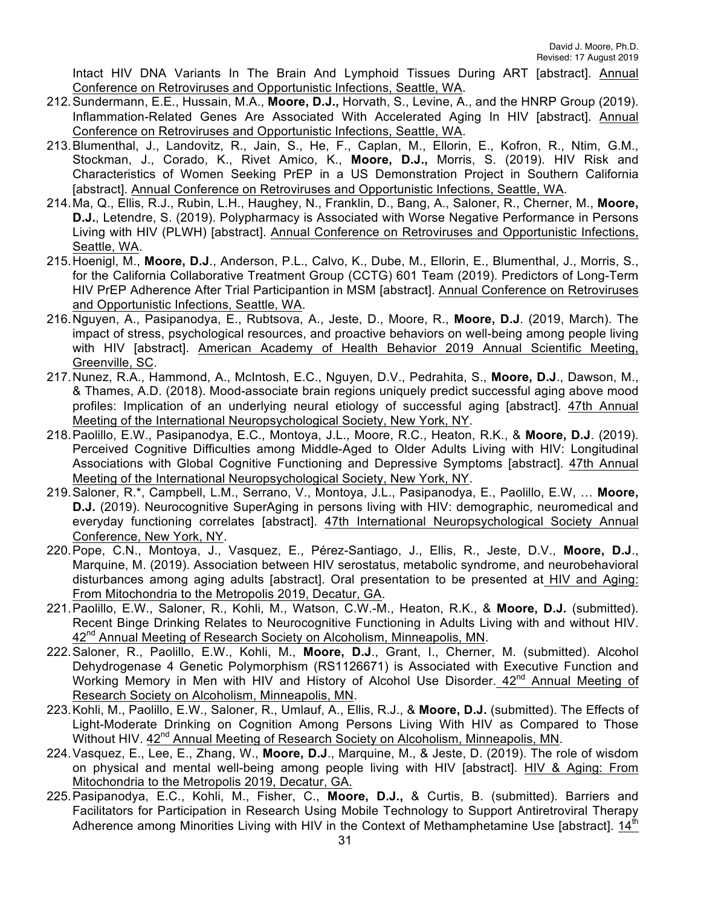Intact HIV DNA Variants In The Brain And Lymphoid Tissues During ART [abstract]. Annual Conference on Retroviruses and Opportunistic Infections, Seattle, WA.

- 212.Sundermann, E.E., Hussain, M.A., **Moore, D.J.,** Horvath, S., Levine, A., and the HNRP Group (2019). Inflammation-Related Genes Are Associated With Accelerated Aging In HIV [abstract]. Annual Conference on Retroviruses and Opportunistic Infections, Seattle, WA.
- 213.Blumenthal, J., Landovitz, R., Jain, S., He, F., Caplan, M., Ellorin, E., Kofron, R., Ntim, G.M., Stockman, J., Corado, K., Rivet Amico, K., **Moore, D.J.,** Morris, S. (2019). HIV Risk and Characteristics of Women Seeking PrEP in a US Demonstration Project in Southern California [abstract]. Annual Conference on Retroviruses and Opportunistic Infections, Seattle, WA.
- 214.Ma, Q., Ellis, R.J., Rubin, L.H., Haughey, N., Franklin, D., Bang, A., Saloner, R., Cherner, M., **Moore, D.J.**, Letendre, S. (2019). Polypharmacy is Associated with Worse Negative Performance in Persons Living with HIV (PLWH) [abstract]. Annual Conference on Retroviruses and Opportunistic Infections, Seattle, WA.
- 215.Hoenigl, M., **Moore, D.J**., Anderson, P.L., Calvo, K., Dube, M., Ellorin, E., Blumenthal, J., Morris, S., for the California Collaborative Treatment Group (CCTG) 601 Team (2019). Predictors of Long-Term HIV PrEP Adherence After Trial Participantion in MSM [abstract]. Annual Conference on Retroviruses and Opportunistic Infections, Seattle, WA.
- 216.Nguyen, A., Pasipanodya, E., Rubtsova, A., Jeste, D., Moore, R., **Moore, D.J**. (2019, March). The impact of stress, psychological resources, and proactive behaviors on well-being among people living with HIV [abstract]. American Academy of Health Behavior 2019 Annual Scientific Meeting, Greenville, SC.
- 217.Nunez, R.A., Hammond, A., McIntosh, E.C., Nguyen, D.V., Pedrahita, S., **Moore, D.J**., Dawson, M., & Thames, A.D. (2018). Mood-associate brain regions uniquely predict successful aging above mood profiles: Implication of an underlying neural etiology of successful aging [abstract]. 47th Annual Meeting of the International Neuropsychological Society, New York, NY.
- 218.Paolillo, E.W., Pasipanodya, E.C., Montoya, J.L., Moore, R.C., Heaton, R.K., & **Moore, D.J**. (2019). Perceived Cognitive Difficulties among Middle-Aged to Older Adults Living with HIV: Longitudinal Associations with Global Cognitive Functioning and Depressive Symptoms [abstract]. 47th Annual Meeting of the International Neuropsychological Society, New York, NY.
- 219.Saloner, R.\*, Campbell, L.M., Serrano, V., Montoya, J.L., Pasipanodya, E., Paolillo, E.W, … **Moore, D.J.** (2019). Neurocognitive SuperAging in persons living with HIV: demographic, neuromedical and everyday functioning correlates [abstract]. 47th International Neuropsychological Society Annual Conference, New York, NY.
- 220.Pope, C.N., Montoya, J., Vasquez, E., Pérez-Santiago, J., Ellis, R., Jeste, D.V., **Moore, D.J**., Marquine, M. (2019). Association between HIV serostatus, metabolic syndrome, and neurobehavioral disturbances among aging adults [abstract]. Oral presentation to be presented at HIV and Aging: From Mitochondria to the Metropolis 2019, Decatur, GA.
- 221.Paolillo, E.W., Saloner, R., Kohli, M., Watson, C.W.-M., Heaton, R.K., & **Moore, D.J.** (submitted). Recent Binge Drinking Relates to Neurocognitive Functioning in Adults Living with and without HIV. 42<sup>nd</sup> Annual Meeting of Research Society on Alcoholism, Minneapolis, MN.
- 222.Saloner, R., Paolillo, E.W., Kohli, M., **Moore, D.J**., Grant, I., Cherner, M. (submitted). Alcohol Dehydrogenase 4 Genetic Polymorphism (RS1126671) is Associated with Executive Function and Working Memory in Men with HIV and History of Alcohol Use Disorder. 42<sup>nd</sup> Annual Meeting of Research Society on Alcoholism, Minneapolis, MN.
- 223.Kohli, M., Paolillo, E.W., Saloner, R., Umlauf, A., Ellis, R.J., & **Moore, D.J.** (submitted). The Effects of Light-Moderate Drinking on Cognition Among Persons Living With HIV as Compared to Those Without HIV. 42<sup>nd</sup> Annual Meeting of Research Society on Alcoholism, Minneapolis, MN.
- 224.Vasquez, E., Lee, E., Zhang, W., **Moore, D.J**., Marquine, M., & Jeste, D. (2019). The role of wisdom on physical and mental well-being among people living with HIV [abstract]. HIV & Aging: From Mitochondria to the Metropolis 2019, Decatur, GA.
- 225.Pasipanodya, E.C., Kohli, M., Fisher, C., **Moore, D.J.,** & Curtis, B. (submitted). Barriers and Facilitators for Participation in Research Using Mobile Technology to Support Antiretroviral Therapy Adherence among Minorities Living with HIV in the Context of Methamphetamine Use [abstract].  $14<sup>th</sup>$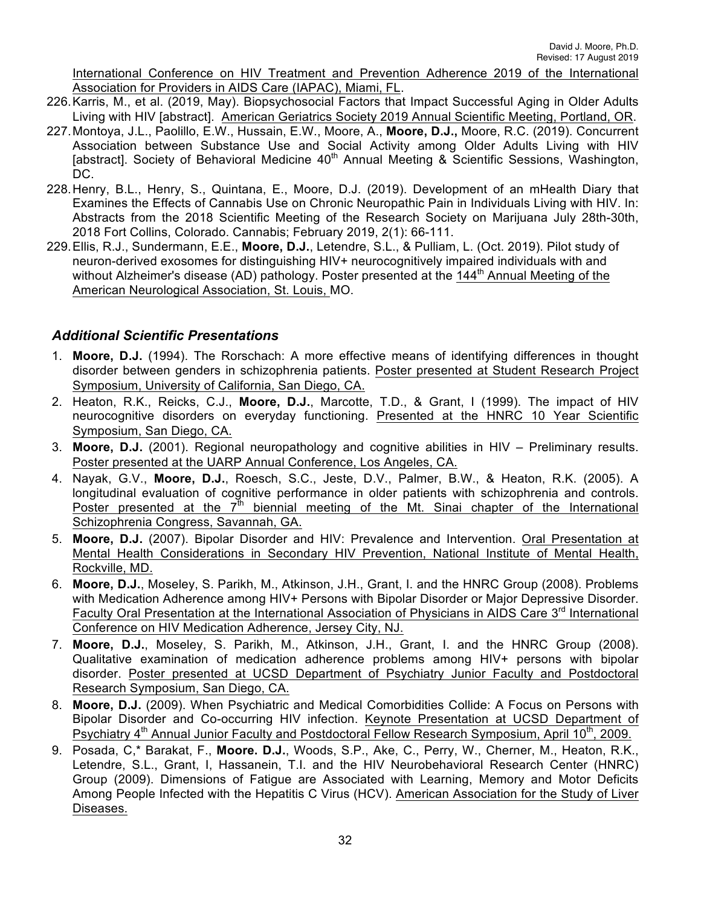International Conference on HIV Treatment and Prevention Adherence 2019 of the International Association for Providers in AIDS Care (IAPAC), Miami, FL.

- 226.Karris, M., et al. (2019, May). Biopsychosocial Factors that Impact Successful Aging in Older Adults Living with HIV [abstract]. American Geriatrics Society 2019 Annual Scientific Meeting, Portland, OR.
- 227.Montoya, J.L., Paolillo, E.W., Hussain, E.W., Moore, A., **Moore, D.J.,** Moore, R.C. (2019). Concurrent Association between Substance Use and Social Activity among Older Adults Living with HIV [abstract]. Society of Behavioral Medicine 40<sup>th</sup> Annual Meeting & Scientific Sessions, Washington, DC.
- 228.Henry, B.L., Henry, S., Quintana, E., Moore, D.J. (2019). Development of an mHealth Diary that Examines the Effects of Cannabis Use on Chronic Neuropathic Pain in Individuals Living with HIV. In: Abstracts from the 2018 Scientific Meeting of the Research Society on Marijuana July 28th-30th, 2018 Fort Collins, Colorado. Cannabis; February 2019, 2(1): 66-111.
- 229.Ellis, R.J., Sundermann, E.E., **Moore, D.J.**, Letendre, S.L., & Pulliam, L. (Oct. 2019). Pilot study of neuron-derived exosomes for distinguishing HIV+ neurocognitively impaired individuals with and without Alzheimer's disease (AD) pathology. Poster presented at the 144<sup>th</sup> Annual Meeting of the American Neurological Association, St. Louis, MO.

## *Additional Scientific Presentations*

- 1. **Moore, D.J.** (1994). The Rorschach: A more effective means of identifying differences in thought disorder between genders in schizophrenia patients. Poster presented at Student Research Project Symposium, University of California, San Diego, CA.
- 2. Heaton, R.K., Reicks, C.J., **Moore, D.J.**, Marcotte, T.D., & Grant, I (1999). The impact of HIV neurocognitive disorders on everyday functioning. Presented at the HNRC 10 Year Scientific Symposium, San Diego, CA.
- 3. **Moore, D.J.** (2001). Regional neuropathology and cognitive abilities in HIV Preliminary results. Poster presented at the UARP Annual Conference, Los Angeles, CA.
- 4. Nayak, G.V., **Moore, D.J.**, Roesch, S.C., Jeste, D.V., Palmer, B.W., & Heaton, R.K. (2005). A longitudinal evaluation of cognitive performance in older patients with schizophrenia and controls. Poster presented at the  $7<sup>th</sup>$  biennial meeting of the Mt. Sinai chapter of the International Schizophrenia Congress, Savannah, GA.
- 5. **Moore, D.J.** (2007). Bipolar Disorder and HIV: Prevalence and Intervention. Oral Presentation at Mental Health Considerations in Secondary HIV Prevention, National Institute of Mental Health, Rockville, MD.
- 6. **Moore, D.J.**, Moseley, S. Parikh, M., Atkinson, J.H., Grant, I. and the HNRC Group (2008). Problems with Medication Adherence among HIV+ Persons with Bipolar Disorder or Major Depressive Disorder. Faculty Oral Presentation at the International Association of Physicians in AIDS Care 3<sup>rd</sup> International Conference on HIV Medication Adherence, Jersey City, NJ.
- 7. **Moore, D.J.**, Moseley, S. Parikh, M., Atkinson, J.H., Grant, I. and the HNRC Group (2008). Qualitative examination of medication adherence problems among HIV+ persons with bipolar disorder. Poster presented at UCSD Department of Psychiatry Junior Faculty and Postdoctoral Research Symposium, San Diego, CA.
- 8. **Moore, D.J.** (2009). When Psychiatric and Medical Comorbidities Collide: A Focus on Persons with Bipolar Disorder and Co-occurring HIV infection. Keynote Presentation at UCSD Department of Psychiatry 4<sup>th</sup> Annual Junior Faculty and Postdoctoral Fellow Research Symposium, April 10<sup>th</sup>, 2009.
- 9. Posada, C,\* Barakat, F., **Moore. D.J.**, Woods, S.P., Ake, C., Perry, W., Cherner, M., Heaton, R.K., Letendre, S.L., Grant, I, Hassanein, T.I. and the HIV Neurobehavioral Research Center (HNRC) Group (2009). Dimensions of Fatigue are Associated with Learning, Memory and Motor Deficits Among People Infected with the Hepatitis C Virus (HCV). American Association for the Study of Liver Diseases.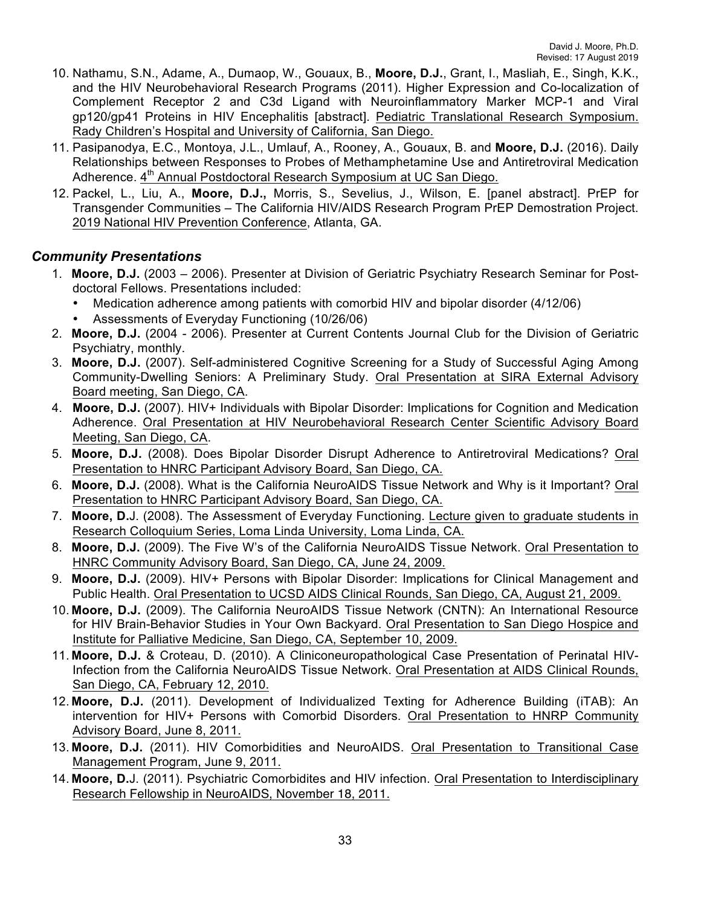- 10. Nathamu, S.N., Adame, A., Dumaop, W., Gouaux, B., **Moore, D.J.**, Grant, I., Masliah, E., Singh, K.K., and the HIV Neurobehavioral Research Programs (2011). Higher Expression and Co-localization of Complement Receptor 2 and C3d Ligand with Neuroinflammatory Marker MCP-1 and Viral gp120/gp41 Proteins in HIV Encephalitis [abstract]. Pediatric Translational Research Symposium. Rady Children's Hospital and University of California, San Diego.
- 11. Pasipanodya, E.C., Montoya, J.L., Umlauf, A., Rooney, A., Gouaux, B. and **Moore, D.J.** (2016). Daily Relationships between Responses to Probes of Methamphetamine Use and Antiretroviral Medication Adherence. 4<sup>th</sup> Annual Postdoctoral Research Symposium at UC San Diego.
- 12. Packel, L., Liu, A., **Moore, D.J.,** Morris, S., Sevelius, J., Wilson, E. [panel abstract]. PrEP for Transgender Communities – The California HIV/AIDS Research Program PrEP Demostration Project. 2019 National HIV Prevention Conference, Atlanta, GA.

## *Community Presentations*

- 1. **Moore, D.J.** (2003 2006). Presenter at Division of Geriatric Psychiatry Research Seminar for Postdoctoral Fellows. Presentations included:
	- Medication adherence among patients with comorbid HIV and bipolar disorder (4/12/06)
	- Assessments of Everyday Functioning (10/26/06)
- 2. **Moore, D.J.** (2004 2006). Presenter at Current Contents Journal Club for the Division of Geriatric Psychiatry, monthly.
- 3. **Moore, D.J.** (2007). Self-administered Cognitive Screening for a Study of Successful Aging Among Community-Dwelling Seniors: A Preliminary Study. Oral Presentation at SIRA External Advisory Board meeting, San Diego, CA.
- 4. **Moore, D.J.** (2007). HIV+ Individuals with Bipolar Disorder: Implications for Cognition and Medication Adherence. Oral Presentation at HIV Neurobehavioral Research Center Scientific Advisory Board Meeting, San Diego, CA.
- 5. **Moore, D.J.** (2008). Does Bipolar Disorder Disrupt Adherence to Antiretroviral Medications? Oral Presentation to HNRC Participant Advisory Board, San Diego, CA.
- 6. **Moore, D.J.** (2008). What is the California NeuroAIDS Tissue Network and Why is it Important? Oral Presentation to HNRC Participant Advisory Board, San Diego, CA.
- 7. **Moore, D.**J. (2008). The Assessment of Everyday Functioning. Lecture given to graduate students in Research Colloquium Series, Loma Linda University, Loma Linda, CA.
- 8. **Moore, D.J.** (2009). The Five W's of the California NeuroAIDS Tissue Network. Oral Presentation to HNRC Community Advisory Board, San Diego, CA, June 24, 2009.
- 9. **Moore, D.J.** (2009). HIV+ Persons with Bipolar Disorder: Implications for Clinical Management and Public Health. Oral Presentation to UCSD AIDS Clinical Rounds, San Diego, CA, August 21, 2009.
- 10. **Moore, D.J.** (2009). The California NeuroAIDS Tissue Network (CNTN): An International Resource for HIV Brain-Behavior Studies in Your Own Backyard. Oral Presentation to San Diego Hospice and Institute for Palliative Medicine, San Diego, CA, September 10, 2009.
- 11. **Moore, D.J.** & Croteau, D. (2010). A Cliniconeuropathological Case Presentation of Perinatal HIV-Infection from the California NeuroAIDS Tissue Network. Oral Presentation at AIDS Clinical Rounds, San Diego, CA, February 12, 2010.
- 12. **Moore, D.J.** (2011). Development of Individualized Texting for Adherence Building (iTAB): An intervention for HIV+ Persons with Comorbid Disorders. Oral Presentation to HNRP Community Advisory Board, June 8, 2011.
- 13. **Moore, D.J.** (2011). HIV Comorbidities and NeuroAIDS. Oral Presentation to Transitional Case Management Program, June 9, 2011.
- 14. **Moore, D.**J. (2011). Psychiatric Comorbidites and HIV infection. Oral Presentation to Interdisciplinary Research Fellowship in NeuroAIDS, November 18, 2011.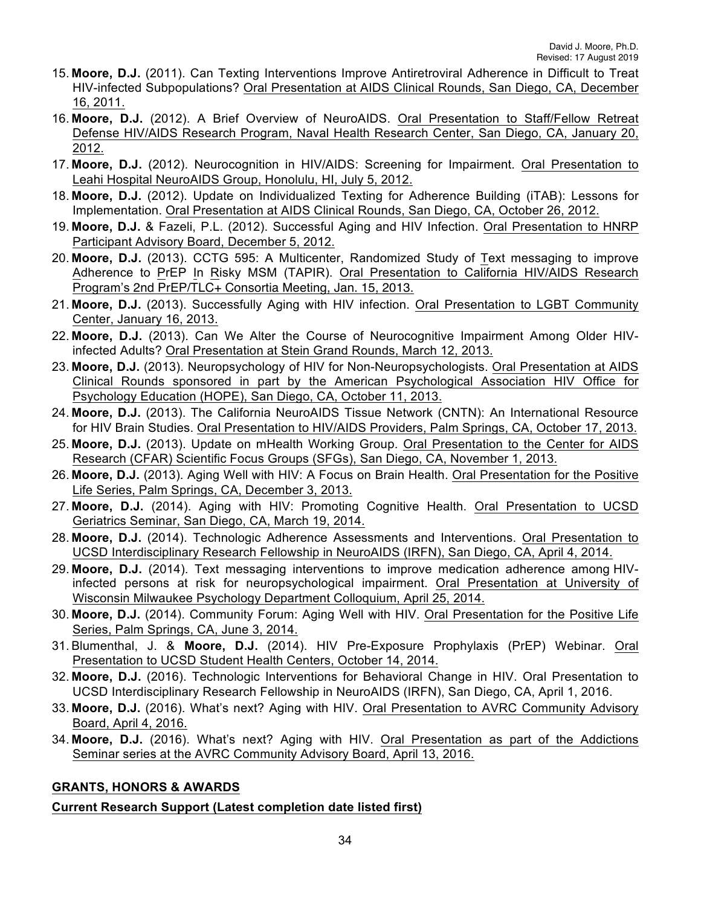- 15. **Moore, D.J.** (2011). Can Texting Interventions Improve Antiretroviral Adherence in Difficult to Treat HIV-infected Subpopulations? Oral Presentation at AIDS Clinical Rounds, San Diego, CA, December 16, 2011.
- 16. **Moore, D.J.** (2012). A Brief Overview of NeuroAIDS. Oral Presentation to Staff/Fellow Retreat Defense HIV/AIDS Research Program, Naval Health Research Center, San Diego, CA, January 20, 2012.
- 17. **Moore, D.J.** (2012). Neurocognition in HIV/AIDS: Screening for Impairment. Oral Presentation to Leahi Hospital NeuroAIDS Group, Honolulu, HI, July 5, 2012.
- 18. **Moore, D.J.** (2012). Update on Individualized Texting for Adherence Building (iTAB): Lessons for Implementation. Oral Presentation at AIDS Clinical Rounds, San Diego, CA, October 26, 2012.
- 19. **Moore, D.J.** & Fazeli, P.L. (2012). Successful Aging and HIV Infection. Oral Presentation to HNRP Participant Advisory Board, December 5, 2012.
- 20. **Moore, D.J.** (2013). CCTG 595: A Multicenter, Randomized Study of Text messaging to improve Adherence to PrEP In Risky MSM (TAPIR). Oral Presentation to California HIV/AIDS Research Program's 2nd PrEP/TLC+ Consortia Meeting, Jan. 15, 2013.
- 21. **Moore, D.J.** (2013). Successfully Aging with HIV infection. Oral Presentation to LGBT Community Center, January 16, 2013.
- 22. **Moore, D.J.** (2013). Can We Alter the Course of Neurocognitive Impairment Among Older HIVinfected Adults? Oral Presentation at Stein Grand Rounds, March 12, 2013.
- 23. **Moore, D.J.** (2013). Neuropsychology of HIV for Non-Neuropsychologists. Oral Presentation at AIDS Clinical Rounds sponsored in part by the American Psychological Association HIV Office for Psychology Education (HOPE), San Diego, CA, October 11, 2013.
- 24. **Moore, D.J.** (2013). The California NeuroAIDS Tissue Network (CNTN): An International Resource for HIV Brain Studies. Oral Presentation to HIV/AIDS Providers, Palm Springs, CA, October 17, 2013.
- 25. **Moore, D.J.** (2013). Update on mHealth Working Group. Oral Presentation to the Center for AIDS Research (CFAR) Scientific Focus Groups (SFGs), San Diego, CA, November 1, 2013.
- 26. **Moore, D.J.** (2013). Aging Well with HIV: A Focus on Brain Health. Oral Presentation for the Positive Life Series, Palm Springs, CA, December 3, 2013.
- 27. **Moore, D.J.** (2014). Aging with HIV: Promoting Cognitive Health. Oral Presentation to UCSD Geriatrics Seminar, San Diego, CA, March 19, 2014.
- 28. **Moore, D.J.** (2014). Technologic Adherence Assessments and Interventions. Oral Presentation to UCSD Interdisciplinary Research Fellowship in NeuroAIDS (IRFN), San Diego, CA, April 4, 2014.
- 29. **Moore, D.J.** (2014). Text messaging interventions to improve medication adherence among HIVinfected persons at risk for neuropsychological impairment. Oral Presentation at University of Wisconsin Milwaukee Psychology Department Colloquium, April 25, 2014.
- 30. **Moore, D.J.** (2014). Community Forum: Aging Well with HIV. Oral Presentation for the Positive Life Series, Palm Springs, CA, June 3, 2014.
- 31. Blumenthal, J. & **Moore, D.J.** (2014). HIV Pre-Exposure Prophylaxis (PrEP) Webinar. Oral Presentation to UCSD Student Health Centers, October 14, 2014.
- 32. **Moore, D.J.** (2016). Technologic Interventions for Behavioral Change in HIV. Oral Presentation to UCSD Interdisciplinary Research Fellowship in NeuroAIDS (IRFN), San Diego, CA, April 1, 2016.
- 33. **Moore, D.J.** (2016). What's next? Aging with HIV. Oral Presentation to AVRC Community Advisory Board, April 4, 2016.
- 34. **Moore, D.J.** (2016). What's next? Aging with HIV. Oral Presentation as part of the Addictions Seminar series at the AVRC Community Advisory Board, April 13, 2016.

## **GRANTS, HONORS & AWARDS**

## **Current Research Support (Latest completion date listed first)**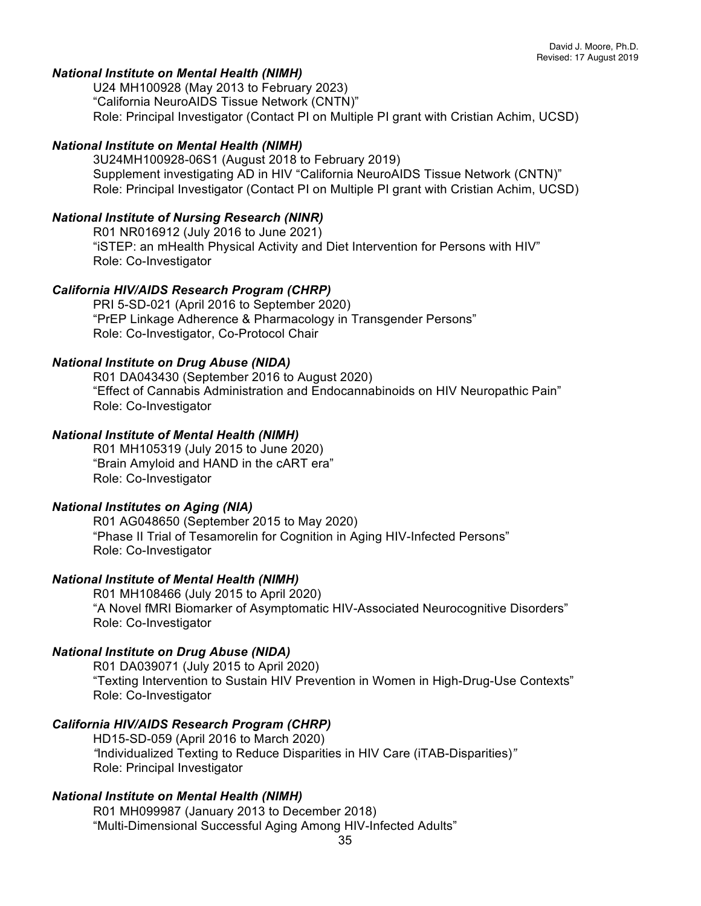### *National Institute on Mental Health (NIMH)*

U24 MH100928 (May 2013 to February 2023) "California NeuroAIDS Tissue Network (CNTN)" Role: Principal Investigator (Contact PI on Multiple PI grant with Cristian Achim, UCSD)

### *National Institute on Mental Health (NIMH)*

3U24MH100928-06S1 (August 2018 to February 2019) Supplement investigating AD in HIV "California NeuroAIDS Tissue Network (CNTN)" Role: Principal Investigator (Contact PI on Multiple PI grant with Cristian Achim, UCSD)

### *National Institute of Nursing Research (NINR)*

R01 NR016912 (July 2016 to June 2021) "iSTEP: an mHealth Physical Activity and Diet Intervention for Persons with HIV" Role: Co-Investigator

### *California HIV/AIDS Research Program (CHRP)*

PRI 5-SD-021 (April 2016 to September 2020) "PrEP Linkage Adherence & Pharmacology in Transgender Persons" Role: Co-Investigator, Co-Protocol Chair

### *National Institute on Drug Abuse (NIDA)*

R01 DA043430 (September 2016 to August 2020) "Effect of Cannabis Administration and Endocannabinoids on HIV Neuropathic Pain" Role: Co-Investigator

### *National Institute of Mental Health (NIMH)*

R01 MH105319 (July 2015 to June 2020) "Brain Amyloid and HAND in the cART era" Role: Co-Investigator

### *National Institutes on Aging (NIA)*

R01 AG048650 (September 2015 to May 2020) "Phase II Trial of Tesamorelin for Cognition in Aging HIV-Infected Persons" Role: Co-Investigator

### *National Institute of Mental Health (NIMH)*

R01 MH108466 (July 2015 to April 2020) "A Novel fMRI Biomarker of Asymptomatic HIV-Associated Neurocognitive Disorders" Role: Co-Investigator

## *National Institute on Drug Abuse (NIDA)*

R01 DA039071 (July 2015 to April 2020) "Texting Intervention to Sustain HIV Prevention in Women in High-Drug-Use Contexts" Role: Co-Investigator

## *California HIV/AIDS Research Program (CHRP)*

HD15-SD-059 (April 2016 to March 2020) *"*Individualized Texting to Reduce Disparities in HIV Care (iTAB-Disparities)*"* Role: Principal Investigator

## *National Institute on Mental Health (NIMH)*

R01 MH099987 (January 2013 to December 2018) "Multi-Dimensional Successful Aging Among HIV-Infected Adults"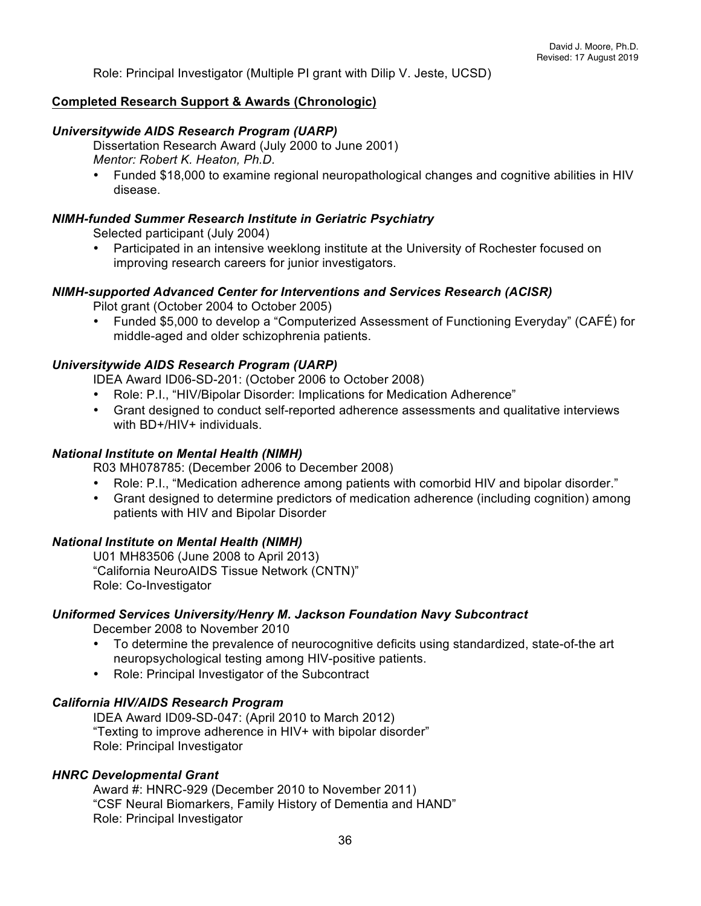Role: Principal Investigator (Multiple PI grant with Dilip V. Jeste, UCSD)

### **Completed Research Support & Awards (Chronologic)**

### *Universitywide AIDS Research Program (UARP)*

Dissertation Research Award (July 2000 to June 2001) *Mentor: Robert K. Heaton, Ph.D.*

• Funded \$18,000 to examine regional neuropathological changes and cognitive abilities in HIV disease.

### *NIMH-funded Summer Research Institute in Geriatric Psychiatry*

Selected participant (July 2004)

• Participated in an intensive weeklong institute at the University of Rochester focused on improving research careers for junior investigators.

#### *NIMH-supported Advanced Center for Interventions and Services Research (ACISR)*

Pilot grant (October 2004 to October 2005)

• Funded \$5,000 to develop a "Computerized Assessment of Functioning Everyday" (CAFÉ) for middle-aged and older schizophrenia patients.

### *Universitywide AIDS Research Program (UARP)*

IDEA Award ID06-SD-201: (October 2006 to October 2008)

- Role: P.I., "HIV/Bipolar Disorder: Implications for Medication Adherence"
- Grant designed to conduct self-reported adherence assessments and qualitative interviews with BD+/HIV+ individuals.

### *National Institute on Mental Health (NIMH)*

R03 MH078785: (December 2006 to December 2008)

- Role: P.I., "Medication adherence among patients with comorbid HIV and bipolar disorder."
- Grant designed to determine predictors of medication adherence (including cognition) among patients with HIV and Bipolar Disorder

#### *National Institute on Mental Health (NIMH)*

U01 MH83506 (June 2008 to April 2013) "California NeuroAIDS Tissue Network (CNTN)" Role: Co-Investigator

#### *Uniformed Services University/Henry M. Jackson Foundation Navy Subcontract*

December 2008 to November 2010

- To determine the prevalence of neurocognitive deficits using standardized, state-of-the art neuropsychological testing among HIV-positive patients.
- Role: Principal Investigator of the Subcontract

### *California HIV/AIDS Research Program*

IDEA Award ID09-SD-047: (April 2010 to March 2012) "Texting to improve adherence in HIV+ with bipolar disorder" Role: Principal Investigator

#### *HNRC Developmental Grant*

Award #: HNRC-929 (December 2010 to November 2011) "CSF Neural Biomarkers, Family History of Dementia and HAND" Role: Principal Investigator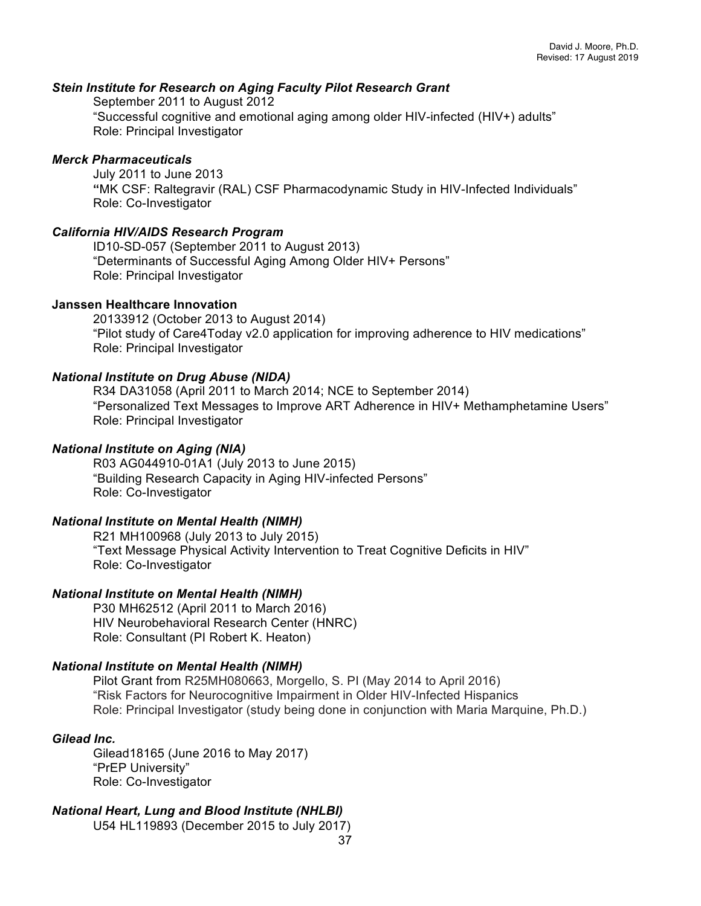### *Stein Institute for Research on Aging Faculty Pilot Research Grant*

September 2011 to August 2012 "Successful cognitive and emotional aging among older HIV-infected (HIV+) adults" Role: Principal Investigator

#### *Merck Pharmaceuticals*

July 2011 to June 2013 **"**MK CSF: Raltegravir (RAL) CSF Pharmacodynamic Study in HIV-Infected Individuals" Role: Co-Investigator

### *California HIV/AIDS Research Program*

ID10-SD-057 (September 2011 to August 2013) "Determinants of Successful Aging Among Older HIV+ Persons" Role: Principal Investigator

#### **Janssen Healthcare Innovation**

20133912 (October 2013 to August 2014) "Pilot study of Care4Today v2.0 application for improving adherence to HIV medications" Role: Principal Investigator

### *National Institute on Drug Abuse (NIDA)*

R34 DA31058 (April 2011 to March 2014; NCE to September 2014) "Personalized Text Messages to Improve ART Adherence in HIV+ Methamphetamine Users" Role: Principal Investigator

#### *National Institute on Aging (NIA)*

R03 AG044910-01A1 (July 2013 to June 2015) "Building Research Capacity in Aging HIV-infected Persons" Role: Co-Investigator

### *National Institute on Mental Health (NIMH)*

R21 MH100968 (July 2013 to July 2015) "Text Message Physical Activity Intervention to Treat Cognitive Deficits in HIV" Role: Co-Investigator

#### *National Institute on Mental Health (NIMH)*

P30 MH62512 (April 2011 to March 2016) HIV Neurobehavioral Research Center (HNRC) Role: Consultant (PI Robert K. Heaton)

#### *National Institute on Mental Health (NIMH)*

Pilot Grant from R25MH080663, Morgello, S. PI (May 2014 to April 2016) "Risk Factors for Neurocognitive Impairment in Older HIV-Infected Hispanics Role: Principal Investigator (study being done in conjunction with Maria Marquine, Ph.D.)

### *Gilead Inc.*

Gilead18165 (June 2016 to May 2017) "PrEP University" Role: Co-Investigator

## *National Heart, Lung and Blood Institute (NHLBI)*

U54 HL119893 (December 2015 to July 2017)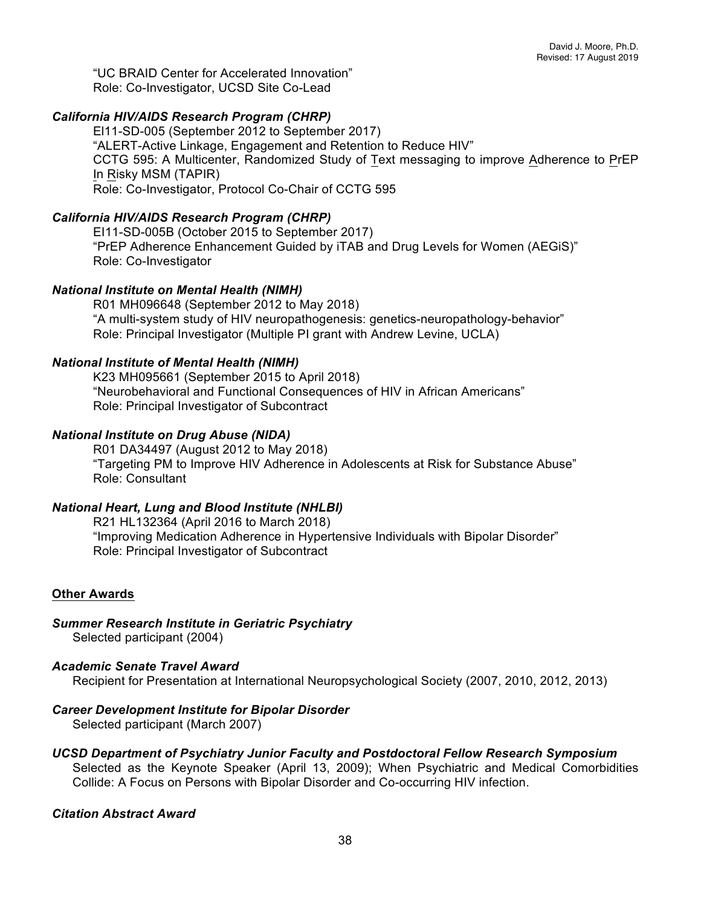"UC BRAID Center for Accelerated Innovation" Role: Co-Investigator, UCSD Site Co-Lead

## *California HIV/AIDS Research Program (CHRP)*

El11-SD-005 (September 2012 to September 2017) "ALERT-Active Linkage, Engagement and Retention to Reduce HIV" CCTG 595: A Multicenter, Randomized Study of Text messaging to improve Adherence to PrEP In Risky MSM (TAPIR) Role: Co-Investigator, Protocol Co-Chair of CCTG 595

## *California HIV/AIDS Research Program (CHRP)*

EI11-SD-005B (October 2015 to September 2017) "PrEP Adherence Enhancement Guided by iTAB and Drug Levels for Women (AEGiS)" Role: Co-Investigator

## *National Institute on Mental Health (NIMH)*

R01 MH096648 (September 2012 to May 2018) "A multi-system study of HIV neuropathogenesis: genetics-neuropathology-behavior" Role: Principal Investigator (Multiple PI grant with Andrew Levine, UCLA)

## *National Institute of Mental Health (NIMH)*

K23 MH095661 (September 2015 to April 2018) "Neurobehavioral and Functional Consequences of HIV in African Americans" Role: Principal Investigator of Subcontract

## *National Institute on Drug Abuse (NIDA)*

R01 DA34497 (August 2012 to May 2018) "Targeting PM to Improve HIV Adherence in Adolescents at Risk for Substance Abuse" Role: Consultant

## *National Heart, Lung and Blood Institute (NHLBI)*

R21 HL132364 (April 2016 to March 2018) "Improving Medication Adherence in Hypertensive Individuals with Bipolar Disorder" Role: Principal Investigator of Subcontract

## **Other Awards**

*Summer Research Institute in Geriatric Psychiatry* Selected participant (2004)

### *Academic Senate Travel Award*

Recipient for Presentation at International Neuropsychological Society (2007, 2010, 2012, 2013)

*Career Development Institute for Bipolar Disorder* 

Selected participant (March 2007)

## *UCSD Department of Psychiatry Junior Faculty and Postdoctoral Fellow Research Symposium*

Selected as the Keynote Speaker (April 13, 2009); When Psychiatric and Medical Comorbidities Collide: A Focus on Persons with Bipolar Disorder and Co-occurring HIV infection.

### *Citation Abstract Award*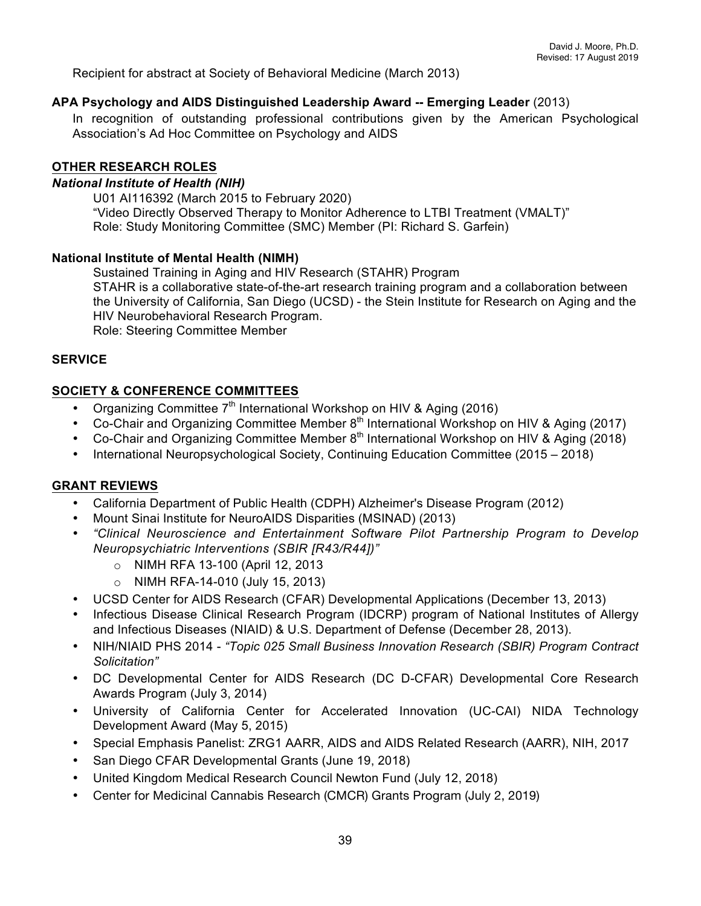Recipient for abstract at Society of Behavioral Medicine (March 2013)

### **APA Psychology and AIDS Distinguished Leadership Award -- Emerging Leader** (2013)

In recognition of outstanding professional contributions given by the American Psychological Association's Ad Hoc Committee on Psychology and AIDS

### **OTHER RESEARCH ROLES**

### *National Institute of Health (NIH)*

U01 AI116392 (March 2015 to February 2020) "Video Directly Observed Therapy to Monitor Adherence to LTBI Treatment (VMALT)" Role: Study Monitoring Committee (SMC) Member (PI: Richard S. Garfein)

### **National Institute of Mental Health (NIMH)**

Sustained Training in Aging and HIV Research (STAHR) Program STAHR is a collaborative state-of-the-art research training program and a collaboration between the University of California, San Diego (UCSD) - the Stein Institute for Research on Aging and the HIV Neurobehavioral Research Program. Role: Steering Committee Member

### **SERVICE**

### **SOCIETY & CONFERENCE COMMITTEES**

- Organizing Committee 7<sup>th</sup> International Workshop on HIV & Aging (2016)
- Co-Chair and Organizing Committee Member 8th International Workshop on HIV & Aging (2017)
- Co-Chair and Organizing Committee Member 8<sup>th</sup> International Workshop on HIV & Aging (2018)
- International Neuropsychological Society, Continuing Education Committee (2015 2018)

### **GRANT REVIEWS**

- California Department of Public Health (CDPH) Alzheimer's Disease Program (2012)
- Mount Sinai Institute for NeuroAIDS Disparities (MSINAD) (2013)
- *"Clinical Neuroscience and Entertainment Software Pilot Partnership Program to Develop Neuropsychiatric Interventions (SBIR [R43/R44])"*
	- o NIMH RFA 13-100 (April 12, 2013
	- o NIMH RFA-14-010 (July 15, 2013)
- UCSD Center for AIDS Research (CFAR) Developmental Applications (December 13, 2013)
- Infectious Disease Clinical Research Program (IDCRP) program of National Institutes of Allergy and Infectious Diseases (NIAID) & U.S. Department of Defense (December 28, 2013).
- NIH/NIAID PHS 2014 *"Topic 025 Small Business Innovation Research (SBIR) Program Contract Solicitation"*
- DC Developmental Center for AIDS Research (DC D-CFAR) Developmental Core Research Awards Program (July 3, 2014)
- University of California Center for Accelerated Innovation (UC-CAI) NIDA Technology Development Award (May 5, 2015)
- Special Emphasis Panelist: ZRG1 AARR, AIDS and AIDS Related Research (AARR), NIH, 2017
- San Diego CFAR Developmental Grants (June 19, 2018)
- United Kingdom Medical Research Council Newton Fund (July 12, 2018)
- Center for Medicinal Cannabis Research (CMCR) Grants Program (July 2, 2019)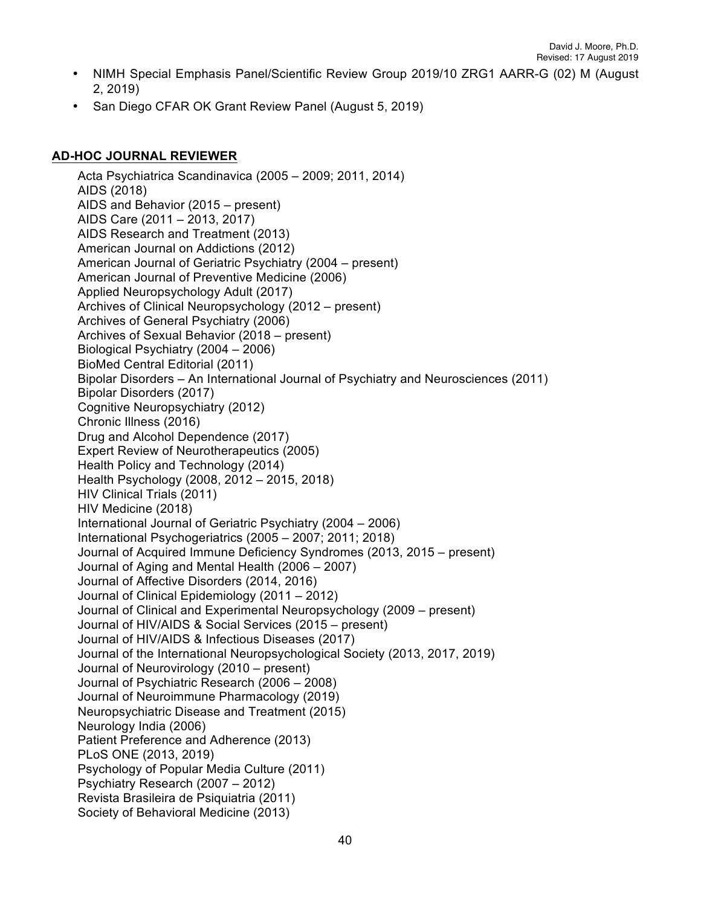- NIMH Special Emphasis Panel/Scientific Review Group 2019/10 ZRG1 AARR-G (02) M (August 2, 2019)
- San Diego CFAR OK Grant Review Panel (August 5, 2019)

## **AD-HOC JOURNAL REVIEWER**

Acta Psychiatrica Scandinavica (2005 – 2009; 2011, 2014) AIDS (2018) AIDS and Behavior (2015 – present) AIDS Care (2011 – 2013, 2017) AIDS Research and Treatment (2013) American Journal on Addictions (2012) American Journal of Geriatric Psychiatry (2004 – present) American Journal of Preventive Medicine (2006) Applied Neuropsychology Adult (2017) Archives of Clinical Neuropsychology (2012 – present) Archives of General Psychiatry (2006) Archives of Sexual Behavior (2018 – present) Biological Psychiatry (2004 – 2006) BioMed Central Editorial (2011) Bipolar Disorders – An International Journal of Psychiatry and Neurosciences (2011) Bipolar Disorders (2017) Cognitive Neuropsychiatry (2012) Chronic Illness (2016) Drug and Alcohol Dependence (2017) Expert Review of Neurotherapeutics (2005) Health Policy and Technology (2014) Health Psychology (2008, 2012 – 2015, 2018) HIV Clinical Trials (2011) HIV Medicine (2018) International Journal of Geriatric Psychiatry (2004 – 2006) International Psychogeriatrics (2005 – 2007; 2011; 2018) Journal of Acquired Immune Deficiency Syndromes (2013, 2015 – present) Journal of Aging and Mental Health (2006 – 2007) Journal of Affective Disorders (2014, 2016) Journal of Clinical Epidemiology (2011 – 2012) Journal of Clinical and Experimental Neuropsychology (2009 – present) Journal of HIV/AIDS & Social Services (2015 – present) Journal of HIV/AIDS & Infectious Diseases (2017) Journal of the International Neuropsychological Society (2013, 2017, 2019) Journal of Neurovirology (2010 – present) Journal of Psychiatric Research (2006 – 2008) Journal of Neuroimmune Pharmacology (2019) Neuropsychiatric Disease and Treatment (2015) Neurology India (2006) Patient Preference and Adherence (2013) PLoS ONE (2013, 2019) Psychology of Popular Media Culture (2011) Psychiatry Research (2007 – 2012) Revista Brasileira de Psiquiatria (2011) Society of Behavioral Medicine (2013)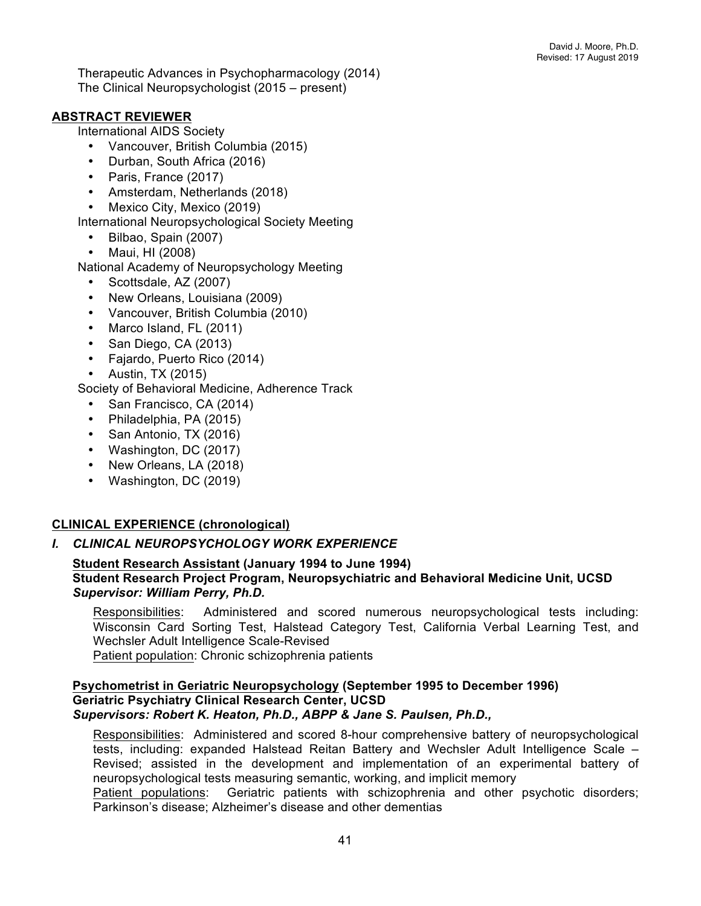Therapeutic Advances in Psychopharmacology (2014) The Clinical Neuropsychologist (2015 – present)

## **ABSTRACT REVIEWER**

International AIDS Society

- Vancouver, British Columbia (2015)
- Durban, South Africa (2016)
- Paris, France (2017)
- Amsterdam, Netherlands (2018)
- Mexico City, Mexico (2019)
- International Neuropsychological Society Meeting
	- Bilbao, Spain (2007)
	- Maui, HI (2008)

National Academy of Neuropsychology Meeting

- Scottsdale, AZ (2007)
- New Orleans, Louisiana (2009)
- Vancouver, British Columbia (2010)
- Marco Island, FL (2011)
- San Diego, CA (2013)
- Fajardo, Puerto Rico (2014)
- Austin, TX (2015)

Society of Behavioral Medicine, Adherence Track

- San Francisco, CA (2014)
- Philadelphia, PA (2015)
- San Antonio, TX (2016)
- Washington, DC (2017)
- New Orleans, LA (2018)
- Washington, DC (2019)

## **CLINICAL EXPERIENCE (chronological)**

## *I. CLINICAL NEUROPSYCHOLOGY WORK EXPERIENCE*

## **Student Research Assistant (January 1994 to June 1994)**

### **Student Research Project Program, Neuropsychiatric and Behavioral Medicine Unit, UCSD**  *Supervisor: William Perry, Ph.D.*

Responsibilities: Administered and scored numerous neuropsychological tests including: Wisconsin Card Sorting Test, Halstead Category Test, California Verbal Learning Test, and Wechsler Adult Intelligence Scale-Revised

Patient population: Chronic schizophrenia patients

### **Psychometrist in Geriatric Neuropsychology (September 1995 to December 1996) Geriatric Psychiatry Clinical Research Center, UCSD** *Supervisors: Robert K. Heaton, Ph.D., ABPP & Jane S. Paulsen, Ph.D.,*

Responsibilities: Administered and scored 8-hour comprehensive battery of neuropsychological tests, including: expanded Halstead Reitan Battery and Wechsler Adult Intelligence Scale – Revised; assisted in the development and implementation of an experimental battery of neuropsychological tests measuring semantic, working, and implicit memory

Patient populations:Geriatric patients with schizophrenia and other psychotic disorders; Parkinson's disease; Alzheimer's disease and other dementias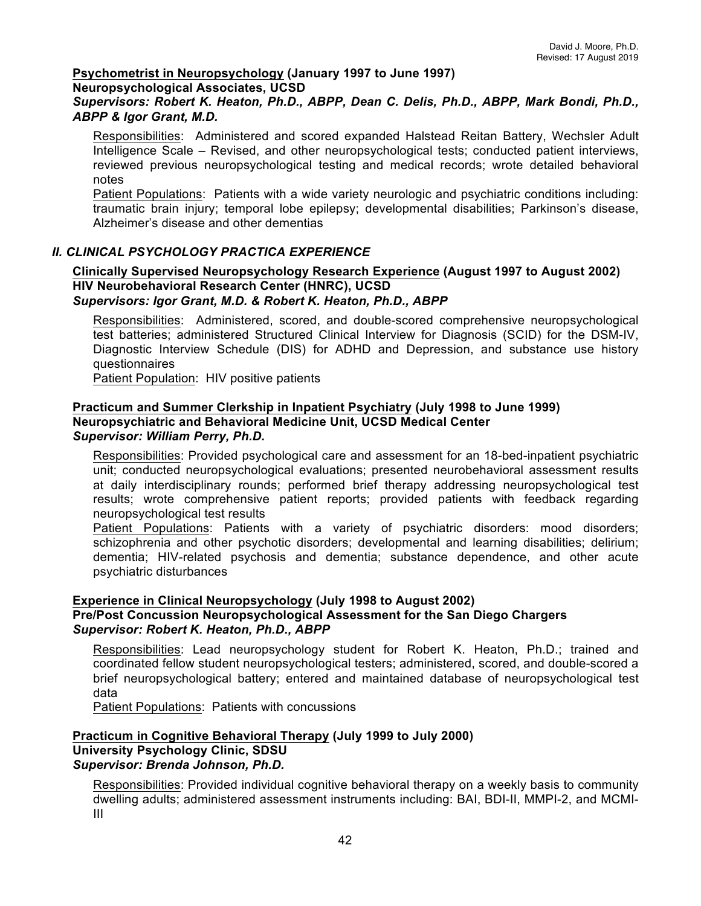## **Psychometrist in Neuropsychology (January 1997 to June 1997)**

### **Neuropsychological Associates, UCSD**

*Supervisors: Robert K. Heaton, Ph.D., ABPP, Dean C. Delis, Ph.D., ABPP, Mark Bondi, Ph.D., ABPP & Igor Grant, M.D.*

Responsibilities: Administered and scored expanded Halstead Reitan Battery, Wechsler Adult Intelligence Scale – Revised, and other neuropsychological tests; conducted patient interviews, reviewed previous neuropsychological testing and medical records; wrote detailed behavioral notes

Patient Populations: Patients with a wide variety neurologic and psychiatric conditions including: traumatic brain injury; temporal lobe epilepsy; developmental disabilities; Parkinson's disease, Alzheimer's disease and other dementias

## *II. CLINICAL PSYCHOLOGY PRACTICA EXPERIENCE*

#### **Clinically Supervised Neuropsychology Research Experience (August 1997 to August 2002) HIV Neurobehavioral Research Center (HNRC), UCSD** *Supervisors: Igor Grant, M.D. & Robert K. Heaton, Ph.D., ABPP*

Responsibilities: Administered, scored, and double-scored comprehensive neuropsychological test batteries; administered Structured Clinical Interview for Diagnosis (SCID) for the DSM-IV, Diagnostic Interview Schedule (DIS) for ADHD and Depression, and substance use history questionnaires

Patient Population: HIV positive patients

#### **Practicum and Summer Clerkship in Inpatient Psychiatry (July 1998 to June 1999) Neuropsychiatric and Behavioral Medicine Unit, UCSD Medical Center**  *Supervisor: William Perry, Ph.D.*

Responsibilities: Provided psychological care and assessment for an 18-bed-inpatient psychiatric unit; conducted neuropsychological evaluations; presented neurobehavioral assessment results at daily interdisciplinary rounds; performed brief therapy addressing neuropsychological test results; wrote comprehensive patient reports; provided patients with feedback regarding neuropsychological test results

Patient Populations: Patients with a variety of psychiatric disorders: mood disorders; schizophrenia and other psychotic disorders; developmental and learning disabilities; delirium; dementia; HIV-related psychosis and dementia; substance dependence, and other acute psychiatric disturbances

### **Experience in Clinical Neuropsychology (July 1998 to August 2002) Pre/Post Concussion Neuropsychological Assessment for the San Diego Chargers** *Supervisor: Robert K. Heaton, Ph.D., ABPP*

Responsibilities: Lead neuropsychology student for Robert K. Heaton, Ph.D.; trained and coordinated fellow student neuropsychological testers; administered, scored, and double-scored a brief neuropsychological battery; entered and maintained database of neuropsychological test data

Patient Populations: Patients with concussions

## **Practicum in Cognitive Behavioral Therapy (July 1999 to July 2000) University Psychology Clinic, SDSU** *Supervisor: Brenda Johnson, Ph.D.*

Responsibilities: Provided individual cognitive behavioral therapy on a weekly basis to community dwelling adults; administered assessment instruments including: BAI, BDI-II, MMPI-2, and MCMI-III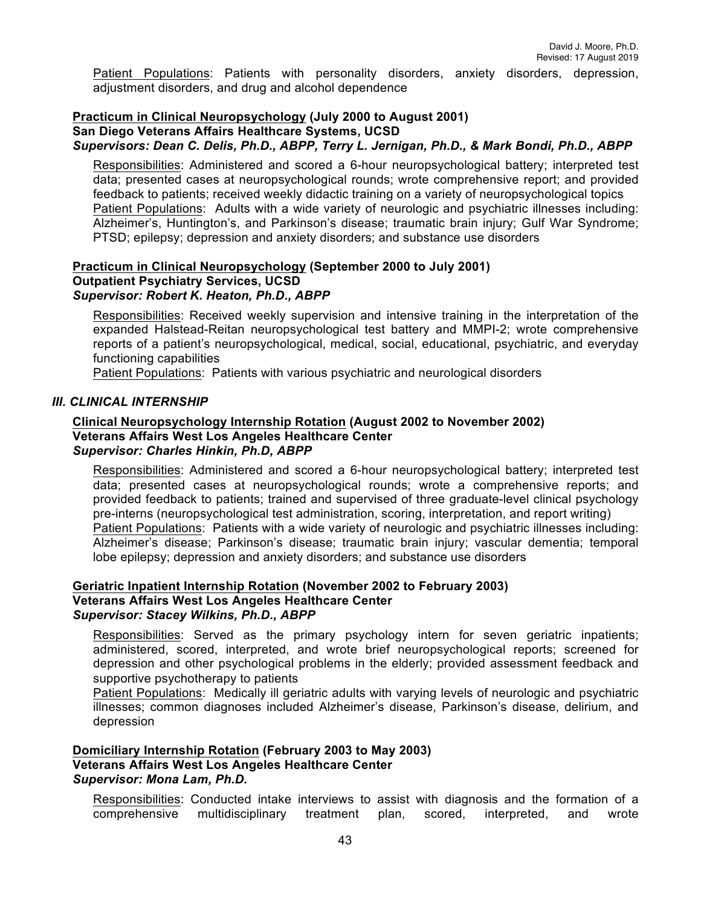Patient Populations: Patients with personality disorders, anxiety disorders, depression, adjustment disorders, and drug and alcohol dependence

## **Practicum in Clinical Neuropsychology (July 2000 to August 2001) San Diego Veterans Affairs Healthcare Systems, UCSD**

#### *Supervisors: Dean C. Delis, Ph.D., ABPP, Terry L. Jernigan, Ph.D., & Mark Bondi, Ph.D., ABPP*

Responsibilities: Administered and scored a 6-hour neuropsychological battery; interpreted test data; presented cases at neuropsychological rounds; wrote comprehensive report; and provided feedback to patients; received weekly didactic training on a variety of neuropsychological topics Patient Populations: Adults with a wide variety of neurologic and psychiatric illnesses including: Alzheimer's, Huntington's, and Parkinson's disease; traumatic brain injury; Gulf War Syndrome; PTSD; epilepsy; depression and anxiety disorders; and substance use disorders

#### **Practicum in Clinical Neuropsychology (September 2000 to July 2001) Outpatient Psychiatry Services, UCSD** *Supervisor: Robert K. Heaton, Ph.D., ABPP*

Responsibilities: Received weekly supervision and intensive training in the interpretation of the expanded Halstead-Reitan neuropsychological test battery and MMPI-2; wrote comprehensive reports of a patient's neuropsychological, medical, social, educational, psychiatric, and everyday functioning capabilities

Patient Populations: Patients with various psychiatric and neurological disorders

### *III. CLINICAL INTERNSHIP*

#### **Clinical Neuropsychology Internship Rotation (August 2002 to November 2002) Veterans Affairs West Los Angeles Healthcare Center**  *Supervisor: Charles Hinkin, Ph.D, ABPP*

Responsibilities: Administered and scored a 6-hour neuropsychological battery; interpreted test data; presented cases at neuropsychological rounds; wrote a comprehensive reports; and provided feedback to patients; trained and supervised of three graduate-level clinical psychology pre-interns (neuropsychological test administration, scoring, interpretation, and report writing) Patient Populations: Patients with a wide variety of neurologic and psychiatric illnesses including: Alzheimer's disease; Parkinson's disease; traumatic brain injury; vascular dementia; temporal lobe epilepsy; depression and anxiety disorders; and substance use disorders

### **Geriatric Inpatient Internship Rotation (November 2002 to February 2003) Veterans Affairs West Los Angeles Healthcare Center**  *Supervisor: Stacey Wilkins, Ph.D., ABPP*

Responsibilities: Served as the primary psychology intern for seven geriatric inpatients; administered, scored, interpreted, and wrote brief neuropsychological reports; screened for depression and other psychological problems in the elderly; provided assessment feedback and supportive psychotherapy to patients

Patient Populations: Medically ill geriatric adults with varying levels of neurologic and psychiatric illnesses; common diagnoses included Alzheimer's disease, Parkinson's disease, delirium, and depression

### **Domiciliary Internship Rotation (February 2003 to May 2003) Veterans Affairs West Los Angeles Healthcare Center**  *Supervisor: Mona Lam, Ph.D.*

Responsibilities: Conducted intake interviews to assist with diagnosis and the formation of a comprehensive multidisciplinary treatment plan, scored, interpreted, and wrote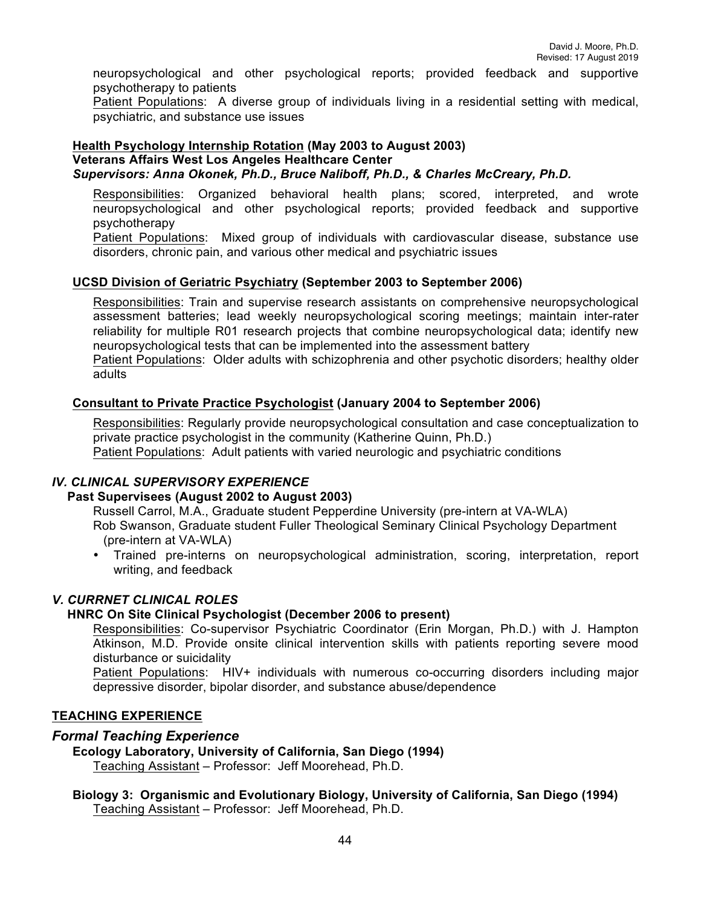neuropsychological and other psychological reports; provided feedback and supportive psychotherapy to patients

Patient Populations: A diverse group of individuals living in a residential setting with medical, psychiatric, and substance use issues

#### **Health Psychology Internship Rotation (May 2003 to August 2003) Veterans Affairs West Los Angeles Healthcare Center**  *Supervisors: Anna Okonek, Ph.D., Bruce Naliboff, Ph.D., & Charles McCreary, Ph.D.*

Responsibilities: Organized behavioral health plans; scored, interpreted, and wrote neuropsychological and other psychological reports; provided feedback and supportive psychotherapy

Patient Populations: Mixed group of individuals with cardiovascular disease, substance use disorders, chronic pain, and various other medical and psychiatric issues

## **UCSD Division of Geriatric Psychiatry (September 2003 to September 2006)**

Responsibilities: Train and supervise research assistants on comprehensive neuropsychological assessment batteries; lead weekly neuropsychological scoring meetings; maintain inter-rater reliability for multiple R01 research projects that combine neuropsychological data; identify new neuropsychological tests that can be implemented into the assessment battery

Patient Populations: Older adults with schizophrenia and other psychotic disorders; healthy older adults

## **Consultant to Private Practice Psychologist (January 2004 to September 2006)**

Responsibilities: Regularly provide neuropsychological consultation and case conceptualization to private practice psychologist in the community (Katherine Quinn, Ph.D.) Patient Populations: Adult patients with varied neurologic and psychiatric conditions

## *IV. CLINICAL SUPERVISORY EXPERIENCE*

## **Past Supervisees (August 2002 to August 2003)**

Russell Carrol, M.A., Graduate student Pepperdine University (pre-intern at VA-WLA) Rob Swanson, Graduate student Fuller Theological Seminary Clinical Psychology Department (pre-intern at VA-WLA)

• Trained pre-interns on neuropsychological administration, scoring, interpretation, report writing, and feedback

## *V. CURRNET CLINICAL ROLES*

## **HNRC On Site Clinical Psychologist (December 2006 to present)**

Responsibilities: Co-supervisor Psychiatric Coordinator (Erin Morgan, Ph.D.) with J. Hampton Atkinson, M.D. Provide onsite clinical intervention skills with patients reporting severe mood disturbance or suicidality

Patient Populations: HIV+ individuals with numerous co-occurring disorders including major depressive disorder, bipolar disorder, and substance abuse/dependence

## **TEACHING EXPERIENCE**

## *Formal Teaching Experience*

**Ecology Laboratory, University of California, San Diego (1994)**

Teaching Assistant – Professor: Jeff Moorehead, Ph.D.

**Biology 3: Organismic and Evolutionary Biology, University of California, San Diego (1994)** Teaching Assistant – Professor: Jeff Moorehead, Ph.D.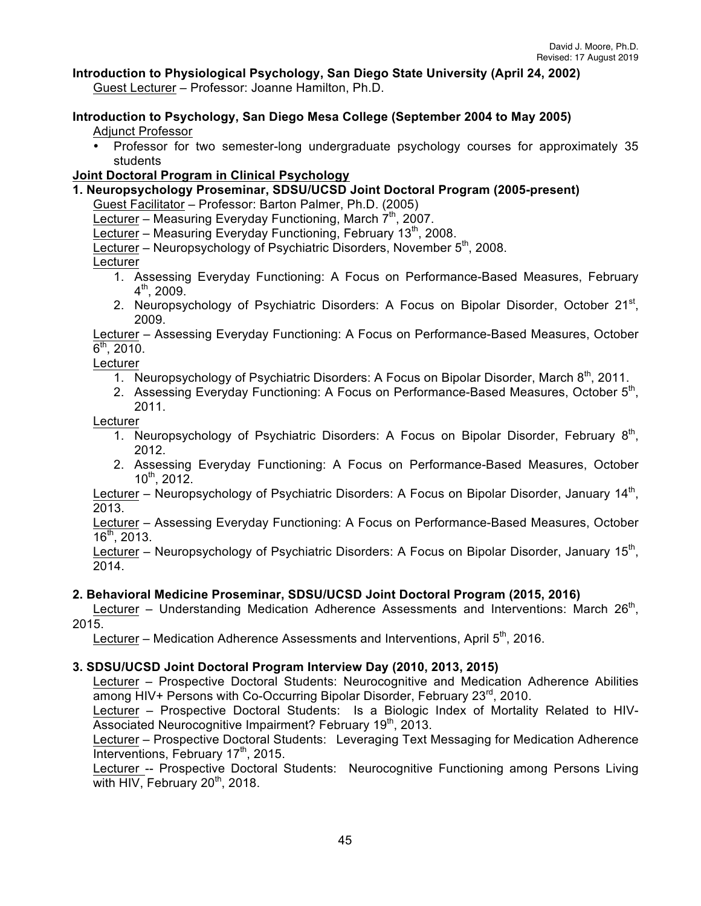## **Introduction to Physiological Psychology, San Diego State University (April 24, 2002)**

Guest Lecturer – Professor: Joanne Hamilton, Ph.D.

# **Introduction to Psychology, San Diego Mesa College (September 2004 to May 2005)**

## Adjunct Professor

• Professor for two semester-long undergraduate psychology courses for approximately 35 students

## **Joint Doctoral Program in Clinical Psychology**

## **1. Neuropsychology Proseminar, SDSU/UCSD Joint Doctoral Program (2005-present)**

Guest Facilitator – Professor: Barton Palmer, Ph.D. (2005)

Lecturer – Measuring Everyday Functioning, March  $7<sup>th</sup>$ , 2007.

Lecturer – Measuring Everyday Functioning, February  $13<sup>th</sup>$ , 2008.

Lecturer – Neuropsychology of Psychiatric Disorders, November 5<sup>th</sup>, 2008.

**Lecturer** 

- 1. Assessing Everyday Functioning: A Focus on Performance-Based Measures, February  $4^{\text{th}}$ , 2009.
- 2. Neuropsychology of Psychiatric Disorders: A Focus on Bipolar Disorder, October  $21<sup>st</sup>$ , 2009.

Lecturer – Assessing Everyday Functioning: A Focus on Performance-Based Measures, October  $6<sup>th</sup>$ , 2010.

**Lecturer** 

- 1. Neuropsychology of Psychiatric Disorders: A Focus on Bipolar Disorder, March 8<sup>th</sup>, 2011.
- 2. Assessing Everyday Functioning: A Focus on Performance-Based Measures, October 5<sup>th</sup>. 2011.

**Lecturer** 

- 1. Neuropsychology of Psychiatric Disorders: A Focus on Bipolar Disorder, February 8<sup>th</sup>, 2012.
- 2. Assessing Everyday Functioning: A Focus on Performance-Based Measures, October  $10^{th}$ , 2012.

Lecturer – Neuropsychology of Psychiatric Disorders: A Focus on Bipolar Disorder, January 14<sup>th</sup>, 2013.

Lecturer – Assessing Everyday Functioning: A Focus on Performance-Based Measures, October  $16^{th}$ , 2013.

Lecturer – Neuropsychology of Psychiatric Disorders: A Focus on Bipolar Disorder, January 15<sup>th</sup>, 2014.

## **2. Behavioral Medicine Proseminar, SDSU/UCSD Joint Doctoral Program (2015, 2016)**

Lecturer - Understanding Medication Adherence Assessments and Interventions: March 26<sup>th</sup>, 2015.

Lecturer – Medication Adherence Assessments and Interventions, April 5<sup>th</sup>, 2016.

## **3. SDSU/UCSD Joint Doctoral Program Interview Day (2010, 2013, 2015)**

Lecturer – Prospective Doctoral Students: Neurocognitive and Medication Adherence Abilities among HIV+ Persons with Co-Occurring Bipolar Disorder, February  $23^{\text{rd}}$ , 2010.

Lecturer – Prospective Doctoral Students: Is a Biologic Index of Mortality Related to HIV-Associated Neurocognitive Impairment? February  $19<sup>th</sup>$ , 2013.

Lecturer – Prospective Doctoral Students: Leveraging Text Messaging for Medication Adherence Interventions, February  $17<sup>th</sup>$ , 2015.

Lecturer -- Prospective Doctoral Students: Neurocognitive Functioning among Persons Living with HIV, February  $20<sup>th</sup>$ , 2018.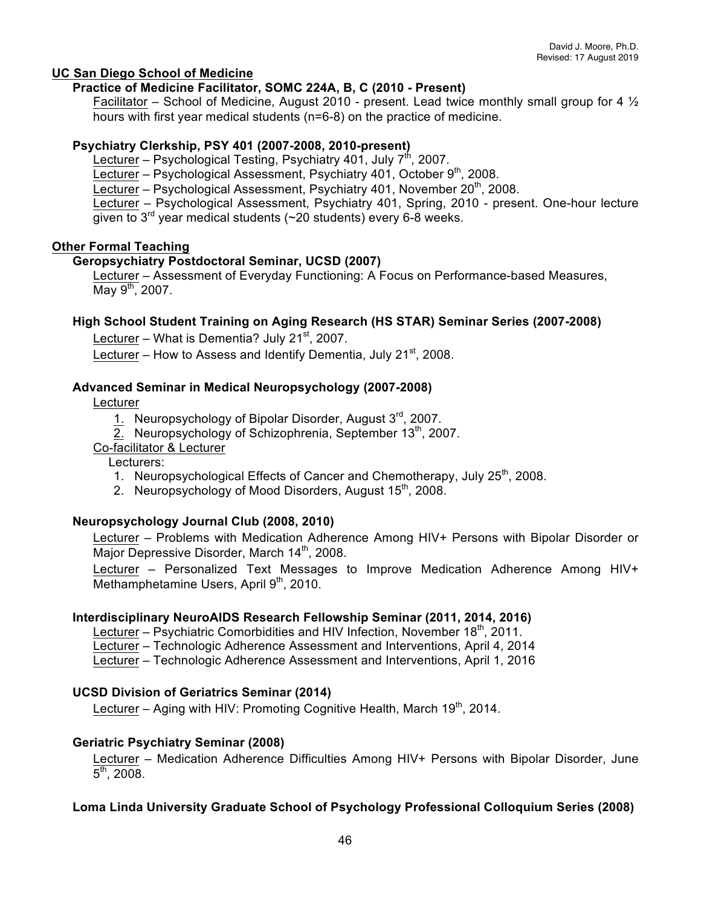### **UC San Diego School of Medicine**

### **Practice of Medicine Facilitator, SOMC 224A, B, C (2010 - Present)**

Facilitator – School of Medicine, August 2010 - present. Lead twice monthly small group for 4  $\frac{1}{2}$ hours with first year medical students (n=6-8) on the practice of medicine.

### **Psychiatry Clerkship, PSY 401 (2007-2008, 2010-present)**

Lecturer – Psychological Testing, Psychiatry 401, July  $7<sup>th</sup>$ , 2007.

Lecturer – Psychological Assessment, Psychiatry 401, October 9<sup>th</sup>, 2008.

Lecturer – Psychological Assessment, Psychiatry 401, November  $20<sup>th</sup>$ , 2008.

Lecturer – Psychological Assessment, Psychiatry 401, Spring, 2010 - present. One-hour lecture given to  $3<sup>rd</sup>$  year medical students ( $\sim$ 20 students) every 6-8 weeks.

### **Other Formal Teaching**

### **Geropsychiatry Postdoctoral Seminar, UCSD (2007)**

Lecturer – Assessment of Everyday Functioning: A Focus on Performance-based Measures, May  $9^{th}$ , 2007.

### **High School Student Training on Aging Research (HS STAR) Seminar Series (2007-2008)**

Lecturer – What is Dementia? July  $21^{st}$ , 2007.

Lecturer – How to Assess and Identify Dementia, July  $21<sup>st</sup>$ , 2008.

### **Advanced Seminar in Medical Neuropsychology (2007-2008)**

**Lecturer** 

- 1. Neuropsychology of Bipolar Disorder, August 3<sup>rd</sup>, 2007.
- 2. Neuropsychology of Schizophrenia, September  $13<sup>th</sup>$ , 2007.
- Co-facilitator & Lecturer

Lecturers:

- 1. Neuropsychological Effects of Cancer and Chemotherapy, July  $25<sup>th</sup>$ , 2008.
- 2. Neuropsychology of Mood Disorders, August 15<sup>th</sup>, 2008.

### **Neuropsychology Journal Club (2008, 2010)**

Lecturer – Problems with Medication Adherence Among HIV+ Persons with Bipolar Disorder or Major Depressive Disorder, March 14<sup>th</sup>, 2008.

Lecturer – Personalized Text Messages to Improve Medication Adherence Among HIV+ Methamphetamine Users, April 9<sup>th</sup>, 2010.

## **Interdisciplinary NeuroAIDS Research Fellowship Seminar (2011, 2014, 2016)**

Lecturer – Psychiatric Comorbidities and HIV Infection, November  $18<sup>th</sup>$ , 2011.

Lecturer – Technologic Adherence Assessment and Interventions, April 4, 2014

Lecturer – Technologic Adherence Assessment and Interventions, April 1, 2016

### **UCSD Division of Geriatrics Seminar (2014)**

Lecturer – Aging with HIV: Promoting Cognitive Health, March  $19<sup>th</sup>$ , 2014.

### **Geriatric Psychiatry Seminar (2008)**

Lecturer – Medication Adherence Difficulties Among HIV+ Persons with Bipolar Disorder, June  $5<sup>th</sup>$ , 2008.

### **Loma Linda University Graduate School of Psychology Professional Colloquium Series (2008)**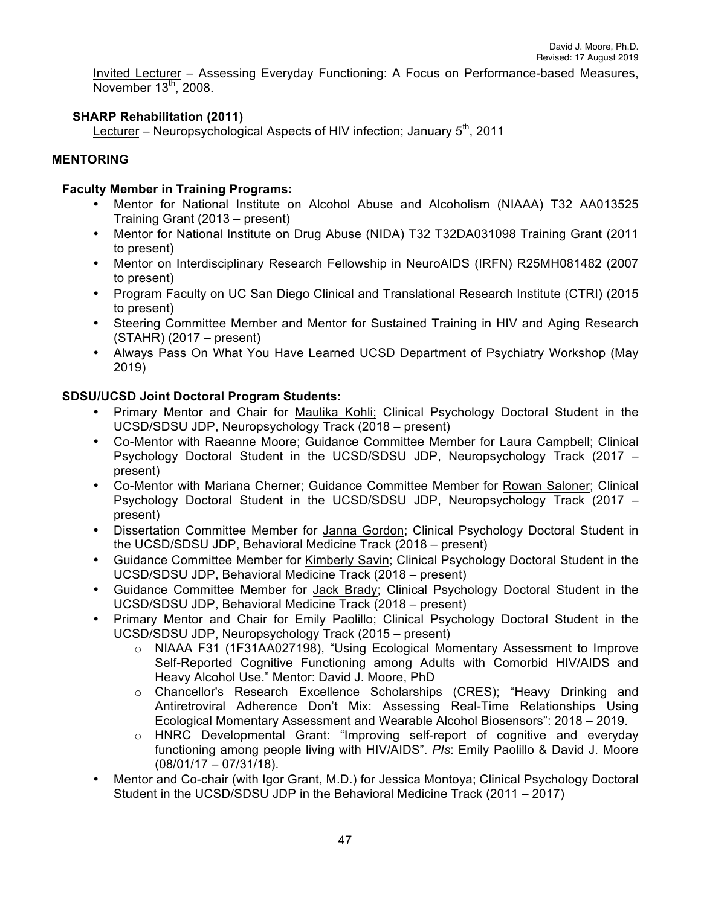Invited Lecturer – Assessing Everyday Functioning: A Focus on Performance-based Measures, November  $13<sup>th</sup>$ , 2008.

## **SHARP Rehabilitation (2011)**

Lecturer – Neuropsychological Aspects of HIV infection; January  $5<sup>th</sup>$ , 2011

## **MENTORING**

## **Faculty Member in Training Programs:**

- Mentor for National Institute on Alcohol Abuse and Alcoholism (NIAAA) T32 AA013525 Training Grant (2013 – present)
- Mentor for National Institute on Drug Abuse (NIDA) T32 T32DA031098 Training Grant (2011 to present)
- Mentor on Interdisciplinary Research Fellowship in NeuroAIDS (IRFN) R25MH081482 (2007 to present)
- Program Faculty on UC San Diego Clinical and Translational Research Institute (CTRI) (2015 to present)
- Steering Committee Member and Mentor for Sustained Training in HIV and Aging Research (STAHR) (2017 – present)
- Always Pass On What You Have Learned UCSD Department of Psychiatry Workshop (May 2019)

## **SDSU/UCSD Joint Doctoral Program Students:**

- Primary Mentor and Chair for Maulika Kohli; Clinical Psychology Doctoral Student in the UCSD/SDSU JDP, Neuropsychology Track (2018 – present)
- Co-Mentor with Raeanne Moore; Guidance Committee Member for Laura Campbell; Clinical Psychology Doctoral Student in the UCSD/SDSU JDP, Neuropsychology Track (2017 – present)
- Co-Mentor with Mariana Cherner; Guidance Committee Member for Rowan Saloner; Clinical Psychology Doctoral Student in the UCSD/SDSU JDP, Neuropsychology Track (2017 – present)
- Dissertation Committee Member for Janna Gordon; Clinical Psychology Doctoral Student in the UCSD/SDSU JDP, Behavioral Medicine Track (2018 – present)
- Guidance Committee Member for Kimberly Savin; Clinical Psychology Doctoral Student in the UCSD/SDSU JDP, Behavioral Medicine Track (2018 – present)
- Guidance Committee Member for Jack Brady; Clinical Psychology Doctoral Student in the UCSD/SDSU JDP, Behavioral Medicine Track (2018 – present)
- Primary Mentor and Chair for Emily Paolillo; Clinical Psychology Doctoral Student in the UCSD/SDSU JDP, Neuropsychology Track (2015 – present)
	- o NIAAA F31 (1F31AA027198), "Using Ecological Momentary Assessment to Improve Self-Reported Cognitive Functioning among Adults with Comorbid HIV/AIDS and Heavy Alcohol Use." Mentor: David J. Moore, PhD
	- o Chancellor's Research Excellence Scholarships (CRES); "Heavy Drinking and Antiretroviral Adherence Don't Mix: Assessing Real-Time Relationships Using Ecological Momentary Assessment and Wearable Alcohol Biosensors": 2018 – 2019.
	- o **HNRC Developmental Grant:** "Improving self-report of cognitive and everyday functioning among people living with HIV/AIDS". *PIs*: Emily Paolillo & David J. Moore (08/01/17 – 07/31/18).
- Mentor and Co-chair (with Igor Grant, M.D.) for Jessica Montoya; Clinical Psychology Doctoral Student in the UCSD/SDSU JDP in the Behavioral Medicine Track (2011 – 2017)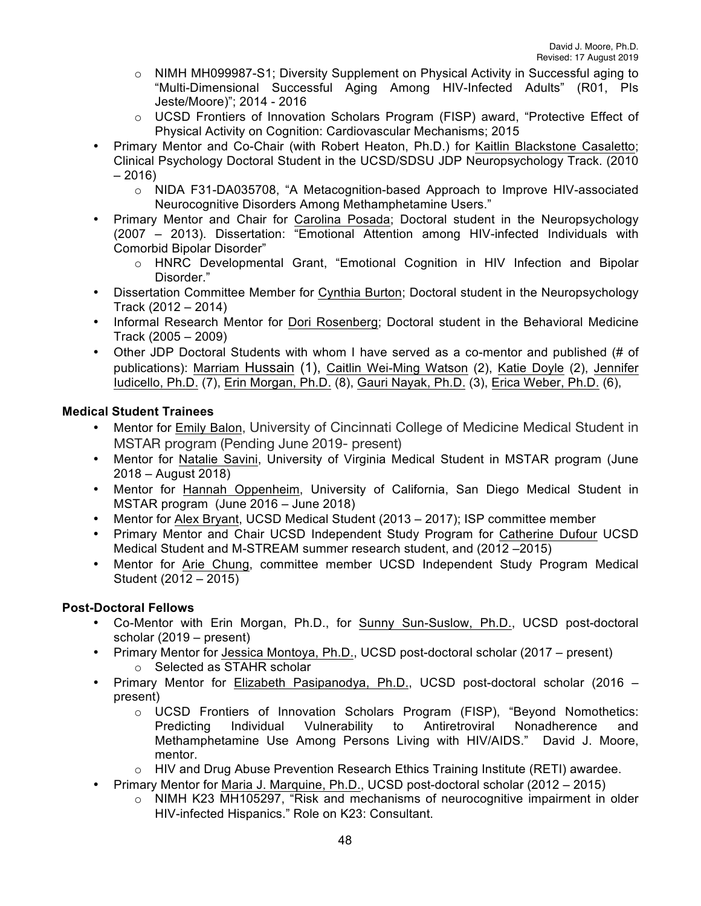- o NIMH MH099987-S1; Diversity Supplement on Physical Activity in Successful aging to "Multi-Dimensional Successful Aging Among HIV-Infected Adults" (R01, PIs Jeste/Moore)"; 2014 - 2016
- o UCSD Frontiers of Innovation Scholars Program (FISP) award, "Protective Effect of Physical Activity on Cognition: Cardiovascular Mechanisms; 2015
- Primary Mentor and Co-Chair (with Robert Heaton, Ph.D.) for Kaitlin Blackstone Casaletto; Clinical Psychology Doctoral Student in the UCSD/SDSU JDP Neuropsychology Track. (2010  $-2016$ 
	- o NIDA F31-DA035708, "A Metacognition-based Approach to Improve HIV-associated Neurocognitive Disorders Among Methamphetamine Users."
- Primary Mentor and Chair for Carolina Posada; Doctoral student in the Neuropsychology (2007 – 2013). Dissertation: "Emotional Attention among HIV-infected Individuals with Comorbid Bipolar Disorder"
	- o HNRC Developmental Grant, "Emotional Cognition in HIV Infection and Bipolar Disorder."
- Dissertation Committee Member for Cynthia Burton; Doctoral student in the Neuropsychology Track (2012 – 2014)
- Informal Research Mentor for Dori Rosenberg; Doctoral student in the Behavioral Medicine Track (2005 – 2009)
- Other JDP Doctoral Students with whom I have served as a co-mentor and published (# of publications): Marriam Hussain (1), Caitlin Wei-Ming Watson (2), Katie Doyle (2), Jennifer Iudicello, Ph.D. (7), Erin Morgan, Ph.D. (8), Gauri Nayak, Ph.D. (3), Erica Weber, Ph.D. (6),

## **Medical Student Trainees**

- Mentor for Emily Balon, University of Cincinnati College of Medicine Medical Student in MSTAR program (Pending June 2019- present)
- Mentor for Natalie Savini, University of Virginia Medical Student in MSTAR program (June 2018 – August 2018)
- Mentor for Hannah Oppenheim, University of California, San Diego Medical Student in MSTAR program (June 2016 – June 2018)
- Mentor for Alex Bryant, UCSD Medical Student (2013 2017); ISP committee member
- Primary Mentor and Chair UCSD Independent Study Program for Catherine Dufour UCSD Medical Student and M-STREAM summer research student, and (2012 –2015)
- Mentor for Arie Chung, committee member UCSD Independent Study Program Medical Student (2012 – 2015)

## **Post-Doctoral Fellows**

- Co-Mentor with Erin Morgan, Ph.D., for Sunny Sun-Suslow, Ph.D., UCSD post-doctoral scholar (2019 – present)
- Primary Mentor for Jessica Montoya, Ph.D., UCSD post-doctoral scholar (2017 present) o Selected as STAHR scholar
- Primary Mentor for Elizabeth Pasipanodya, Ph.D., UCSD post-doctoral scholar (2016 present)
	- o UCSD Frontiers of Innovation Scholars Program (FISP), "Beyond Nomothetics: Predicting Individual Vulnerability to Antiretroviral Nonadherence and Methamphetamine Use Among Persons Living with HIV/AIDS." David J. Moore, mentor.
	- $\circ$  HIV and Drug Abuse Prevention Research Ethics Training Institute (RETI) awardee.
- Primary Mentor for Maria J. Marquine, Ph.D., UCSD post-doctoral scholar (2012 2015)
	- $\circ$  NIMH K23 MH105297, "Risk and mechanisms of neurocognitive impairment in older HIV-infected Hispanics." Role on K23: Consultant.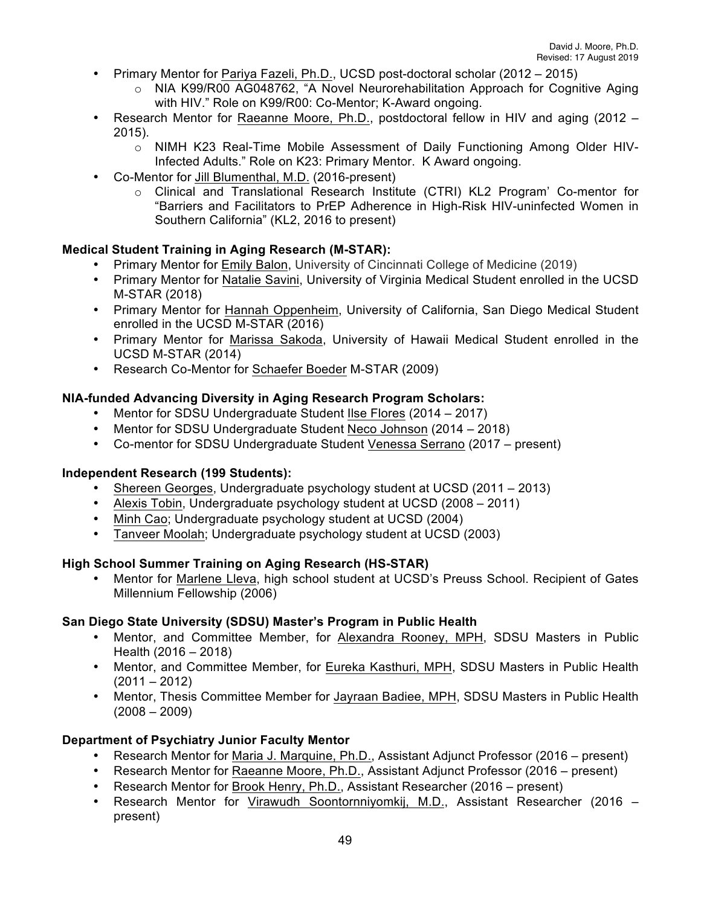- Primary Mentor for Pariya Fazeli, Ph.D., UCSD post-doctoral scholar (2012 2015)
	- o NIA K99/R00 AG048762, "A Novel Neurorehabilitation Approach for Cognitive Aging with HIV." Role on K99/R00: Co-Mentor; K-Award ongoing.
- Research Mentor for Raeanne Moore, Ph.D., postdoctoral fellow in HIV and aging (2012 2015).
	- o NIMH K23 Real-Time Mobile Assessment of Daily Functioning Among Older HIV-Infected Adults." Role on K23: Primary Mentor. K Award ongoing.
- Co-Mentor for Jill Blumenthal, M.D. (2016-present)
	- o Clinical and Translational Research Institute (CTRI) KL2 Program' Co-mentor for "Barriers and Facilitators to PrEP Adherence in High-Risk HIV-uninfected Women in Southern California" (KL2, 2016 to present)

## **Medical Student Training in Aging Research (M-STAR):**

- Primary Mentor for Emily Balon, University of Cincinnati College of Medicine (2019)
- Primary Mentor for Natalie Savini, University of Virginia Medical Student enrolled in the UCSD M-STAR (2018)
- Primary Mentor for Hannah Oppenheim, University of California, San Diego Medical Student enrolled in the UCSD M-STAR (2016)
- Primary Mentor for Marissa Sakoda, University of Hawaii Medical Student enrolled in the UCSD M-STAR (2014)
- Research Co-Mentor for Schaefer Boeder M-STAR (2009)

## **NIA-funded Advancing Diversity in Aging Research Program Scholars:**

- Mentor for SDSU Undergraduate Student Ilse Flores (2014 2017)
- Mentor for SDSU Undergraduate Student Neco Johnson (2014 2018)
- Co-mentor for SDSU Undergraduate Student Venessa Serrano (2017 present)

## **Independent Research (199 Students):**

- Shereen Georges, Undergraduate psychology student at UCSD (2011 2013)
- Alexis Tobin, Undergraduate psychology student at UCSD (2008 2011)
- Minh Cao; Undergraduate psychology student at UCSD (2004)
- Tanveer Moolah; Undergraduate psychology student at UCSD (2003)

## **High School Summer Training on Aging Research (HS-STAR)**

• Mentor for Marlene Lleva, high school student at UCSD's Preuss School. Recipient of Gates Millennium Fellowship (2006)

## **San Diego State University (SDSU) Master's Program in Public Health**

- Mentor, and Committee Member, for Alexandra Rooney, MPH, SDSU Masters in Public Health (2016 – 2018)
- Mentor, and Committee Member, for Eureka Kasthuri, MPH, SDSU Masters in Public Health  $(2011 - 2012)$
- Mentor, Thesis Committee Member for Jayraan Badiee, MPH, SDSU Masters in Public Health  $(2008 - 2009)$

## **Department of Psychiatry Junior Faculty Mentor**

- Research Mentor for Maria J. Marquine, Ph.D., Assistant Adjunct Professor (2016 present)
- Research Mentor for Raeanne Moore, Ph.D., Assistant Adjunct Professor (2016 present)
- Research Mentor for Brook Henry, Ph.D., Assistant Researcher (2016 present)
- Research Mentor for Virawudh Soontornniyomkij, M.D., Assistant Researcher (2016 present)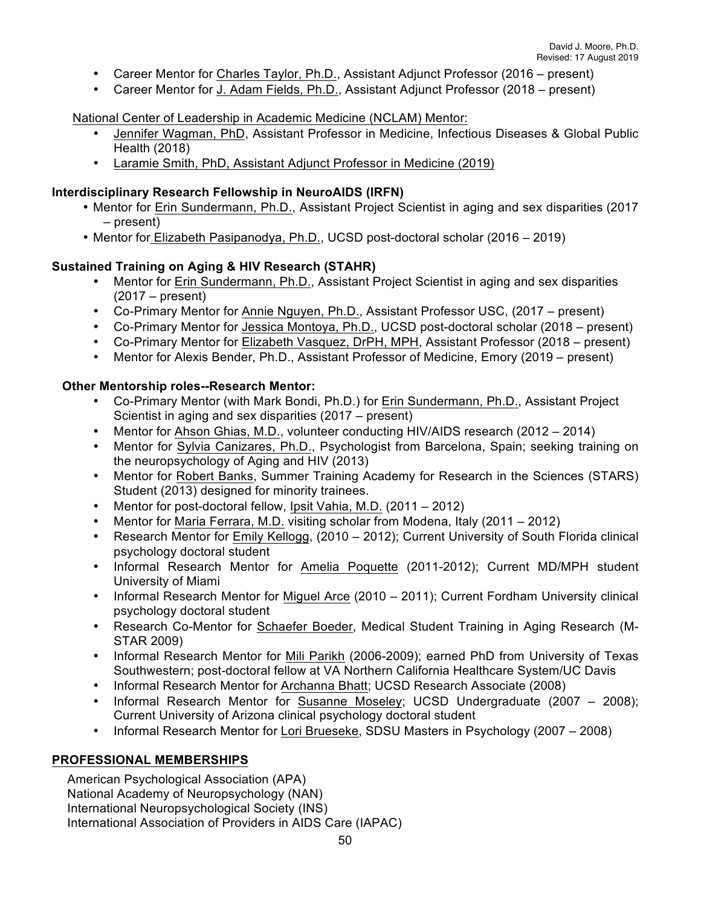- Career Mentor for Charles Taylor, Ph.D., Assistant Adjunct Professor (2016 present)
- Career Mentor for J. Adam Fields, Ph.D., Assistant Adjunct Professor (2018 present)

### National Center of Leadership in Academic Medicine (NCLAM) Mentor:

- Jennifer Wagman, PhD, Assistant Professor in Medicine, Infectious Diseases & Global Public Health (2018)
- Laramie Smith, PhD, Assistant Adjunct Professor in Medicine (2019)

### **Interdisciplinary Research Fellowship in NeuroAIDS (IRFN)**

- Mentor for Erin Sundermann, Ph.D., Assistant Project Scientist in aging and sex disparities (2017 – present)
- Mentor for Elizabeth Pasipanodya, Ph.D., UCSD post-doctoral scholar (2016 2019)

### **Sustained Training on Aging & HIV Research (STAHR)**

- Mentor for Erin Sundermann, Ph.D., Assistant Project Scientist in aging and sex disparities (2017 – present)
- Co-Primary Mentor for Annie Nguyen, Ph.D., Assistant Professor USC, (2017 present)
- Co-Primary Mentor for Jessica Montoya, Ph.D., UCSD post-doctoral scholar (2018 present)
- Co-Primary Mentor for Elizabeth Vasquez, DrPH, MPH, Assistant Professor (2018 present)
- Mentor for Alexis Bender, Ph.D., Assistant Professor of Medicine, Emory (2019 present)

### **Other Mentorship roles--Research Mentor:**

- Co-Primary Mentor (with Mark Bondi, Ph.D.) for Erin Sundermann, Ph.D., Assistant Project Scientist in aging and sex disparities (2017 – present)
- Mentor for Ahson Ghias, M.D., volunteer conducting HIV/AIDS research (2012 2014)
- Mentor for Sylvia Canizares, Ph.D., Psychologist from Barcelona, Spain; seeking training on the neuropsychology of Aging and HIV (2013)
- Mentor for Robert Banks, Summer Training Academy for Research in the Sciences (STARS) Student (2013) designed for minority trainees.
- Mentor for post-doctoral fellow, Ipsit Vahia, M.D. (2011 2012)
- Mentor for Maria Ferrara, M.D. visiting scholar from Modena, Italy (2011 2012)
- Research Mentor for Emily Kellogg, (2010 2012); Current University of South Florida clinical psychology doctoral student
- Informal Research Mentor for Amelia Poquette (2011-2012); Current MD/MPH student University of Miami
- Informal Research Mentor for Miguel Arce (2010 2011); Current Fordham University clinical psychology doctoral student
- Research Co-Mentor for Schaefer Boeder, Medical Student Training in Aging Research (M-STAR 2009)
- Informal Research Mentor for Mili Parikh (2006-2009); earned PhD from University of Texas Southwestern; post-doctoral fellow at VA Northern California Healthcare System/UC Davis
- Informal Research Mentor for Archanna Bhatt; UCSD Research Associate (2008)
- Informal Research Mentor for Susanne Moseley; UCSD Undergraduate  $(2007 2008)$ ; Current University of Arizona clinical psychology doctoral student
- Informal Research Mentor for Lori Brueseke, SDSU Masters in Psychology (2007 2008)

### **PROFESSIONAL MEMBERSHIPS**

American Psychological Association (APA) National Academy of Neuropsychology (NAN) International Neuropsychological Society (INS) International Association of Providers in AIDS Care (IAPAC)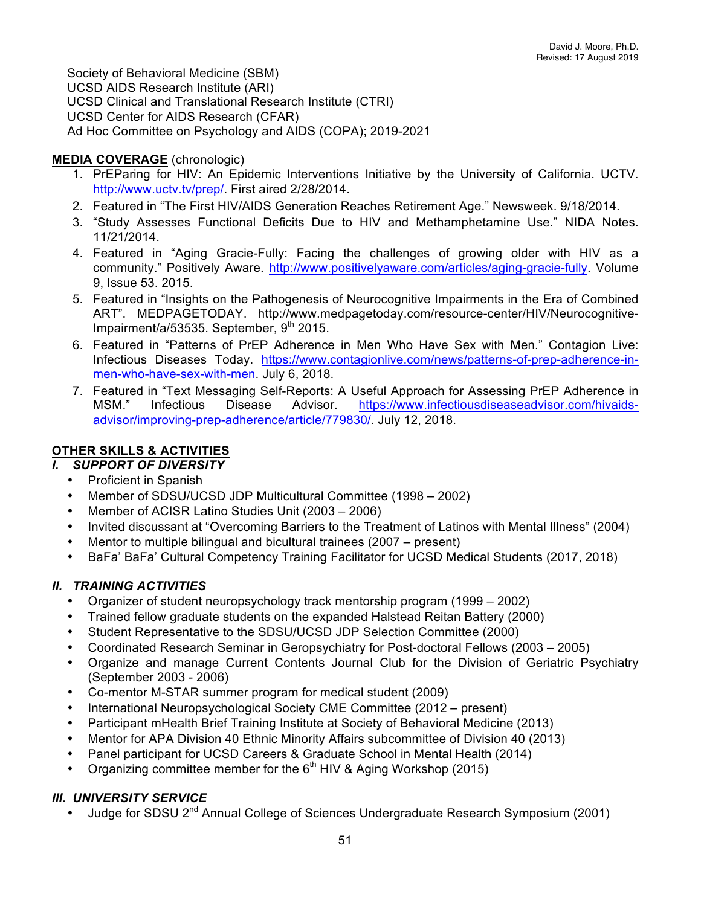Society of Behavioral Medicine (SBM) UCSD AIDS Research Institute (ARI) UCSD Clinical and Translational Research Institute (CTRI) UCSD Center for AIDS Research (CFAR) Ad Hoc Committee on Psychology and AIDS (COPA); 2019-2021

## **MEDIA COVERAGE** (chronologic)

- 1. PrEParing for HIV: An Epidemic Interventions Initiative by the University of California. UCTV. http://www.uctv.tv/prep/. First aired 2/28/2014.
- 2. Featured in "The First HIV/AIDS Generation Reaches Retirement Age." Newsweek. 9/18/2014.
- 3. "Study Assesses Functional Deficits Due to HIV and Methamphetamine Use." NIDA Notes. 11/21/2014.
- 4. Featured in "Aging Gracie-Fully: Facing the challenges of growing older with HIV as a community." Positively Aware. http://www.positivelyaware.com/articles/aging-gracie-fully. Volume 9, Issue 53. 2015.
- 5. Featured in "Insights on the Pathogenesis of Neurocognitive Impairments in the Era of Combined ART". MEDPAGETODAY. http://www.medpagetoday.com/resource-center/HIV/Neurocognitive-Impairment/a/53535. September, 9<sup>th</sup> 2015.
- 6. Featured in "Patterns of PrEP Adherence in Men Who Have Sex with Men." Contagion Live: Infectious Diseases Today. https://www.contagionlive.com/news/patterns-of-prep-adherence-inmen-who-have-sex-with-men. July 6, 2018.
- 7. Featured in "Text Messaging Self-Reports: A Useful Approach for Assessing PrEP Adherence in MSM." Infectious Disease Advisor. https://www.infectiousdiseaseadvisor.com/hivaidsadvisor/improving-prep-adherence/article/779830/. July 12, 2018.

## **OTHER SKILLS & ACTIVITIES**

## *I. SUPPORT OF DIVERSITY*

- Proficient in Spanish
- Member of SDSU/UCSD JDP Multicultural Committee (1998 2002)
- Member of ACISR Latino Studies Unit (2003 2006)
- Invited discussant at "Overcoming Barriers to the Treatment of Latinos with Mental Illness" (2004)
- Mentor to multiple bilingual and bicultural trainees (2007 present)
- BaFa' BaFa' Cultural Competency Training Facilitator for UCSD Medical Students (2017, 2018)

## *II. TRAINING ACTIVITIES*

- Organizer of student neuropsychology track mentorship program (1999 2002)
- Trained fellow graduate students on the expanded Halstead Reitan Battery (2000)
- Student Representative to the SDSU/UCSD JDP Selection Committee (2000)
- Coordinated Research Seminar in Geropsychiatry for Post-doctoral Fellows (2003 2005)
- Organize and manage Current Contents Journal Club for the Division of Geriatric Psychiatry (September 2003 - 2006)
- Co-mentor M-STAR summer program for medical student (2009)
- International Neuropsychological Society CME Committee (2012 present)
- Participant mHealth Brief Training Institute at Society of Behavioral Medicine (2013)
- Mentor for APA Division 40 Ethnic Minority Affairs subcommittee of Division 40 (2013)
- Panel participant for UCSD Careers & Graduate School in Mental Health (2014)
- Organizing committee member for the  $6<sup>th</sup>$  HIV & Aging Workshop (2015)

## *III. UNIVERSITY SERVICE*

• Judge for SDSU 2<sup>nd</sup> Annual College of Sciences Undergraduate Research Symposium (2001)